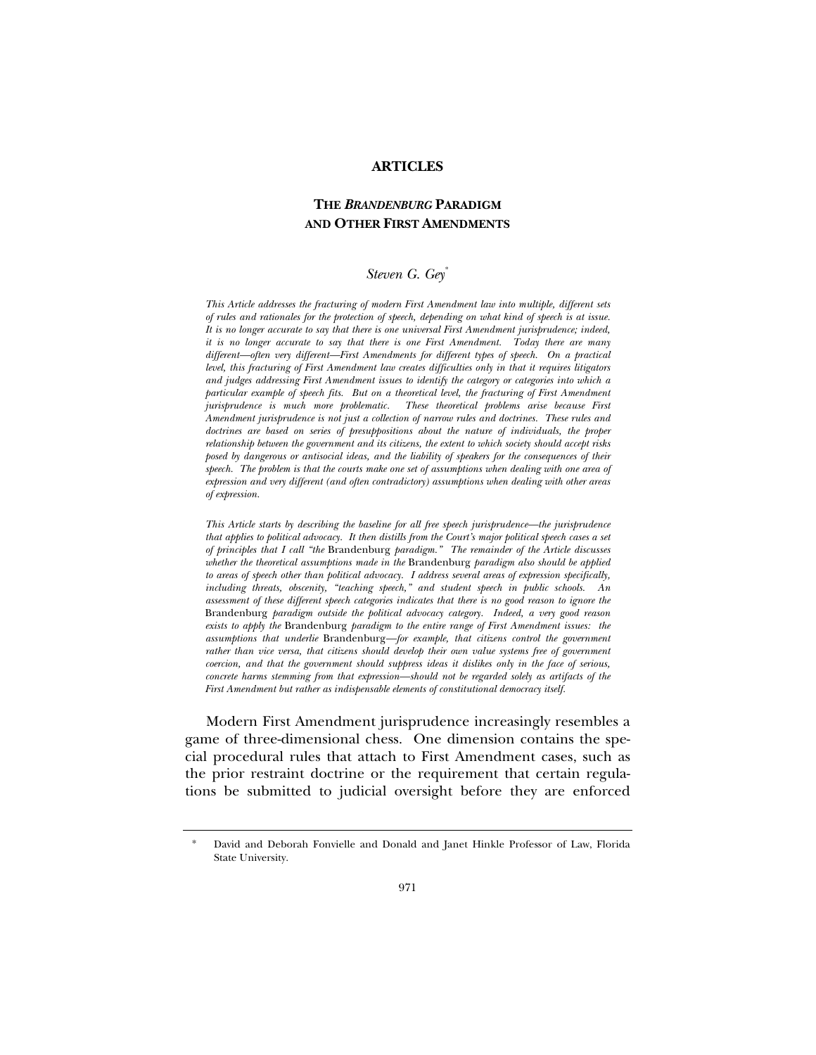#### **ARTICLES**

# **THE** *BRANDENBURG* **PARADIGM AND OTHER FIRST AMENDMENTS**

### *Steven G. Gey*[\\*](#page-0-0)

*This Article addresses the fracturing of modern First Amendment law into multiple, different sets of rules and rationales for the protection of speech, depending on what kind of speech is at issue. It is no longer accurate to say that there is one universal First Amendment jurisprudence; indeed, it is no longer accurate to say that there is one First Amendment. Today there are many different—often very different—First Amendments for different types of speech. On a practical level, this fracturing of First Amendment law creates difficulties only in that it requires litigators and judges addressing First Amendment issues to identify the category or categories into which a particular example of speech fits. But on a theoretical level, the fracturing of First Amendment jurisprudence is much more problematic. These theoretical problems arise because First Amendment jurisprudence is not just a collection of narrow rules and doctrines. These rules and doctrines are based on series of presuppositions about the nature of individuals, the proper relationship between the government and its citizens, the extent to which society should accept risks posed by dangerous or antisocial ideas, and the liability of speakers for the consequences of their speech. The problem is that the courts make one set of assumptions when dealing with one area of expression and very different (and often contradictory) assumptions when dealing with other areas of expression.* 

*This Article starts by describing the baseline for all free speech jurisprudence—the jurisprudence that applies to political advocacy. It then distills from the Court's major political speech cases a set of principles that I call "the* Brandenburg *paradigm." The remainder of the Article discusses whether the theoretical assumptions made in the* Brandenburg *paradigm also should be applied to areas of speech other than political advocacy. I address several areas of expression specifically, including threats, obscenity, "teaching speech," and student speech in public schools. An assessment of these different speech categories indicates that there is no good reason to ignore the*  Brandenburg *paradigm outside the political advocacy category. Indeed, a very good reason exists to apply the* Brandenburg *paradigm to the entire range of First Amendment issues: the assumptions that underlie* Brandenburg*—for example, that citizens control the government rather than vice versa, that citizens should develop their own value systems free of government coercion, and that the government should suppress ideas it dislikes only in the face of serious, concrete harms stemming from that expression—should not be regarded solely as artifacts of the First Amendment but rather as indispensable elements of constitutional democracy itself.* 

Modern First Amendment jurisprudence increasingly resembles a game of three-dimensional chess. One dimension contains the special procedural rules that attach to First Amendment cases, such as the prior restraint doctrine or the requirement that certain regulations be submitted to judicial oversight before they are enforced

<span id="page-0-0"></span>David and Deborah Fonvielle and Donald and Janet Hinkle Professor of Law, Florida State University.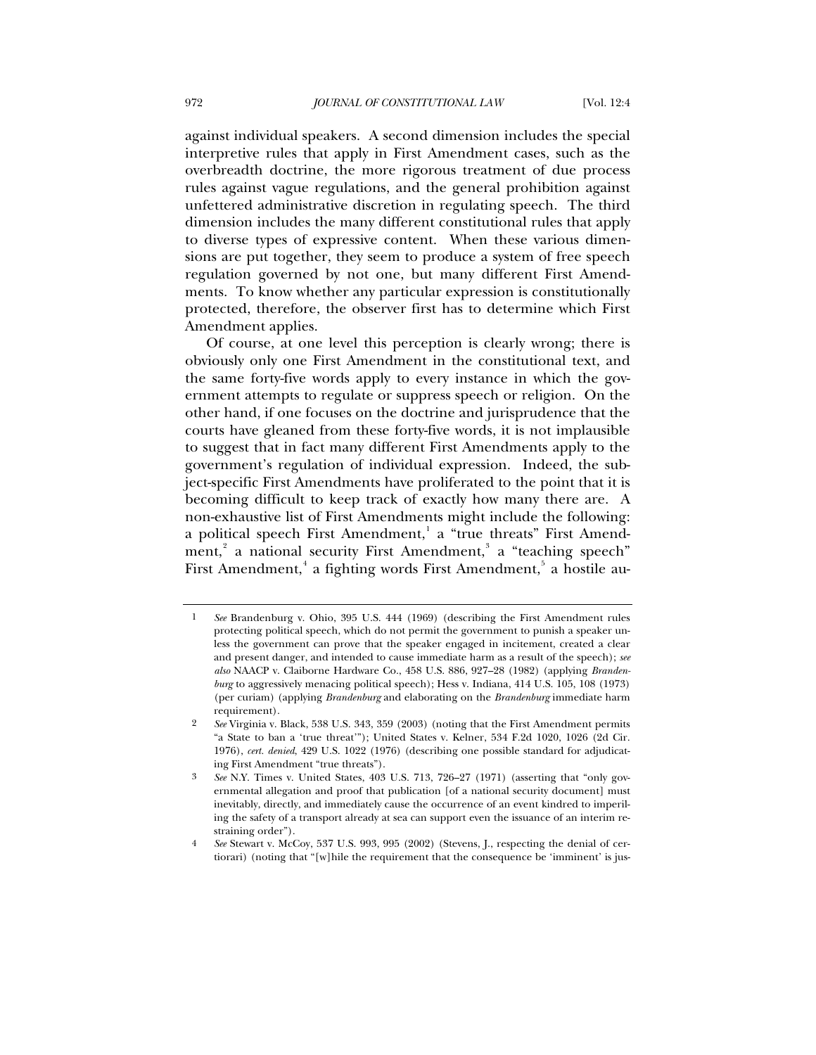against individual speakers. A second dimension includes the special interpretive rules that apply in First Amendment cases, such as the overbreadth doctrine, the more rigorous treatment of due process rules against vague regulations, and the general prohibition against unfettered administrative discretion in regulating speech. The third dimension includes the many different constitutional rules that apply to diverse types of expressive content. When these various dimensions are put together, they seem to produce a system of free speech regulation governed by not one, but many different First Amendments. To know whether any particular expression is constitutionally protected, therefore, the observer first has to determine which First Amendment applies.

Of course, at one level this perception is clearly wrong; there is obviously only one First Amendment in the constitutional text, and the same forty-five words apply to every instance in which the government attempts to regulate or suppress speech or religion. On the other hand, if one focuses on the doctrine and jurisprudence that the courts have gleaned from these forty-five words, it is not implausible to suggest that in fact many different First Amendments apply to the government's regulation of individual expression. Indeed, the subject-specific First Amendments have proliferated to the point that it is becoming difficult to keep track of exactly how many there are. A non-exhaustive list of First Amendments might include the following: a political speech First Amendment,<sup>[1](#page-1-0)</sup> a "true threats" First Amend-ment,<sup>[2](#page-1-1)</sup> a national security First Amendment,<sup>[3](#page-1-2)</sup> a "teaching speech" First Amendment, $^{\rm 4}$  $^{\rm 4}$  $^{\rm 4}$  a fighting words First Amendment, $^{\rm 5}$  $^{\rm 5}$  $^{\rm 5}$  a hostile au-

<span id="page-1-4"></span><span id="page-1-0"></span><sup>1</sup> *See* Brandenburg v. Ohio, 395 U.S. 444 (1969) (describing the First Amendment rules protecting political speech, which do not permit the government to punish a speaker unless the government can prove that the speaker engaged in incitement, created a clear and present danger, and intended to cause immediate harm as a result of the speech); *see also* NAACP v. Claiborne Hardware Co., 458 U.S. 886, 927–28 (1982) (applying *Brandenburg* to aggressively menacing political speech); Hess v. Indiana, 414 U.S. 105, 108 (1973) (per curiam) (applying *Brandenburg* and elaborating on the *Brandenburg* immediate harm requirement).

<span id="page-1-1"></span><sup>2</sup> *See* Virginia v. Black, 538 U.S. 343, 359 (2003) (noting that the First Amendment permits "a State to ban a 'true threat'"); United States v. Kelner, 534 F.2d 1020, 1026 (2d Cir. 1976), *cert. denied*, 429 U.S. 1022 (1976) (describing one possible standard for adjudicating First Amendment "true threats").

<span id="page-1-2"></span><sup>3</sup> *See* N.Y. Times v. United States, 403 U.S. 713, 726–27 (1971) (asserting that "only governmental allegation and proof that publication [of a national security document] must inevitably, directly, and immediately cause the occurrence of an event kindred to imperiling the safety of a transport already at sea can support even the issuance of an interim restraining order").

<span id="page-1-3"></span><sup>4</sup> *See* Stewart v. McCoy, 537 U.S. 993, 995 (2002) (Stevens, J., respecting the denial of certiorari) (noting that "[w]hile the requirement that the consequence be 'imminent' is jus-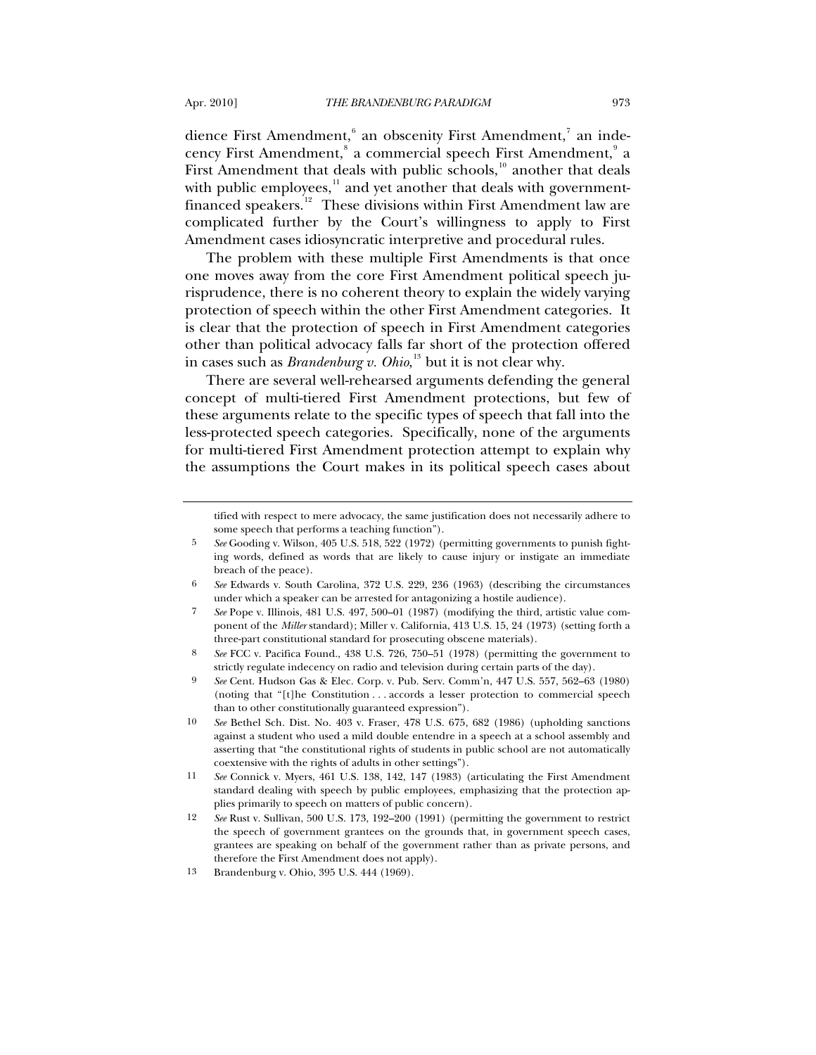dience First Amendment,  $^6$  $^6$  an obscenity First Amendment,  $^7$  $^7$  an indecency First Amendment, $^{\mathrm{s}}$  a commercial speech First Amendment, $^{\mathrm{s}}$  a First Amendment that deals with public schools, $10$  another that deals with public employees, $\frac{11}{11}$  $\frac{11}{11}$  $\frac{11}{11}$  and yet another that deals with government-financed speakers.<sup>[12](#page-2-6)</sup> These divisions within First Amendment law are complicated further by the Court's willingness to apply to First Amendment cases idiosyncratic interpretive and procedural rules.

The problem with these multiple First Amendments is that once one moves away from the core First Amendment political speech jurisprudence, there is no coherent theory to explain the widely varying protection of speech within the other First Amendment categories. It is clear that the protection of speech in First Amendment categories other than political advocacy falls far short of the protection offered in cases such as *Brandenburg v. Ohio*, [13](#page-2-7) but it is not clear why.

There are several well-rehearsed arguments defending the general concept of multi-tiered First Amendment protections, but few of these arguments relate to the specific types of speech that fall into the less-protected speech categories. Specifically, none of the arguments for multi-tiered First Amendment protection attempt to explain why the assumptions the Court makes in its political speech cases about

tified with respect to mere advocacy, the same justification does not necessarily adhere to some speech that performs a teaching function").

<sup>5</sup> *See* Gooding v. Wilson, 405 U.S. 518, 522 (1972) (permitting governments to punish fighting words, defined as words that are likely to cause injury or instigate an immediate breach of the peace).

<span id="page-2-1"></span><span id="page-2-0"></span><sup>6</sup> *See* Edwards v. South Carolina, 372 U.S. 229, 236 (1963) (describing the circumstances under which a speaker can be arrested for antagonizing a hostile audience).

<sup>7</sup> *See* Pope v. Illinois, 481 U.S. 497, 500–01 (1987) (modifying the third, artistic value component of the *Miller* standard); Miller v. California, 413 U.S. 15, 24 (1973) (setting forth a three-part constitutional standard for prosecuting obscene materials).

<span id="page-2-2"></span><sup>8</sup> *See* FCC v. Pacifica Found., 438 U.S. 726, 750–51 (1978) (permitting the government to strictly regulate indecency on radio and television during certain parts of the day).

<span id="page-2-3"></span><sup>9</sup> *See* Cent. Hudson Gas & Elec. Corp. v. Pub. Serv. Comm'n, 447 U.S. 557, 562–63 (1980) (noting that "[t]he Constitution . . . accords a lesser protection to commercial speech than to other constitutionally guaranteed expression").

<span id="page-2-4"></span><sup>10</sup> *See* Bethel Sch. Dist. No. 403 v. Fraser, 478 U.S. 675, 682 (1986) (upholding sanctions against a student who used a mild double entendre in a speech at a school assembly and asserting that "the constitutional rights of students in public school are not automatically coextensive with the rights of adults in other settings").

<span id="page-2-5"></span><sup>11</sup> *See* Connick v. Myers, 461 U.S. 138, 142, 147 (1983) (articulating the First Amendment standard dealing with speech by public employees, emphasizing that the protection applies primarily to speech on matters of public concern).

<span id="page-2-6"></span><sup>12</sup> *See* Rust v. Sullivan, 500 U.S. 173, 192–200 (1991) (permitting the government to restrict the speech of government grantees on the grounds that, in government speech cases, grantees are speaking on behalf of the government rather than as private persons, and therefore the First Amendment does not apply).

<span id="page-2-7"></span><sup>13</sup> Brandenburg v. Ohio, 395 U.S. 444 (1969).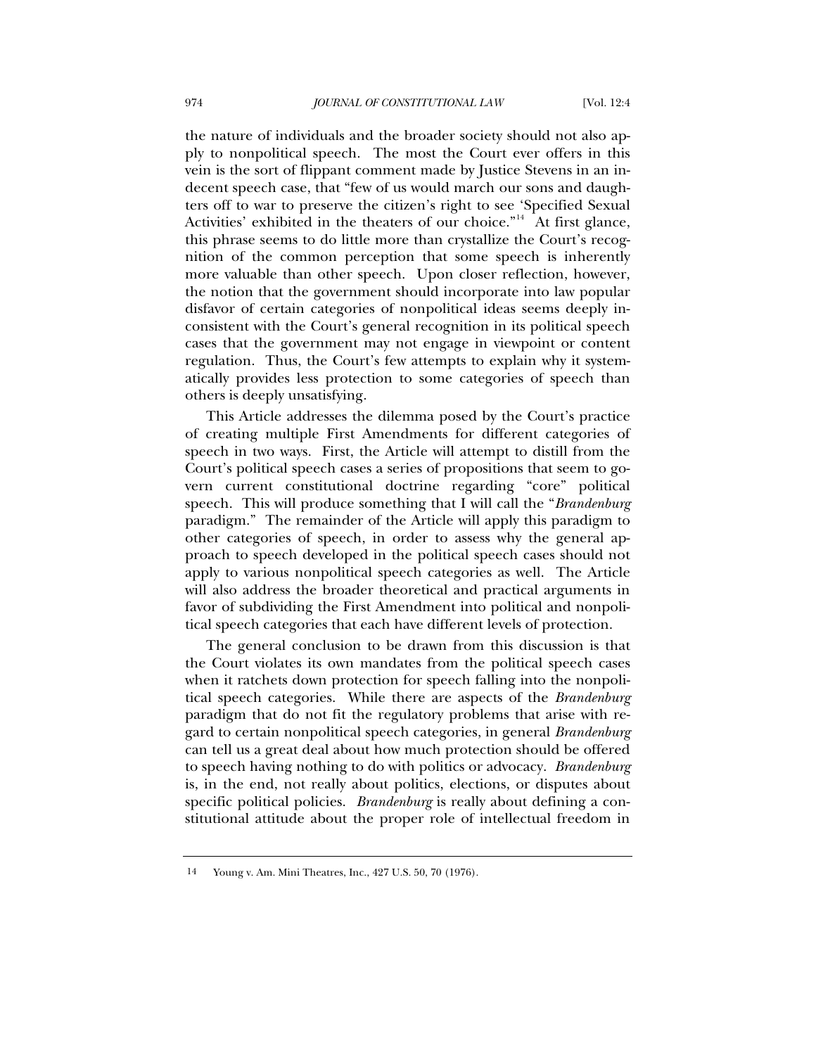the nature of individuals and the broader society should not also apply to nonpolitical speech. The most the Court ever offers in this vein is the sort of flippant comment made by Justice Stevens in an indecent speech case, that "few of us would march our sons and daughters off to war to preserve the citizen's right to see 'Specified Sexual Activities' exhibited in the theaters of our choice.<sup> $n<sup>44</sup>$ </sup> At first glance, this phrase seems to do little more than crystallize the Court's recognition of the common perception that some speech is inherently more valuable than other speech. Upon closer reflection, however, the notion that the government should incorporate into law popular disfavor of certain categories of nonpolitical ideas seems deeply inconsistent with the Court's general recognition in its political speech cases that the government may not engage in viewpoint or content regulation. Thus, the Court's few attempts to explain why it systematically provides less protection to some categories of speech than others is deeply unsatisfying.

This Article addresses the dilemma posed by the Court's practice of creating multiple First Amendments for different categories of speech in two ways. First, the Article will attempt to distill from the Court's political speech cases a series of propositions that seem to govern current constitutional doctrine regarding "core" political speech. This will produce something that I will call the "*Brandenburg* paradigm." The remainder of the Article will apply this paradigm to other categories of speech, in order to assess why the general approach to speech developed in the political speech cases should not apply to various nonpolitical speech categories as well. The Article will also address the broader theoretical and practical arguments in favor of subdividing the First Amendment into political and nonpolitical speech categories that each have different levels of protection.

The general conclusion to be drawn from this discussion is that the Court violates its own mandates from the political speech cases when it ratchets down protection for speech falling into the nonpolitical speech categories. While there are aspects of the *Brandenburg* paradigm that do not fit the regulatory problems that arise with regard to certain nonpolitical speech categories, in general *Brandenburg* can tell us a great deal about how much protection should be offered to speech having nothing to do with politics or advocacy. *Brandenburg* is, in the end, not really about politics, elections, or disputes about specific political policies. *Brandenburg* is really about defining a constitutional attitude about the proper role of intellectual freedom in

<span id="page-3-0"></span><sup>14</sup> Young v. Am. Mini Theatres, Inc., 427 U.S. 50, 70 (1976).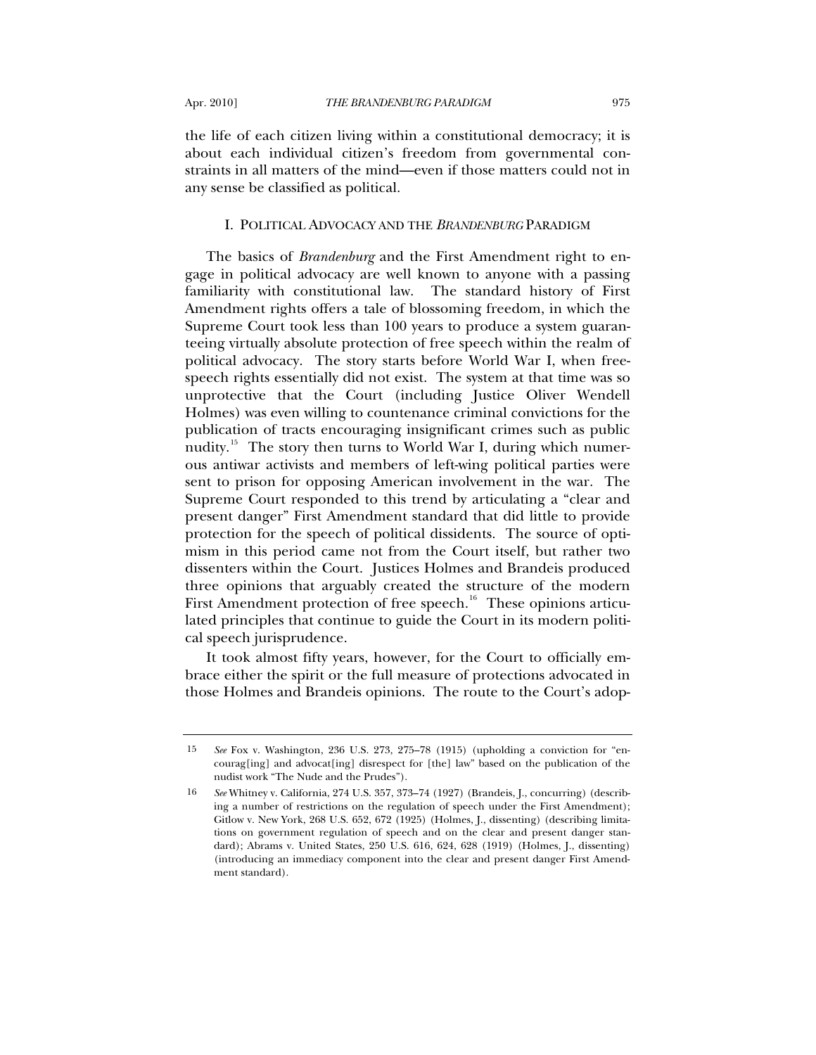the life of each citizen living within a constitutional democracy; it is about each individual citizen's freedom from governmental constraints in all matters of the mind—even if those matters could not in any sense be classified as political.

#### I. POLITICAL ADVOCACY AND THE *BRANDENBURG* PARADIGM

The basics of *Brandenburg* and the First Amendment right to engage in political advocacy are well known to anyone with a passing familiarity with constitutional law. The standard history of First Amendment rights offers a tale of blossoming freedom, in which the Supreme Court took less than 100 years to produce a system guaranteeing virtually absolute protection of free speech within the realm of political advocacy. The story starts before World War I, when freespeech rights essentially did not exist. The system at that time was so unprotective that the Court (including Justice Oliver Wendell Holmes) was even willing to countenance criminal convictions for the publication of tracts encouraging insignificant crimes such as public nudity.<sup>[15](#page-4-0)</sup> The story then turns to World War I, during which numerous antiwar activists and members of left-wing political parties were sent to prison for opposing American involvement in the war. The Supreme Court responded to this trend by articulating a "clear and present danger" First Amendment standard that did little to provide protection for the speech of political dissidents. The source of optimism in this period came not from the Court itself, but rather two dissenters within the Court. Justices Holmes and Brandeis produced three opinions that arguably created the structure of the modern First Amendment protection of free speech.<sup>[16](#page-4-1)</sup> These opinions articulated principles that continue to guide the Court in its modern political speech jurisprudence.

It took almost fifty years, however, for the Court to officially embrace either the spirit or the full measure of protections advocated in those Holmes and Brandeis opinions. The route to the Court's adop-

<span id="page-4-0"></span><sup>15</sup> *See* Fox v. Washington, 236 U.S. 273, 275–78 (1915) (upholding a conviction for "encourag[ing] and advocat[ing] disrespect for [the] law" based on the publication of the nudist work "The Nude and the Prudes").

<span id="page-4-1"></span><sup>16</sup> *See* Whitney v. California, 274 U.S. 357, 373–74 (1927) (Brandeis, J., concurring) (describing a number of restrictions on the regulation of speech under the First Amendment); Gitlow v. New York, 268 U.S. 652, 672 (1925) (Holmes, J., dissenting) (describing limitations on government regulation of speech and on the clear and present danger standard); Abrams v. United States, 250 U.S. 616, 624, 628 (1919) (Holmes, J., dissenting) (introducing an immediacy component into the clear and present danger First Amendment standard).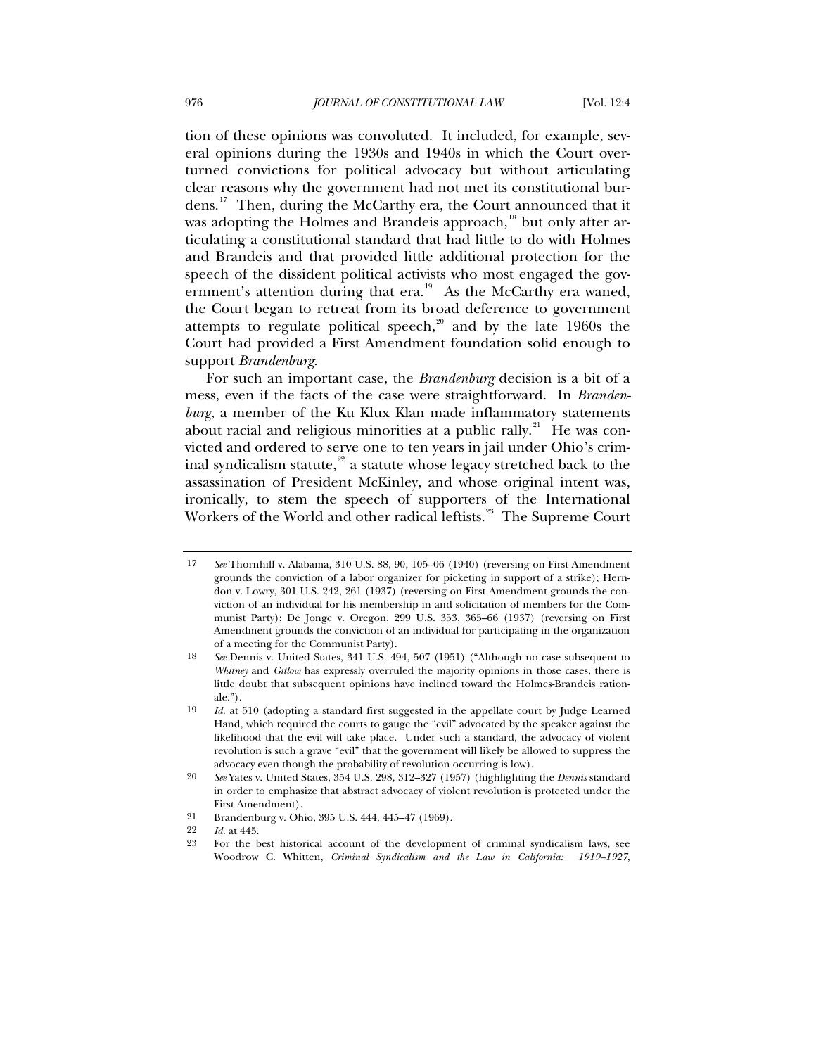tion of these opinions was convoluted. It included, for example, several opinions during the 1930s and 1940s in which the Court overturned convictions for political advocacy but without articulating clear reasons why the government had not met its constitutional burdens.[17](#page-5-0) Then, during the McCarthy era, the Court announced that it was adopting the Holmes and Brandeis approach, $18$  but only after articulating a constitutional standard that had little to do with Holmes and Brandeis and that provided little additional protection for the speech of the dissident political activists who most engaged the government's attention during that  $era.^{19}$  $era.^{19}$  $era.^{19}$ . As the McCarthy era waned, the Court began to retreat from its broad deference to government attempts to regulate political speech, $20$  and by the late 1960s the Court had provided a First Amendment foundation solid enough to support *Brandenburg*.

For such an important case, the *Brandenburg* decision is a bit of a mess, even if the facts of the case were straightforward. In *Brandenburg*, a member of the Ku Klux Klan made inflammatory statements about racial and religious minorities at a public rally.<sup>[21](#page-5-4)</sup> He was convicted and ordered to serve one to ten years in jail under Ohio's criminal syndicalism statute, $2^2$  a statute whose legacy stretched back to the assassination of President McKinley, and whose original intent was, ironically, to stem the speech of supporters of the International Workers of the World and other radical leftists.<sup>[23](#page-5-6)</sup> The Supreme Court

<span id="page-5-0"></span><sup>17</sup> *See* Thornhill v. Alabama, 310 U.S. 88, 90, 105–06 (1940) (reversing on First Amendment grounds the conviction of a labor organizer for picketing in support of a strike); Herndon v. Lowry, 301 U.S. 242, 261 (1937) (reversing on First Amendment grounds the conviction of an individual for his membership in and solicitation of members for the Communist Party); De Jonge v. Oregon, 299 U.S. 353, 365–66 (1937) (reversing on First Amendment grounds the conviction of an individual for participating in the organization of a meeting for the Communist Party).

<span id="page-5-1"></span><sup>18</sup> *See* Dennis v. United States, 341 U.S. 494, 507 (1951) ("Although no case subsequent to *Whitney* and *Gitlow* has expressly overruled the majority opinions in those cases, there is little doubt that subsequent opinions have inclined toward the Holmes-Brandeis rationale.").

<span id="page-5-2"></span><sup>19</sup> *Id.* at 510 (adopting a standard first suggested in the appellate court by Judge Learned Hand, which required the courts to gauge the "evil" advocated by the speaker against the likelihood that the evil will take place. Under such a standard, the advocacy of violent revolution is such a grave "evil" that the government will likely be allowed to suppress the advocacy even though the probability of revolution occurring is low).

<span id="page-5-3"></span><sup>20</sup> *See* Yates v. United States, 354 U.S. 298, 312–327 (1957) (highlighting the *Dennis* standard in order to emphasize that abstract advocacy of violent revolution is protected under the First Amendment).

<sup>21</sup> Brandenburg v. Ohio, 395 U.S. 444, 445–47 (1969).

<span id="page-5-5"></span><span id="page-5-4"></span><sup>22</sup> *Id.* at 445.

<span id="page-5-6"></span><sup>23</sup> For the best historical account of the development of criminal syndicalism laws, see Woodrow C. Whitten, *Criminal Syndicalism and the Law in California: 1919–1927*,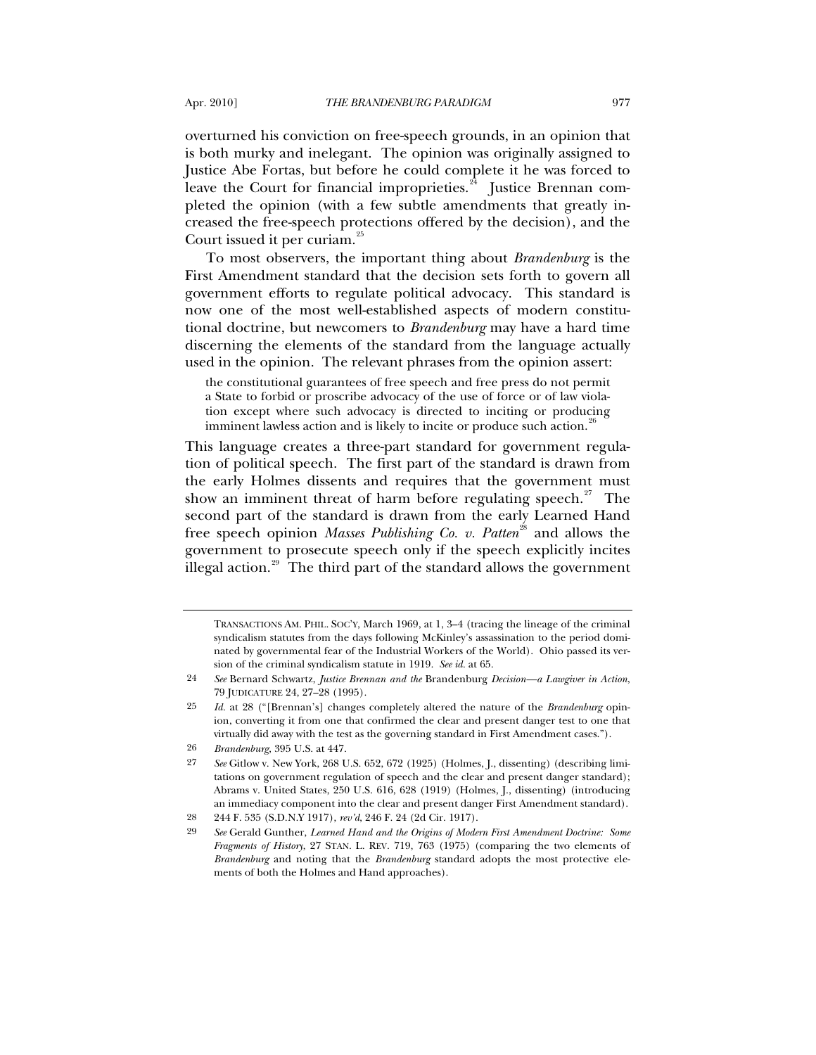overturned his conviction on free-speech grounds, in an opinion that is both murky and inelegant. The opinion was originally assigned to Justice Abe Fortas, but before he could complete it he was forced to leave the Court for financial improprieties. $24$  Justice Brennan completed the opinion (with a few subtle amendments that greatly increased the free-speech protections offered by the decision), and the Court issued it per curiam.<sup>[25](#page-6-1)</sup>

To most observers, the important thing about *Brandenburg* is the First Amendment standard that the decision sets forth to govern all government efforts to regulate political advocacy. This standard is now one of the most well-established aspects of modern constitutional doctrine, but newcomers to *Brandenburg* may have a hard time discerning the elements of the standard from the language actually used in the opinion. The relevant phrases from the opinion assert:

the constitutional guarantees of free speech and free press do not permit a State to forbid or proscribe advocacy of the use of force or of law violation except where such advocacy is directed to inciting or producing imminent lawless action and is likely to incite or produce such action.<sup>[26](#page-6-2)</sup>

This language creates a three-part standard for government regulation of political speech. The first part of the standard is drawn from the early Holmes dissents and requires that the government must show an imminent threat of harm before regulating speech.<sup>[27](#page-6-3)</sup> The second part of the standard is drawn from the early Learned Hand free speech opinion *Masses Publishing Co. v. Patten*<sup>[28](#page-6-4)</sup> and allows the government to prosecute speech only if the speech explicitly incites illegal action.<sup>[29](#page-6-5)</sup> The third part of the standard allows the government

TRANSACTIONS AM. PHIL. SOC'Y, March 1969, at 1, 3–4 (tracing the lineage of the criminal syndicalism statutes from the days following McKinley's assassination to the period dominated by governmental fear of the Industrial Workers of the World). Ohio passed its version of the criminal syndicalism statute in 1919. *See id.* at 65.

<span id="page-6-0"></span><sup>24</sup> *See* Bernard Schwartz, *Justice Brennan and the* Brandenburg *Decision—a Lawgiver in Action*, 79 JUDICATURE 24, 27–28 (1995).

<span id="page-6-1"></span><sup>25</sup> *Id.* at 28 ("[Brennan's] changes completely altered the nature of the *Brandenburg* opinion, converting it from one that confirmed the clear and present danger test to one that virtually did away with the test as the governing standard in First Amendment cases.").

<span id="page-6-2"></span><sup>26</sup> *Brandenburg*, 395 U.S. at 447.

<span id="page-6-3"></span><sup>27</sup> *See* Gitlow v. New York, 268 U.S. 652, 672 (1925) (Holmes, J., dissenting) (describing limitations on government regulation of speech and the clear and present danger standard); Abrams v. United States, 250 U.S. 616, 628 (1919) (Holmes, J., dissenting) (introducing an immediacy component into the clear and present danger First Amendment standard).

<span id="page-6-4"></span><sup>28 244</sup> F. 535 (S.D.N.Y 1917), *rev'd*, 246 F. 24 (2d Cir. 1917).

<span id="page-6-5"></span><sup>29</sup> *See* Gerald Gunther, *Learned Hand and the Origins of Modern First Amendment Doctrine: Some Fragments of History*, 27 STAN. L. REV. 719, 763 (1975) (comparing the two elements of *Brandenburg* and noting that the *Brandenburg* standard adopts the most protective elements of both the Holmes and Hand approaches).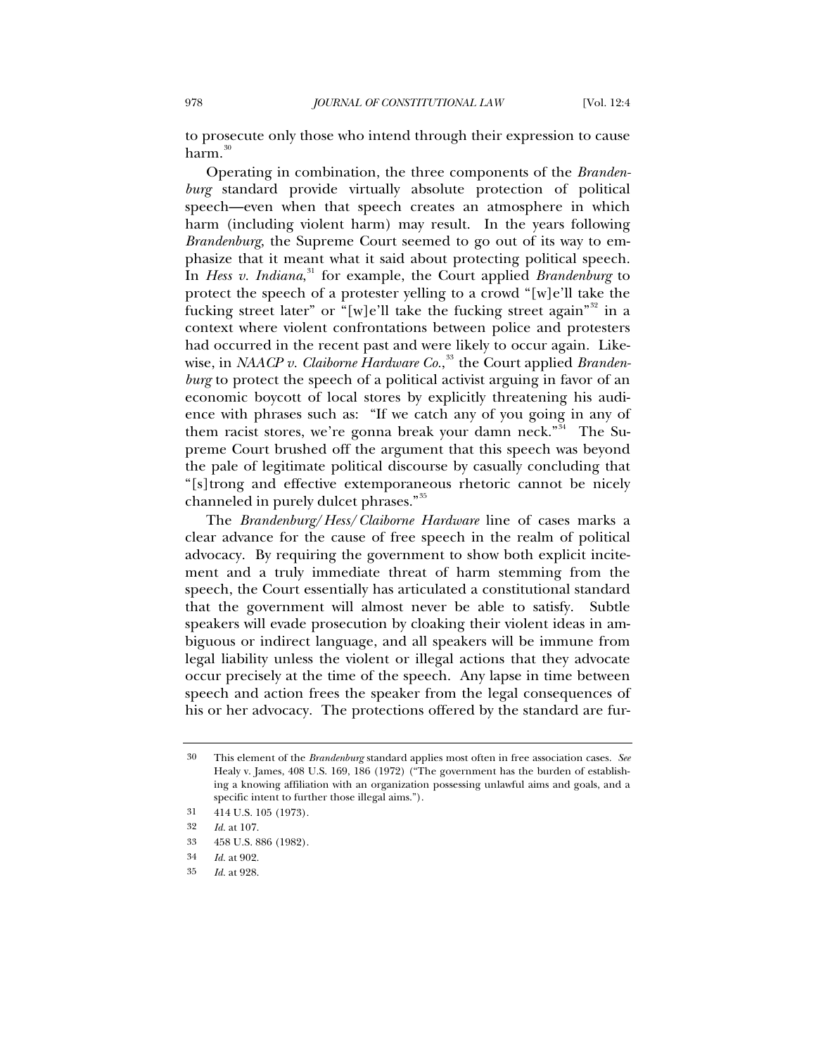to prosecute only those who intend through their expression to cause  $harm.<sup>30</sup>$  $harm.<sup>30</sup>$  $harm.<sup>30</sup>$ 

Operating in combination, the three components of the *Brandenburg* standard provide virtually absolute protection of political speech—even when that speech creates an atmosphere in which harm (including violent harm) may result. In the years following *Brandenburg*, the Supreme Court seemed to go out of its way to emphasize that it meant what it said about protecting political speech. In *Hess v. Indiana*, [31](#page-7-1) for example, the Court applied *Brandenburg* to protect the speech of a protester yelling to a crowd "[w]e'll take the fucking street later" or "[w]e'll take the fucking street again"<sup>[32](#page-7-2)</sup> in a context where violent confrontations between police and protesters had occurred in the recent past and were likely to occur again. Likewise, in *NAACP v. Claiborne Hardware Co.*, [33](#page-7-3) the Court applied *Brandenburg* to protect the speech of a political activist arguing in favor of an economic boycott of local stores by explicitly threatening his audience with phrases such as: "If we catch any of you going in any of them racist stores, we're gonna break your damn neck."<sup>[34](#page-7-4)</sup> The Supreme Court brushed off the argument that this speech was beyond the pale of legitimate political discourse by casually concluding that "[s]trong and effective extemporaneous rhetoric cannot be nicely channeled in purely dulcet phrases."[35](#page-7-5)

The *Brandenburg*/*Hess*/*Claiborne Hardware* line of cases marks a clear advance for the cause of free speech in the realm of political advocacy. By requiring the government to show both explicit incitement and a truly immediate threat of harm stemming from the speech, the Court essentially has articulated a constitutional standard that the government will almost never be able to satisfy. Subtle speakers will evade prosecution by cloaking their violent ideas in ambiguous or indirect language, and all speakers will be immune from legal liability unless the violent or illegal actions that they advocate occur precisely at the time of the speech. Any lapse in time between speech and action frees the speaker from the legal consequences of his or her advocacy. The protections offered by the standard are fur-

<span id="page-7-0"></span><sup>30</sup> This element of the *Brandenburg* standard applies most often in free association cases. *See* Healy v. James, 408 U.S. 169, 186 (1972) ("The government has the burden of establishing a knowing affiliation with an organization possessing unlawful aims and goals, and a specific intent to further those illegal aims.").

<sup>31 414</sup> U.S. 105 (1973).

<span id="page-7-3"></span><span id="page-7-2"></span><span id="page-7-1"></span><sup>32</sup> *Id.* at 107.

<sup>33 458</sup> U.S. 886 (1982).

<span id="page-7-5"></span><span id="page-7-4"></span><sup>34</sup> *Id.* at 902.

<sup>35</sup> *Id.* at 928.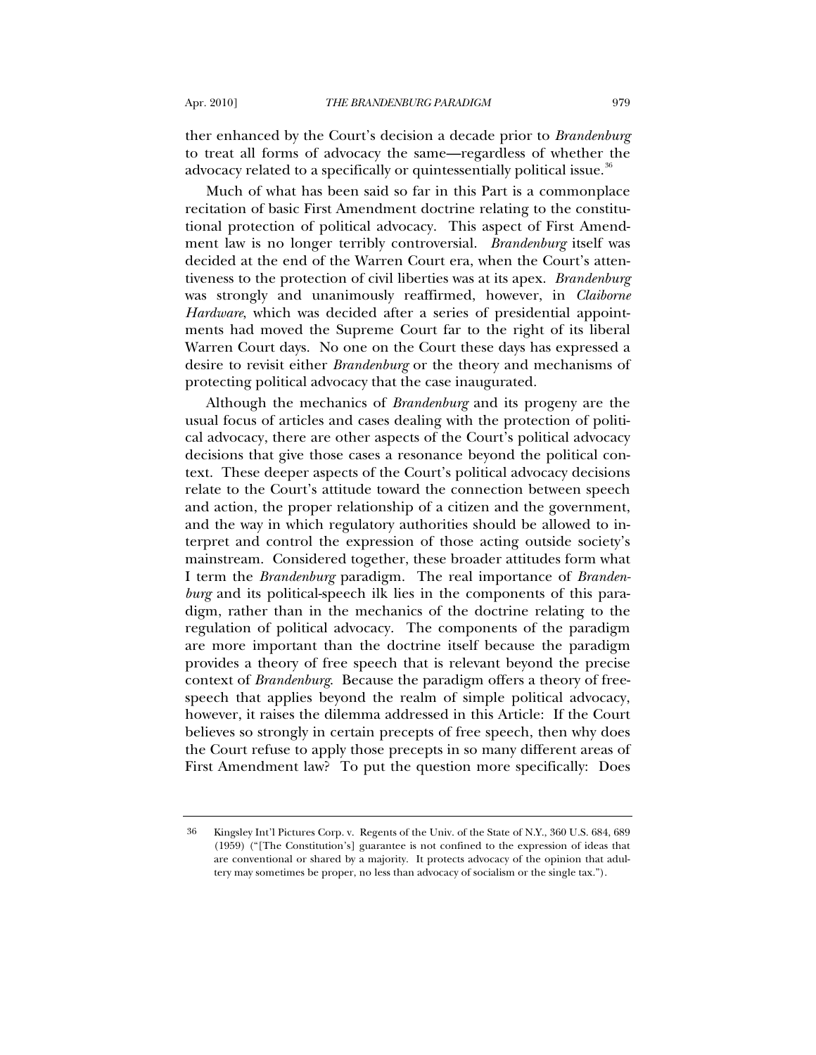ther enhanced by the Court's decision a decade prior to *Brandenburg* to treat all forms of advocacy the same—regardless of whether the advocacy related to a specifically or quintessentially political issue.<sup>[36](#page-8-0)</sup>

Much of what has been said so far in this Part is a commonplace recitation of basic First Amendment doctrine relating to the constitutional protection of political advocacy. This aspect of First Amendment law is no longer terribly controversial. *Brandenburg* itself was decided at the end of the Warren Court era, when the Court's attentiveness to the protection of civil liberties was at its apex. *Brandenburg* was strongly and unanimously reaffirmed, however, in *Claiborne Hardware*, which was decided after a series of presidential appointments had moved the Supreme Court far to the right of its liberal Warren Court days. No one on the Court these days has expressed a desire to revisit either *Brandenburg* or the theory and mechanisms of protecting political advocacy that the case inaugurated.

Although the mechanics of *Brandenburg* and its progeny are the usual focus of articles and cases dealing with the protection of political advocacy, there are other aspects of the Court's political advocacy decisions that give those cases a resonance beyond the political context. These deeper aspects of the Court's political advocacy decisions relate to the Court's attitude toward the connection between speech and action, the proper relationship of a citizen and the government, and the way in which regulatory authorities should be allowed to interpret and control the expression of those acting outside society's mainstream. Considered together, these broader attitudes form what I term the *Brandenburg* paradigm. The real importance of *Brandenburg* and its political-speech ilk lies in the components of this paradigm, rather than in the mechanics of the doctrine relating to the regulation of political advocacy. The components of the paradigm are more important than the doctrine itself because the paradigm provides a theory of free speech that is relevant beyond the precise context of *Brandenburg*. Because the paradigm offers a theory of freespeech that applies beyond the realm of simple political advocacy, however, it raises the dilemma addressed in this Article: If the Court believes so strongly in certain precepts of free speech, then why does the Court refuse to apply those precepts in so many different areas of First Amendment law? To put the question more specifically: Does

<span id="page-8-0"></span><sup>36</sup> Kingsley Int'l Pictures Corp. v. Regents of the Univ. of the State of N.Y., 360 U.S. 684, 689 (1959) ("[The Constitution's] guarantee is not confined to the expression of ideas that are conventional or shared by a majority. It protects advocacy of the opinion that adultery may sometimes be proper, no less than advocacy of socialism or the single tax.").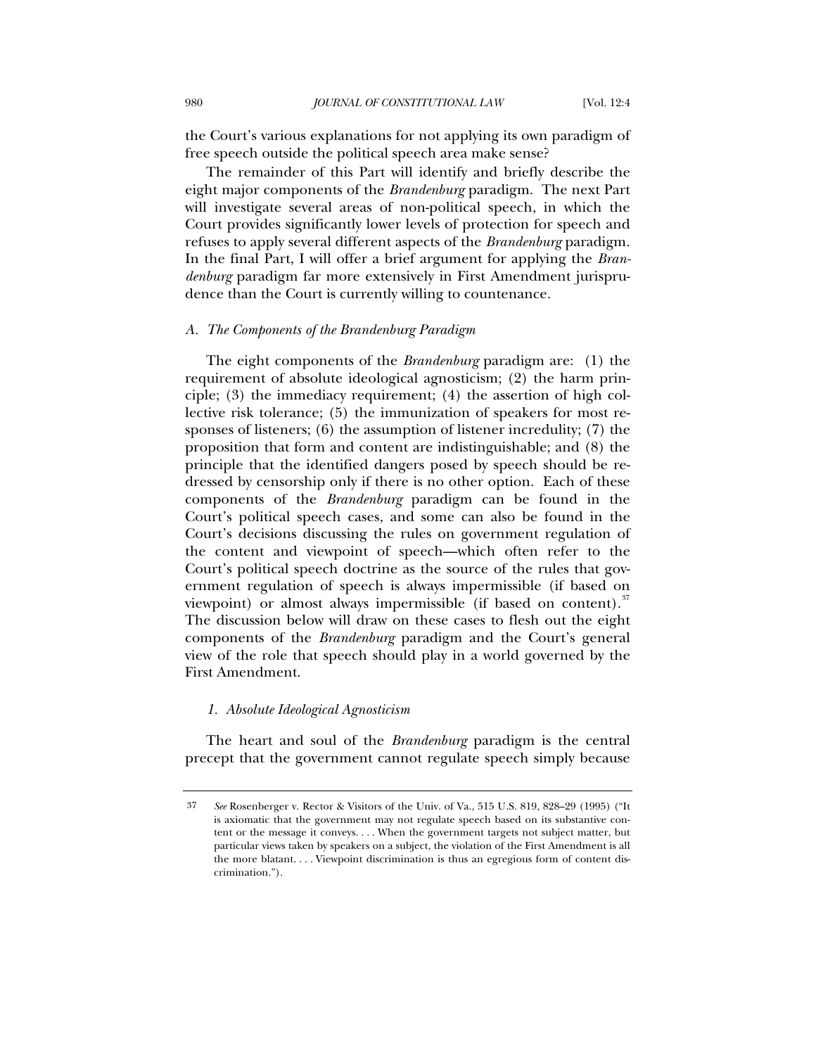the Court's various explanations for not applying its own paradigm of free speech outside the political speech area make sense?

The remainder of this Part will identify and briefly describe the eight major components of the *Brandenburg* paradigm. The next Part will investigate several areas of non-political speech, in which the Court provides significantly lower levels of protection for speech and refuses to apply several different aspects of the *Brandenburg* paradigm. In the final Part, I will offer a brief argument for applying the *Brandenburg* paradigm far more extensively in First Amendment jurisprudence than the Court is currently willing to countenance.

#### *A. The Components of the Brandenburg Paradigm*

The eight components of the *Brandenburg* paradigm are: (1) the requirement of absolute ideological agnosticism; (2) the harm principle; (3) the immediacy requirement; (4) the assertion of high collective risk tolerance; (5) the immunization of speakers for most responses of listeners; (6) the assumption of listener incredulity; (7) the proposition that form and content are indistinguishable; and (8) the principle that the identified dangers posed by speech should be redressed by censorship only if there is no other option. Each of these components of the *Brandenburg* paradigm can be found in the Court's political speech cases, and some can also be found in the Court's decisions discussing the rules on government regulation of the content and viewpoint of speech—which often refer to the Court's political speech doctrine as the source of the rules that government regulation of speech is always impermissible (if based on viewpoint) or almost always impermissible (if based on content).<sup>[37](#page-9-0)</sup> The discussion below will draw on these cases to flesh out the eight components of the *Brandenburg* paradigm and the Court's general view of the role that speech should play in a world governed by the First Amendment.

#### *1. Absolute Ideological Agnosticism*

The heart and soul of the *Brandenburg* paradigm is the central precept that the government cannot regulate speech simply because

<span id="page-9-0"></span><sup>37</sup> *See* Rosenberger v. Rector & Visitors of the Univ. of Va., 515 U.S. 819, 828–29 (1995) ("It is axiomatic that the government may not regulate speech based on its substantive content or the message it conveys. . . . When the government targets not subject matter, but particular views taken by speakers on a subject, the violation of the First Amendment is all the more blatant. . . . Viewpoint discrimination is thus an egregious form of content discrimination.").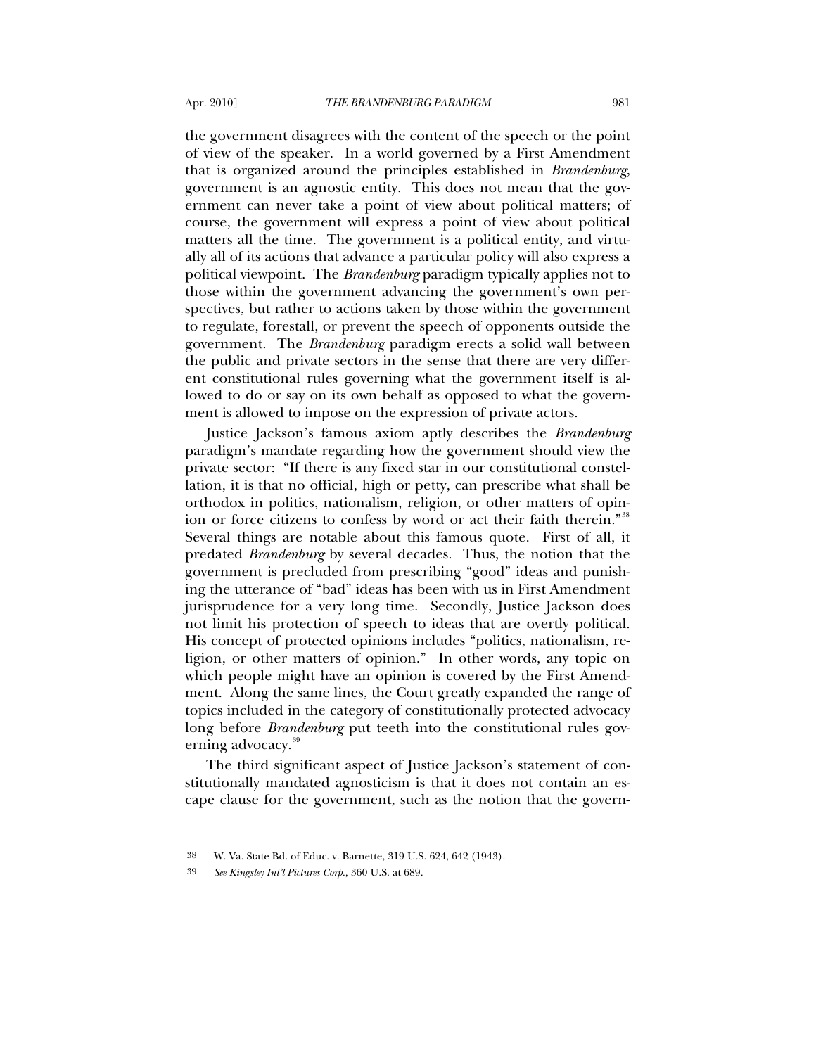the government disagrees with the content of the speech or the point of view of the speaker. In a world governed by a First Amendment that is organized around the principles established in *Brandenburg*, government is an agnostic entity. This does not mean that the government can never take a point of view about political matters; of course, the government will express a point of view about political matters all the time. The government is a political entity, and virtually all of its actions that advance a particular policy will also express a political viewpoint. The *Brandenburg* paradigm typically applies not to those within the government advancing the government's own perspectives, but rather to actions taken by those within the government to regulate, forestall, or prevent the speech of opponents outside the government. The *Brandenburg* paradigm erects a solid wall between the public and private sectors in the sense that there are very different constitutional rules governing what the government itself is allowed to do or say on its own behalf as opposed to what the government is allowed to impose on the expression of private actors.

Justice Jackson's famous axiom aptly describes the *Brandenburg*  paradigm's mandate regarding how the government should view the private sector: "If there is any fixed star in our constitutional constellation, it is that no official, high or petty, can prescribe what shall be orthodox in politics, nationalism, religion, or other matters of opin-ion or force citizens to confess by word or act their faith therein."<sup>[38](#page-10-0)</sup> Several things are notable about this famous quote. First of all, it predated *Brandenburg* by several decades. Thus, the notion that the government is precluded from prescribing "good" ideas and punishing the utterance of "bad" ideas has been with us in First Amendment jurisprudence for a very long time. Secondly, Justice Jackson does not limit his protection of speech to ideas that are overtly political. His concept of protected opinions includes "politics, nationalism, religion, or other matters of opinion." In other words, any topic on which people might have an opinion is covered by the First Amendment. Along the same lines, the Court greatly expanded the range of topics included in the category of constitutionally protected advocacy long before *Brandenburg* put teeth into the constitutional rules gov-erning advocacy.<sup>[39](#page-10-1)</sup>

The third significant aspect of Justice Jackson's statement of constitutionally mandated agnosticism is that it does not contain an escape clause for the government, such as the notion that the govern-

<span id="page-10-1"></span><span id="page-10-0"></span><sup>38</sup> W. Va. State Bd. of Educ. v. Barnette, 319 U.S. 624, 642 (1943).

<sup>39</sup> *See Kingsley Int'l Pictures Corp.*, 360 U.S. at 689.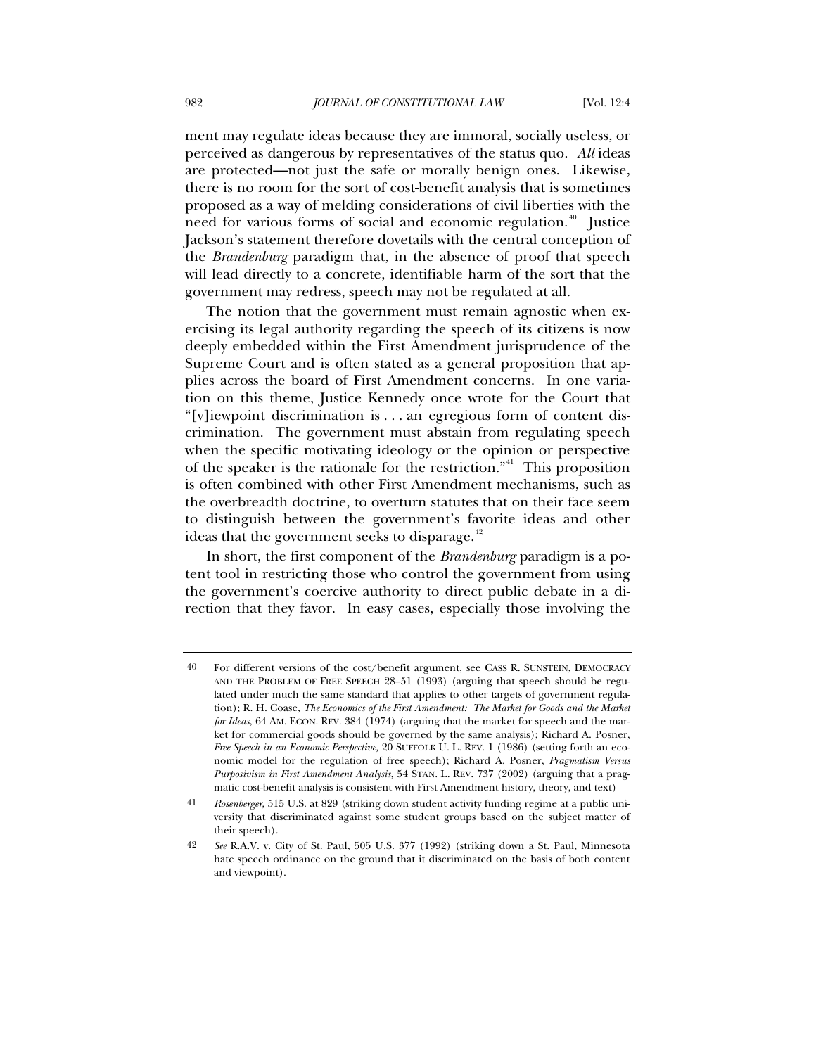ment may regulate ideas because they are immoral, socially useless, or perceived as dangerous by representatives of the status quo. *All* ideas are protected—not just the safe or morally benign ones. Likewise, there is no room for the sort of cost-benefit analysis that is sometimes proposed as a way of melding considerations of civil liberties with the need for various forms of social and economic regulation.<sup>[40](#page-11-0)</sup> Justice Jackson's statement therefore dovetails with the central conception of the *Brandenburg* paradigm that, in the absence of proof that speech will lead directly to a concrete, identifiable harm of the sort that the government may redress, speech may not be regulated at all.

The notion that the government must remain agnostic when exercising its legal authority regarding the speech of its citizens is now deeply embedded within the First Amendment jurisprudence of the Supreme Court and is often stated as a general proposition that applies across the board of First Amendment concerns. In one variation on this theme, Justice Kennedy once wrote for the Court that "[v]iewpoint discrimination is . . . an egregious form of content discrimination. The government must abstain from regulating speech when the specific motivating ideology or the opinion or perspective of the speaker is the rationale for the restriction."<sup>[41](#page-11-1)</sup> This proposition is often combined with other First Amendment mechanisms, such as the overbreadth doctrine, to overturn statutes that on their face seem to distinguish between the government's favorite ideas and other ideas that the government seeks to disparage. $42$ 

In short, the first component of the *Brandenburg* paradigm is a potent tool in restricting those who control the government from using the government's coercive authority to direct public debate in a direction that they favor. In easy cases, especially those involving the

<span id="page-11-0"></span><sup>40</sup> For different versions of the cost/benefit argument, see CASS R. SUNSTEIN, DEMOCRACY AND THE PROBLEM OF FREE SPEECH 28–51 (1993) (arguing that speech should be regulated under much the same standard that applies to other targets of government regulation); R. H. Coase, *The Economics of the First Amendment: The Market for Goods and the Market for Ideas*, 64 AM. ECON. REV. 384 (1974) (arguing that the market for speech and the market for commercial goods should be governed by the same analysis); Richard A. Posner, *Free Speech in an Economic Perspective,* 20 SUFFOLK U. L. REV. 1 (1986) (setting forth an economic model for the regulation of free speech); Richard A. Posner, *Pragmatism Versus Purposivism in First Amendment Analysis*, 54 STAN. L. REV. 737 (2002) (arguing that a pragmatic cost-benefit analysis is consistent with First Amendment history, theory, and text)

<span id="page-11-1"></span><sup>41</sup> *Rosenberger*, 515 U.S. at 829 (striking down student activity funding regime at a public university that discriminated against some student groups based on the subject matter of their speech).

<span id="page-11-2"></span><sup>42</sup> *See* R.A.V. v. City of St. Paul, 505 U.S. 377 (1992) (striking down a St. Paul, Minnesota hate speech ordinance on the ground that it discriminated on the basis of both content and viewpoint).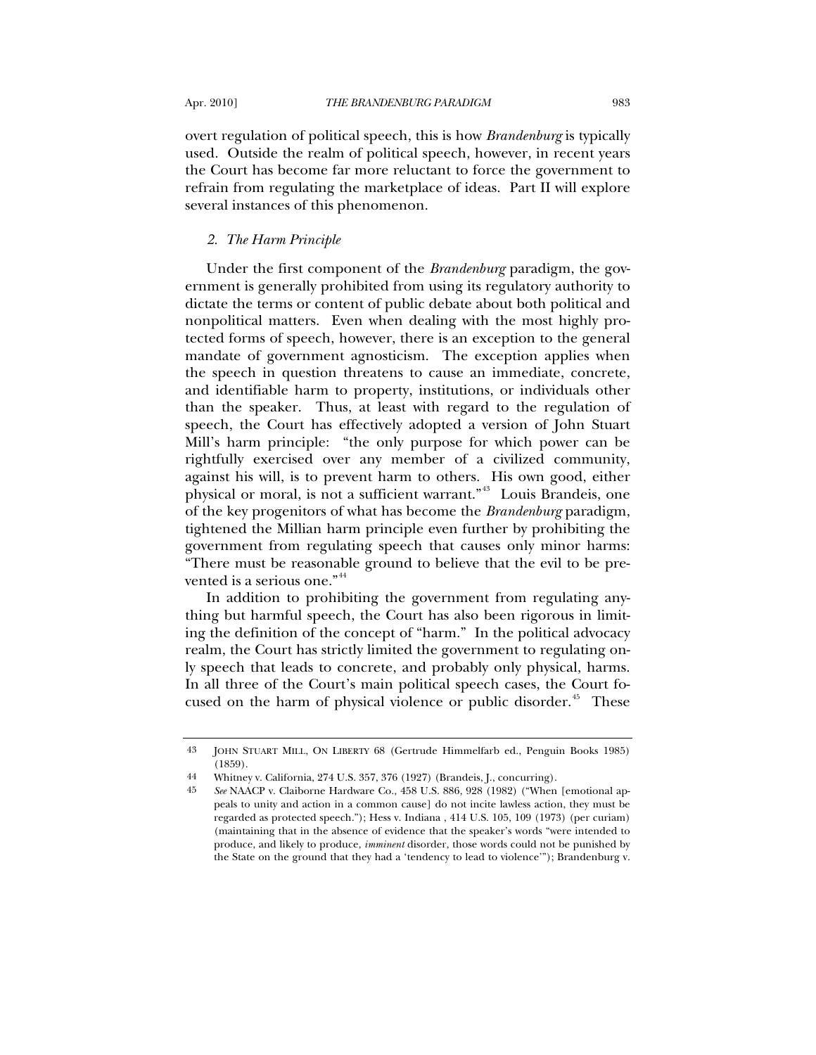overt regulation of political speech, this is how *Brandenburg* is typically used. Outside the realm of political speech, however, in recent years the Court has become far more reluctant to force the government to refrain from regulating the marketplace of ideas. Part II will explore several instances of this phenomenon.

### *2. The Harm Principle*

Under the first component of the *Brandenburg* paradigm, the government is generally prohibited from using its regulatory authority to dictate the terms or content of public debate about both political and nonpolitical matters. Even when dealing with the most highly protected forms of speech, however, there is an exception to the general mandate of government agnosticism. The exception applies when the speech in question threatens to cause an immediate, concrete, and identifiable harm to property, institutions, or individuals other than the speaker. Thus, at least with regard to the regulation of speech, the Court has effectively adopted a version of John Stuart Mill's harm principle: "the only purpose for which power can be rightfully exercised over any member of a civilized community, against his will, is to prevent harm to others. His own good, either physical or moral, is not a sufficient warrant."[43](#page-12-0) Louis Brandeis, one of the key progenitors of what has become the *Brandenburg* paradigm, tightened the Millian harm principle even further by prohibiting the government from regulating speech that causes only minor harms: "There must be reasonable ground to believe that the evil to be pre-vented is a serious one."<sup>[44](#page-12-1)</sup>

In addition to prohibiting the government from regulating anything but harmful speech, the Court has also been rigorous in limiting the definition of the concept of "harm." In the political advocacy realm, the Court has strictly limited the government to regulating only speech that leads to concrete, and probably only physical, harms. In all three of the Court's main political speech cases, the Court focused on the harm of physical violence or public disorder.<sup> $45$ </sup> These

<span id="page-12-1"></span><span id="page-12-0"></span><sup>43</sup> JOHN STUART MILL, ON LIBERTY 68 (Gertrude Himmelfarb ed., Penguin Books 1985) (1859).

<sup>44</sup> Whitney v. California, 274 U.S. 357, 376 (1927) (Brandeis, J., concurring).

<span id="page-12-2"></span><sup>45</sup> *See* NAACP v. Claiborne Hardware Co., 458 U.S. 886, 928 (1982) ("When [emotional appeals to unity and action in a common cause] do not incite lawless action, they must be regarded as protected speech."); Hess v. Indiana , 414 U.S. 105, 109 (1973) (per curiam) (maintaining that in the absence of evidence that the speaker's words "were intended to produce, and likely to produce, *imminent* disorder, those words could not be punished by the State on the ground that they had a 'tendency to lead to violence'"); Brandenburg v.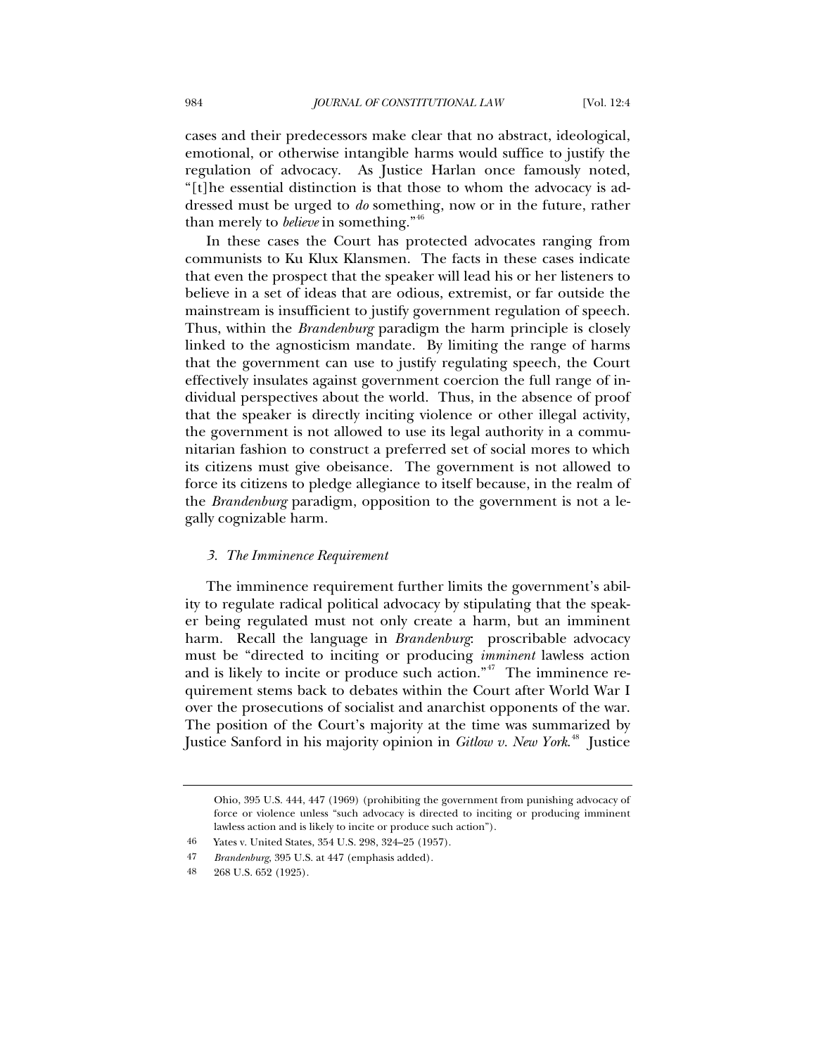cases and their predecessors make clear that no abstract, ideological, emotional, or otherwise intangible harms would suffice to justify the regulation of advocacy. As Justice Harlan once famously noted, "[t]he essential distinction is that those to whom the advocacy is addressed must be urged to *do* something, now or in the future, rather than merely to *believe* in something."[46](#page-13-0)

In these cases the Court has protected advocates ranging from communists to Ku Klux Klansmen. The facts in these cases indicate that even the prospect that the speaker will lead his or her listeners to believe in a set of ideas that are odious, extremist, or far outside the mainstream is insufficient to justify government regulation of speech. Thus, within the *Brandenburg* paradigm the harm principle is closely linked to the agnosticism mandate. By limiting the range of harms that the government can use to justify regulating speech, the Court effectively insulates against government coercion the full range of individual perspectives about the world. Thus, in the absence of proof that the speaker is directly inciting violence or other illegal activity, the government is not allowed to use its legal authority in a communitarian fashion to construct a preferred set of social mores to which its citizens must give obeisance. The government is not allowed to force its citizens to pledge allegiance to itself because, in the realm of the *Brandenburg* paradigm, opposition to the government is not a legally cognizable harm.

#### *3. The Imminence Requirement*

The imminence requirement further limits the government's ability to regulate radical political advocacy by stipulating that the speaker being regulated must not only create a harm, but an imminent harm. Recall the language in *Brandenburg*: proscribable advocacy must be "directed to inciting or producing *imminent* lawless action and is likely to incite or produce such action."<sup> $47$ </sup> The imminence requirement stems back to debates within the Court after World War I over the prosecutions of socialist and anarchist opponents of the war. The position of the Court's majority at the time was summarized by Justice Sanford in his majority opinion in *Gitlow v. New York*. [48](#page-13-2) Justice

Ohio, 395 U.S. 444, 447 (1969) (prohibiting the government from punishing advocacy of force or violence unless "such advocacy is directed to inciting or producing imminent lawless action and is likely to incite or produce such action").

<span id="page-13-1"></span><span id="page-13-0"></span><sup>46</sup> Yates v. United States, 354 U.S. 298, 324–25 (1957).

<sup>47</sup> *Brandenburg*, 395 U.S. at 447 (emphasis added).

<span id="page-13-2"></span><sup>48 268</sup> U.S. 652 (1925).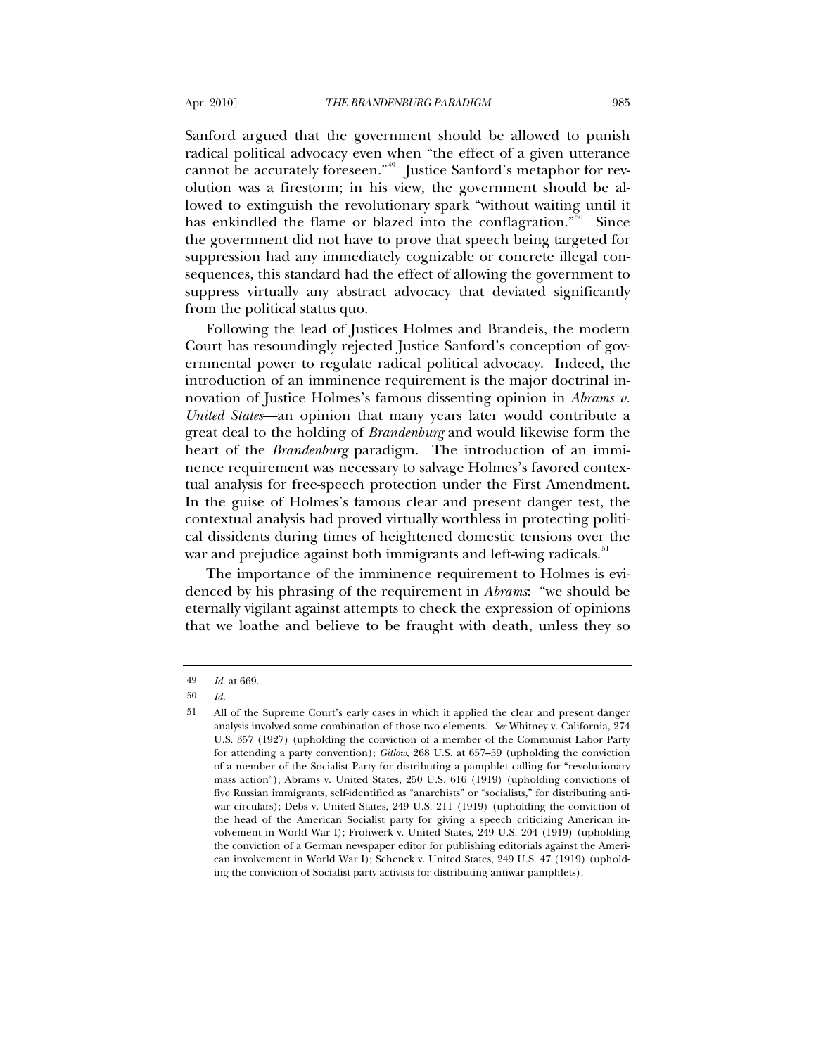Sanford argued that the government should be allowed to punish radical political advocacy even when "the effect of a given utterance cannot be accurately foreseen."<sup>[49](#page-14-0)</sup> Justice Sanford's metaphor for revolution was a firestorm; in his view, the government should be allowed to extinguish the revolutionary spark "without waiting until it has enkindled the flame or blazed into the conflagration."<sup>[50](#page-14-1)</sup> Since the government did not have to prove that speech being targeted for suppression had any immediately cognizable or concrete illegal consequences, this standard had the effect of allowing the government to suppress virtually any abstract advocacy that deviated significantly from the political status quo.

Following the lead of Justices Holmes and Brandeis, the modern Court has resoundingly rejected Justice Sanford's conception of governmental power to regulate radical political advocacy. Indeed, the introduction of an imminence requirement is the major doctrinal innovation of Justice Holmes's famous dissenting opinion in *Abrams v. United States*—an opinion that many years later would contribute a great deal to the holding of *Brandenburg* and would likewise form the heart of the *Brandenburg* paradigm. The introduction of an imminence requirement was necessary to salvage Holmes's favored contextual analysis for free-speech protection under the First Amendment. In the guise of Holmes's famous clear and present danger test, the contextual analysis had proved virtually worthless in protecting political dissidents during times of heightened domestic tensions over the war and prejudice against both immigrants and left-wing radicals.<sup>[51](#page-14-2)</sup>

The importance of the imminence requirement to Holmes is evidenced by his phrasing of the requirement in *Abrams*: "we should be eternally vigilant against attempts to check the expression of opinions that we loathe and believe to be fraught with death, unless they so

<sup>49</sup> *Id.* at 669.

<span id="page-14-1"></span><span id="page-14-0"></span><sup>50</sup> *Id.*

<span id="page-14-2"></span><sup>51</sup> All of the Supreme Court's early cases in which it applied the clear and present danger analysis involved some combination of those two elements. *See* Whitney v. California, 274 U.S. 357 (1927) (upholding the conviction of a member of the Communist Labor Party for attending a party convention); *Gitlow*, 268 U.S. at 657–59 (upholding the conviction of a member of the Socialist Party for distributing a pamphlet calling for "revolutionary mass action"); Abrams v. United States, 250 U.S. 616 (1919) (upholding convictions of five Russian immigrants, self-identified as "anarchists" or "socialists," for distributing antiwar circulars); Debs v. United States, 249 U.S. 211 (1919) (upholding the conviction of the head of the American Socialist party for giving a speech criticizing American involvement in World War I); Frohwerk v. United States, 249 U.S. 204 (1919) (upholding the conviction of a German newspaper editor for publishing editorials against the American involvement in World War I); Schenck v. United States, 249 U.S. 47 (1919) (upholding the conviction of Socialist party activists for distributing antiwar pamphlets).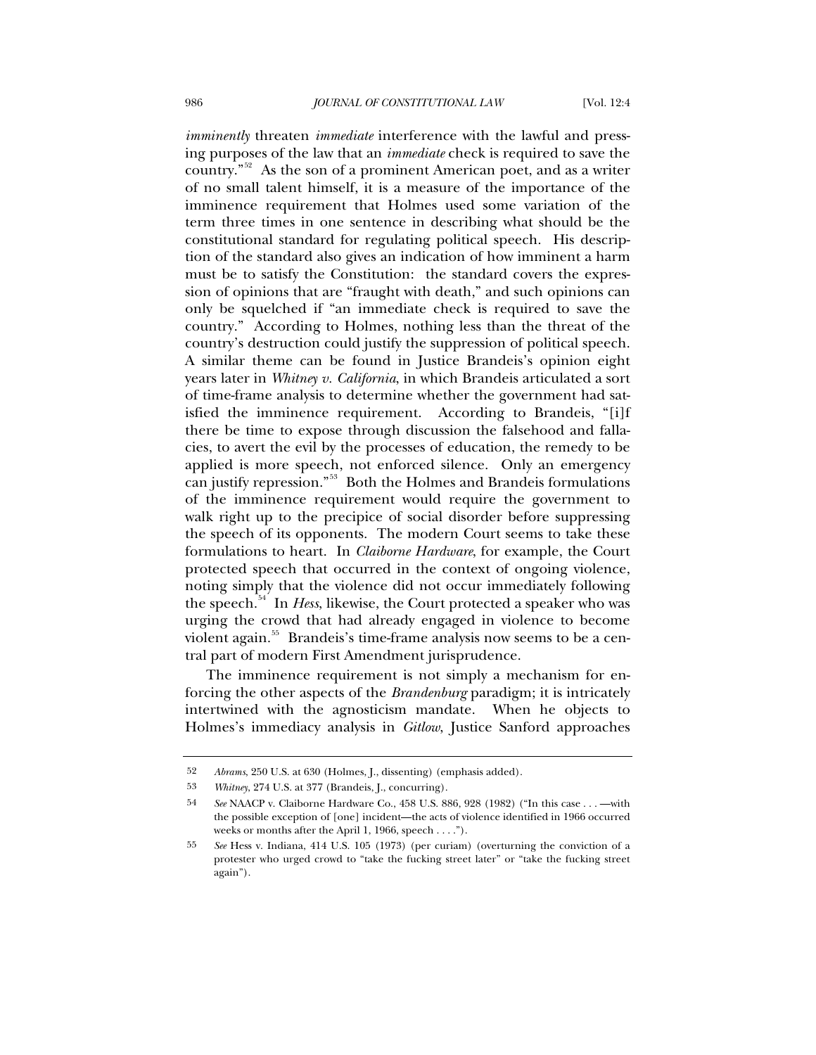*imminently* threaten *immediate* interference with the lawful and pressing purposes of the law that an *immediate* check is required to save the country."[52](#page-15-0) As the son of a prominent American poet, and as a writer of no small talent himself, it is a measure of the importance of the imminence requirement that Holmes used some variation of the term three times in one sentence in describing what should be the constitutional standard for regulating political speech. His description of the standard also gives an indication of how imminent a harm must be to satisfy the Constitution: the standard covers the expression of opinions that are "fraught with death," and such opinions can only be squelched if "an immediate check is required to save the country." According to Holmes, nothing less than the threat of the country's destruction could justify the suppression of political speech. A similar theme can be found in Justice Brandeis's opinion eight years later in *Whitney v. California*, in which Brandeis articulated a sort of time-frame analysis to determine whether the government had satisfied the imminence requirement. According to Brandeis, "[i]f there be time to expose through discussion the falsehood and fallacies, to avert the evil by the processes of education, the remedy to be applied is more speech, not enforced silence. Only an emergency can justify repression."[53](#page-15-1) Both the Holmes and Brandeis formulations of the imminence requirement would require the government to walk right up to the precipice of social disorder before suppressing the speech of its opponents. The modern Court seems to take these formulations to heart. In *Claiborne Hardware*, for example, the Court protected speech that occurred in the context of ongoing violence, noting simply that the violence did not occur immediately following the speech.<sup>[54](#page-15-2)</sup> In *Hess*, likewise, the Court protected a speaker who was urging the crowd that had already engaged in violence to become violent again.<sup>[55](#page-15-3)</sup> Brandeis's time-frame analysis now seems to be a central part of modern First Amendment jurisprudence.

The imminence requirement is not simply a mechanism for enforcing the other aspects of the *Brandenburg* paradigm; it is intricately intertwined with the agnosticism mandate. When he objects to Holmes's immediacy analysis in *Gitlow*, Justice Sanford approaches

<span id="page-15-0"></span><sup>52</sup> *Abrams*, 250 U.S. at 630 (Holmes, J., dissenting) (emphasis added).

<span id="page-15-1"></span><sup>53</sup> *Whitney*, 274 U.S. at 377 (Brandeis, J., concurring).

<span id="page-15-2"></span><sup>54</sup> *See* NAACP v. Claiborne Hardware Co., 458 U.S. 886, 928 (1982) ("In this case . . . —with the possible exception of [one] incident—the acts of violence identified in 1966 occurred weeks or months after the April 1, 1966, speech . . . .").

<span id="page-15-3"></span><sup>55</sup> *See* Hess v. Indiana, 414 U.S. 105 (1973) (per curiam) (overturning the conviction of a protester who urged crowd to "take the fucking street later" or "take the fucking street again").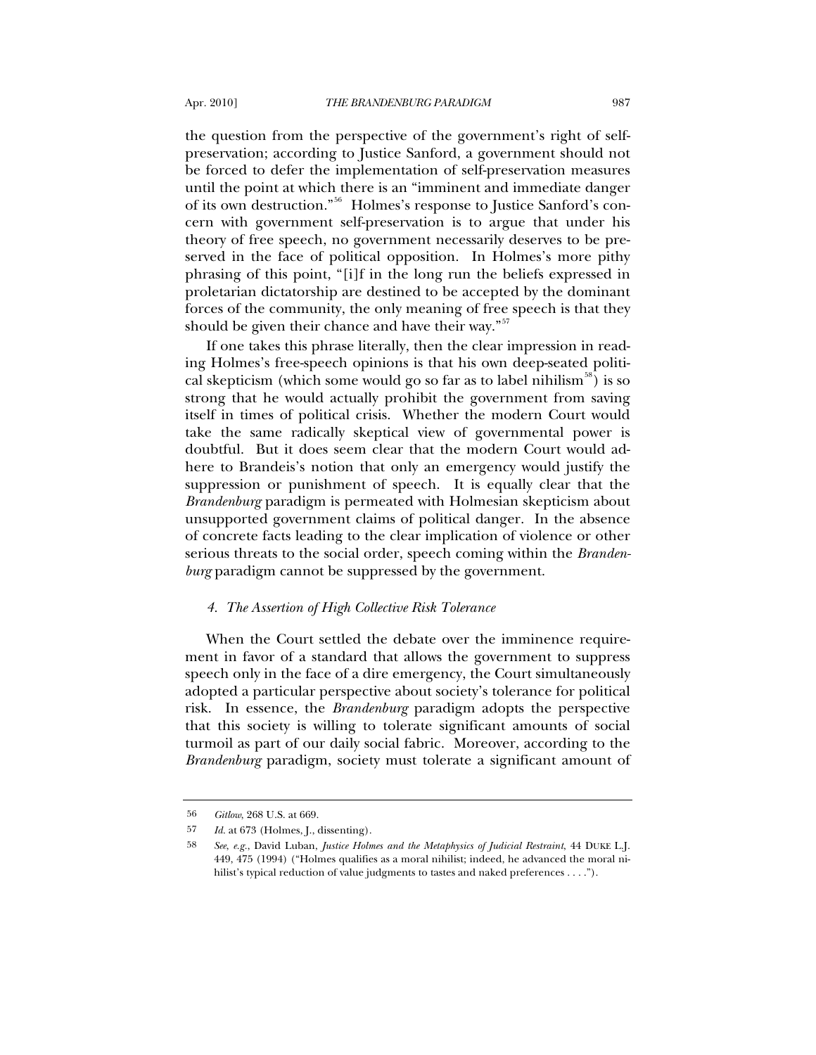the question from the perspective of the government's right of selfpreservation; according to Justice Sanford, a government should not be forced to defer the implementation of self-preservation measures until the point at which there is an "imminent and immediate danger of its own destruction."[56](#page-16-0) Holmes's response to Justice Sanford's concern with government self-preservation is to argue that under his

theory of free speech, no government necessarily deserves to be preserved in the face of political opposition. In Holmes's more pithy phrasing of this point, "[i]f in the long run the beliefs expressed in proletarian dictatorship are destined to be accepted by the dominant forces of the community, the only meaning of free speech is that they should be given their chance and have their way."<sup>[57](#page-16-1)</sup>

If one takes this phrase literally, then the clear impression in reading Holmes's free-speech opinions is that his own deep-seated politi-cal skepticism (which some would go so far as to label nihilism<sup>[58](#page-16-2)</sup>) is so strong that he would actually prohibit the government from saving itself in times of political crisis. Whether the modern Court would take the same radically skeptical view of governmental power is doubtful. But it does seem clear that the modern Court would adhere to Brandeis's notion that only an emergency would justify the suppression or punishment of speech. It is equally clear that the *Brandenburg* paradigm is permeated with Holmesian skepticism about unsupported government claims of political danger. In the absence of concrete facts leading to the clear implication of violence or other serious threats to the social order, speech coming within the *Brandenburg* paradigm cannot be suppressed by the government.

### *4. The Assertion of High Collective Risk Tolerance*

When the Court settled the debate over the imminence requirement in favor of a standard that allows the government to suppress speech only in the face of a dire emergency, the Court simultaneously adopted a particular perspective about society's tolerance for political risk. In essence, the *Brandenburg* paradigm adopts the perspective that this society is willing to tolerate significant amounts of social turmoil as part of our daily social fabric. Moreover, according to the *Brandenburg* paradigm, society must tolerate a significant amount of

<span id="page-16-0"></span><sup>56</sup> *Gitlow*, 268 U.S. at 669.

<span id="page-16-2"></span><span id="page-16-1"></span><sup>57</sup> *Id.* at 673 (Holmes, J., dissenting).

<sup>58</sup> *See*, *e.g.*, David Luban, *Justice Holmes and the Metaphysics of Judicial Restraint*, 44 DUKE L.J. 449, 475 (1994) ("Holmes qualifies as a moral nihilist; indeed, he advanced the moral nihilist's typical reduction of value judgments to tastes and naked preferences . . . .").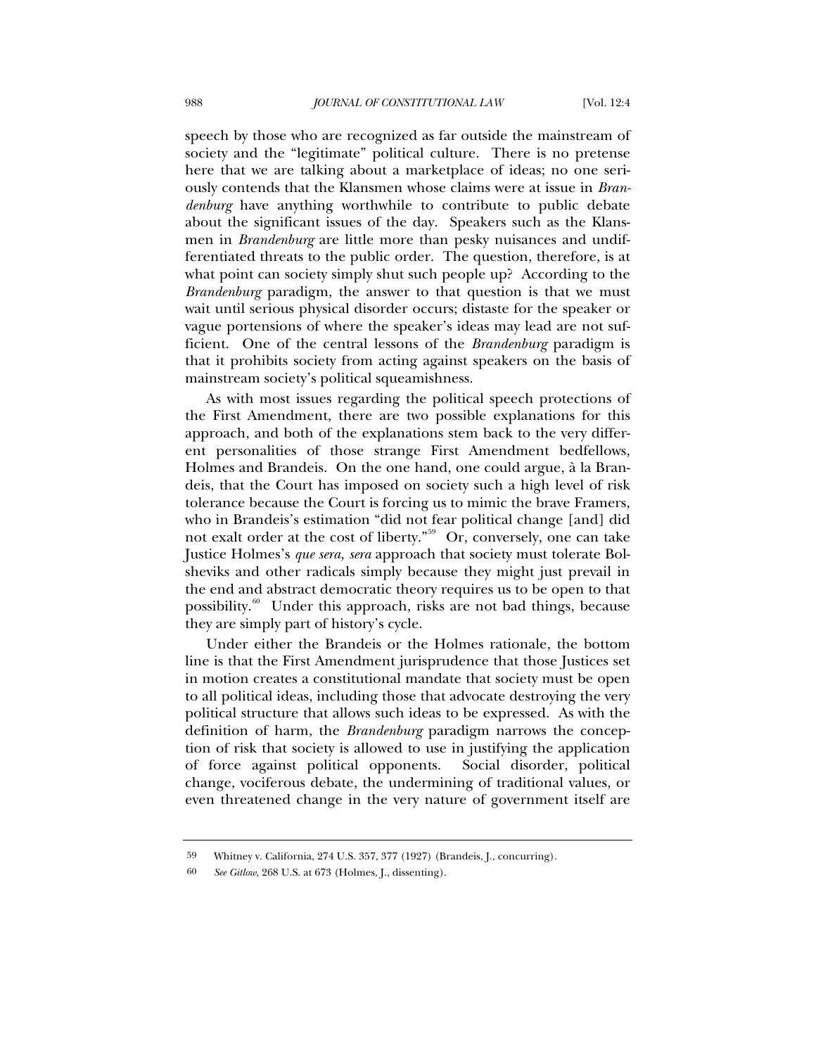speech by those who are recognized as far outside the mainstream of society and the "legitimate" political culture. There is no pretense here that we are talking about a marketplace of ideas; no one seriously contends that the Klansmen whose claims were at issue in *Brandenburg* have anything worthwhile to contribute to public debate about the significant issues of the day. Speakers such as the Klansmen in *Brandenburg* are little more than pesky nuisances and undifferentiated threats to the public order. The question, therefore, is at what point can society simply shut such people up? According to the *Brandenburg* paradigm, the answer to that question is that we must wait until serious physical disorder occurs; distaste for the speaker or vague portensions of where the speaker's ideas may lead are not sufficient. One of the central lessons of the *Brandenburg* paradigm is that it prohibits society from acting against speakers on the basis of mainstream society's political squeamishness.

As with most issues regarding the political speech protections of the First Amendment, there are two possible explanations for this approach, and both of the explanations stem back to the very different personalities of those strange First Amendment bedfellows, Holmes and Brandeis. On the one hand, one could argue, à la Brandeis, that the Court has imposed on society such a high level of risk tolerance because the Court is forcing us to mimic the brave Framers, who in Brandeis's estimation "did not fear political change [and] did not exalt order at the cost of liberty."<sup>[59](#page-17-0)</sup> Or, conversely, one can take Justice Holmes's *que sera, sera* approach that society must tolerate Bolsheviks and other radicals simply because they might just prevail in the end and abstract democratic theory requires us to be open to that possibility.[60](#page-17-1) Under this approach, risks are not bad things, because they are simply part of history's cycle.

Under either the Brandeis or the Holmes rationale, the bottom line is that the First Amendment jurisprudence that those Justices set in motion creates a constitutional mandate that society must be open to all political ideas, including those that advocate destroying the very political structure that allows such ideas to be expressed. As with the definition of harm, the *Brandenburg* paradigm narrows the conception of risk that society is allowed to use in justifying the application of force against political opponents. Social disorder, political change, vociferous debate, the undermining of traditional values, or even threatened change in the very nature of government itself are

<span id="page-17-0"></span><sup>59</sup> Whitney v. California, 274 U.S. 357, 377 (1927) (Brandeis, J., concurring).

<span id="page-17-1"></span><sup>60</sup> *See Gitlow*, 268 U.S. at 673 (Holmes, J., dissenting).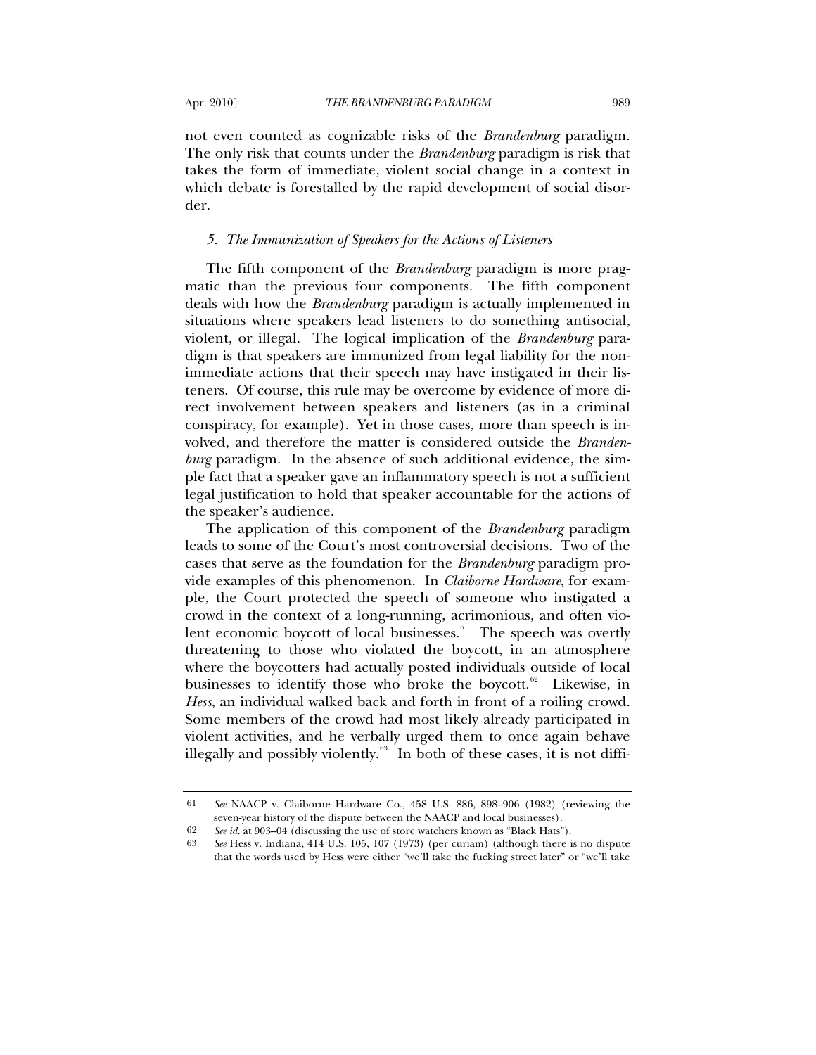not even counted as cognizable risks of the *Brandenburg* paradigm. The only risk that counts under the *Brandenburg* paradigm is risk that takes the form of immediate, violent social change in a context in which debate is forestalled by the rapid development of social disorder.

### *5. The Immunization of Speakers for the Actions of Listeners*

The fifth component of the *Brandenburg* paradigm is more pragmatic than the previous four components. The fifth component deals with how the *Brandenburg* paradigm is actually implemented in situations where speakers lead listeners to do something antisocial, violent, or illegal. The logical implication of the *Brandenburg* paradigm is that speakers are immunized from legal liability for the nonimmediate actions that their speech may have instigated in their listeners. Of course, this rule may be overcome by evidence of more direct involvement between speakers and listeners (as in a criminal conspiracy, for example). Yet in those cases, more than speech is involved, and therefore the matter is considered outside the *Brandenburg* paradigm. In the absence of such additional evidence, the simple fact that a speaker gave an inflammatory speech is not a sufficient legal justification to hold that speaker accountable for the actions of the speaker's audience.

The application of this component of the *Brandenburg* paradigm leads to some of the Court's most controversial decisions. Two of the cases that serve as the foundation for the *Brandenburg* paradigm provide examples of this phenomenon. In *Claiborne Hardware*, for example, the Court protected the speech of someone who instigated a crowd in the context of a long-running, acrimonious, and often vio-lent economic boycott of local businesses.<sup>[61](#page-18-0)</sup> The speech was overtly threatening to those who violated the boycott, in an atmosphere where the boycotters had actually posted individuals outside of local businesses to identify those who broke the boycott.<sup>[62](#page-18-1)</sup> Likewise, in *Hess*, an individual walked back and forth in front of a roiling crowd. Some members of the crowd had most likely already participated in violent activities, and he verbally urged them to once again behave illegally and possibly violently. $63$  In both of these cases, it is not diffi-

<span id="page-18-0"></span><sup>61</sup> *See* NAACP v. Claiborne Hardware Co., 458 U.S. 886, 898–906 (1982) (reviewing the seven-year history of the dispute between the NAACP and local businesses).

<sup>62</sup> *See id.* at 903–04 (discussing the use of store watchers known as "Black Hats").

<span id="page-18-2"></span><span id="page-18-1"></span><sup>63</sup> *See* Hess v. Indiana, 414 U.S. 105, 107 (1973) (per curiam) (although there is no dispute that the words used by Hess were either "we'll take the fucking street later" or "we'll take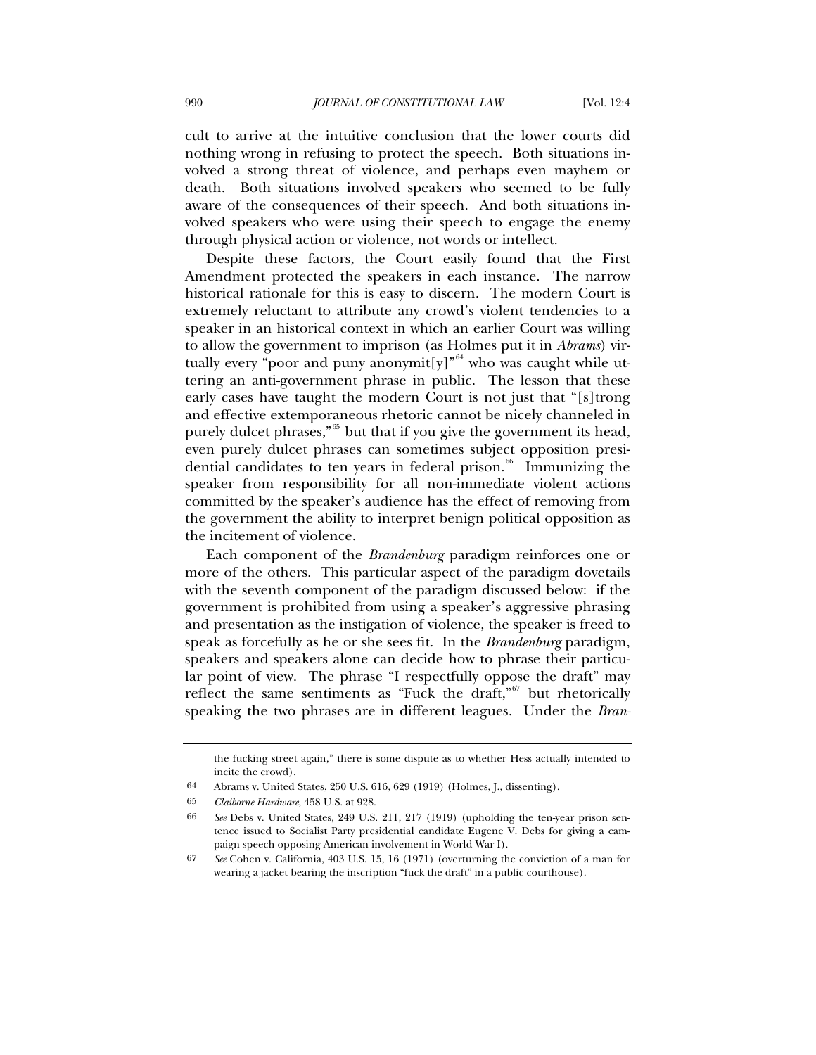cult to arrive at the intuitive conclusion that the lower courts did nothing wrong in refusing to protect the speech. Both situations involved a strong threat of violence, and perhaps even mayhem or death. Both situations involved speakers who seemed to be fully aware of the consequences of their speech. And both situations involved speakers who were using their speech to engage the enemy through physical action or violence, not words or intellect.

Despite these factors, the Court easily found that the First Amendment protected the speakers in each instance. The narrow historical rationale for this is easy to discern. The modern Court is extremely reluctant to attribute any crowd's violent tendencies to a speaker in an historical context in which an earlier Court was willing to allow the government to imprison (as Holmes put it in *Abrams*) virtually every "poor and puny anonymit [y]<sup> $n^{64}$  $n^{64}$  $n^{64}$ </sup> who was caught while uttering an anti-government phrase in public. The lesson that these early cases have taught the modern Court is not just that "[s]trong and effective extemporaneous rhetoric cannot be nicely channeled in purely dulcet phrases,"<sup>[65](#page-19-1)</sup> but that if you give the government its head, even purely dulcet phrases can sometimes subject opposition presi-dential candidates to ten years in federal prison.<sup>[66](#page-19-2)</sup> Immunizing the speaker from responsibility for all non-immediate violent actions committed by the speaker's audience has the effect of removing from the government the ability to interpret benign political opposition as the incitement of violence.

Each component of the *Brandenburg* paradigm reinforces one or more of the others. This particular aspect of the paradigm dovetails with the seventh component of the paradigm discussed below: if the government is prohibited from using a speaker's aggressive phrasing and presentation as the instigation of violence, the speaker is freed to speak as forcefully as he or she sees fit. In the *Brandenburg* paradigm, speakers and speakers alone can decide how to phrase their particular point of view. The phrase "I respectfully oppose the draft" may reflect the same sentiments as "Fuck the draft," $67$  but rhetorically speaking the two phrases are in different leagues. Under the *Bran-*

the fucking street again," there is some dispute as to whether Hess actually intended to incite the crowd).

<span id="page-19-1"></span><span id="page-19-0"></span><sup>64</sup> Abrams v. United States, 250 U.S. 616, 629 (1919) (Holmes, J., dissenting).

<sup>65</sup> *Claiborne Hardware*, 458 U.S. at 928.

<span id="page-19-2"></span><sup>66</sup> *See* Debs v. United States, 249 U.S. 211, 217 (1919) (upholding the ten-year prison sentence issued to Socialist Party presidential candidate Eugene V. Debs for giving a campaign speech opposing American involvement in World War I).

<span id="page-19-3"></span><sup>67</sup> *See* Cohen v. California, 403 U.S. 15, 16 (1971) (overturning the conviction of a man for wearing a jacket bearing the inscription "fuck the draft" in a public courthouse).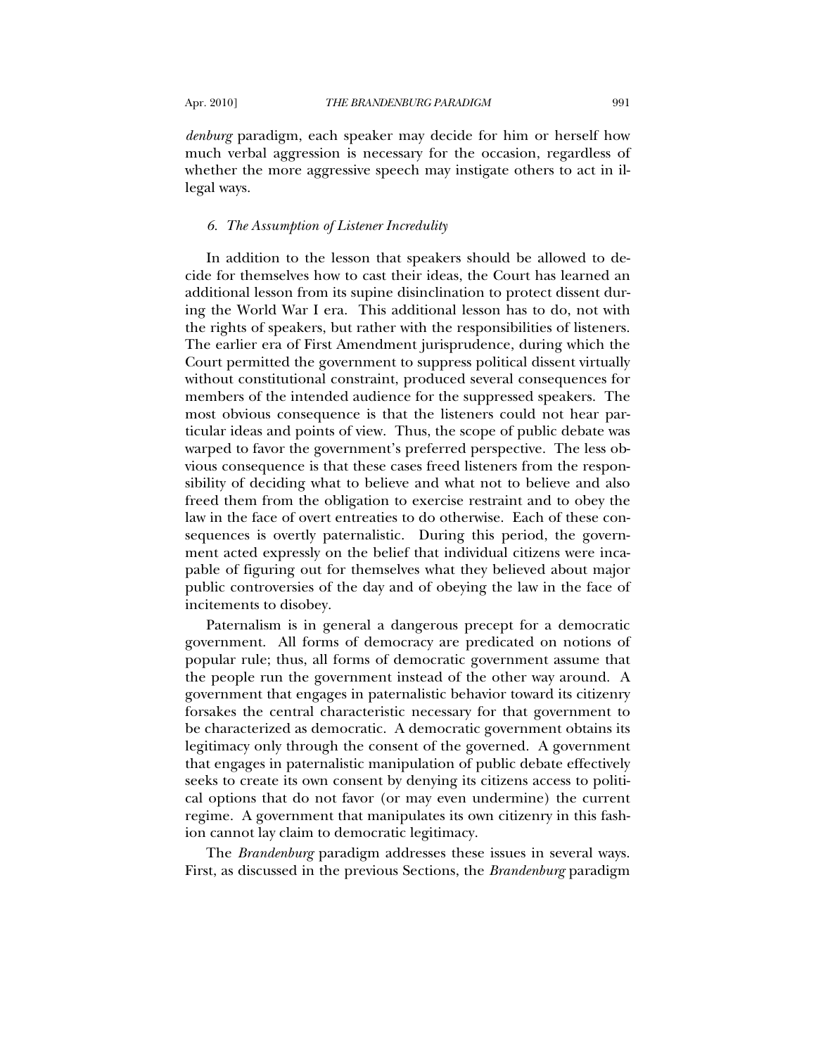*denburg* paradigm, each speaker may decide for him or herself how

much verbal aggression is necessary for the occasion, regardless of whether the more aggressive speech may instigate others to act in illegal ways.

### *6. The Assumption of Listener Incredulity*

In addition to the lesson that speakers should be allowed to decide for themselves how to cast their ideas, the Court has learned an additional lesson from its supine disinclination to protect dissent during the World War I era. This additional lesson has to do, not with the rights of speakers, but rather with the responsibilities of listeners. The earlier era of First Amendment jurisprudence, during which the Court permitted the government to suppress political dissent virtually without constitutional constraint, produced several consequences for members of the intended audience for the suppressed speakers. The most obvious consequence is that the listeners could not hear particular ideas and points of view. Thus, the scope of public debate was warped to favor the government's preferred perspective. The less obvious consequence is that these cases freed listeners from the responsibility of deciding what to believe and what not to believe and also freed them from the obligation to exercise restraint and to obey the law in the face of overt entreaties to do otherwise. Each of these consequences is overtly paternalistic. During this period, the government acted expressly on the belief that individual citizens were incapable of figuring out for themselves what they believed about major public controversies of the day and of obeying the law in the face of incitements to disobey.

Paternalism is in general a dangerous precept for a democratic government. All forms of democracy are predicated on notions of popular rule; thus, all forms of democratic government assume that the people run the government instead of the other way around. A government that engages in paternalistic behavior toward its citizenry forsakes the central characteristic necessary for that government to be characterized as democratic. A democratic government obtains its legitimacy only through the consent of the governed. A government that engages in paternalistic manipulation of public debate effectively seeks to create its own consent by denying its citizens access to political options that do not favor (or may even undermine) the current regime. A government that manipulates its own citizenry in this fashion cannot lay claim to democratic legitimacy.

The *Brandenburg* paradigm addresses these issues in several ways. First, as discussed in the previous Sections, the *Brandenburg* paradigm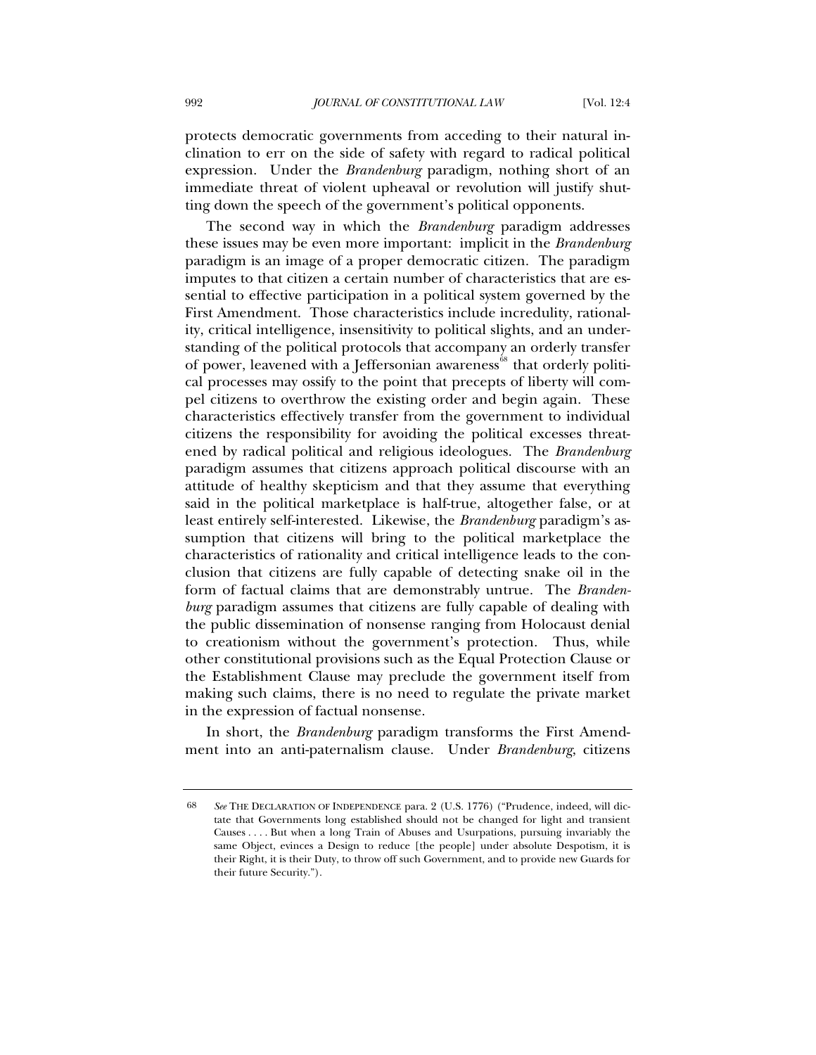protects democratic governments from acceding to their natural inclination to err on the side of safety with regard to radical political expression. Under the *Brandenburg* paradigm, nothing short of an immediate threat of violent upheaval or revolution will justify shutting down the speech of the government's political opponents.

The second way in which the *Brandenburg* paradigm addresses these issues may be even more important: implicit in the *Brandenburg* paradigm is an image of a proper democratic citizen. The paradigm imputes to that citizen a certain number of characteristics that are essential to effective participation in a political system governed by the First Amendment. Those characteristics include incredulity, rationality, critical intelligence, insensitivity to political slights, and an understanding of the political protocols that accompany an orderly transfer of power, leavened with a Jeffersonian awareness<sup>[68](#page-21-0)</sup> that orderly political processes may ossify to the point that precepts of liberty will compel citizens to overthrow the existing order and begin again. These characteristics effectively transfer from the government to individual citizens the responsibility for avoiding the political excesses threatened by radical political and religious ideologues. The *Brandenburg*  paradigm assumes that citizens approach political discourse with an attitude of healthy skepticism and that they assume that everything said in the political marketplace is half-true, altogether false, or at least entirely self-interested. Likewise, the *Brandenburg* paradigm's assumption that citizens will bring to the political marketplace the characteristics of rationality and critical intelligence leads to the conclusion that citizens are fully capable of detecting snake oil in the form of factual claims that are demonstrably untrue. The *Brandenburg* paradigm assumes that citizens are fully capable of dealing with the public dissemination of nonsense ranging from Holocaust denial to creationism without the government's protection. Thus, while other constitutional provisions such as the Equal Protection Clause or the Establishment Clause may preclude the government itself from making such claims, there is no need to regulate the private market in the expression of factual nonsense.

In short, the *Brandenburg* paradigm transforms the First Amendment into an anti-paternalism clause. Under *Brandenburg*, citizens

<span id="page-21-0"></span><sup>68</sup> *See* THE DECLARATION OF INDEPENDENCE para. 2 (U.S. 1776) ("Prudence, indeed, will dictate that Governments long established should not be changed for light and transient Causes . . . . But when a long Train of Abuses and Usurpations, pursuing invariably the same Object, evinces a Design to reduce [the people] under absolute Despotism, it is their Right, it is their Duty, to throw off such Government, and to provide new Guards for their future Security.").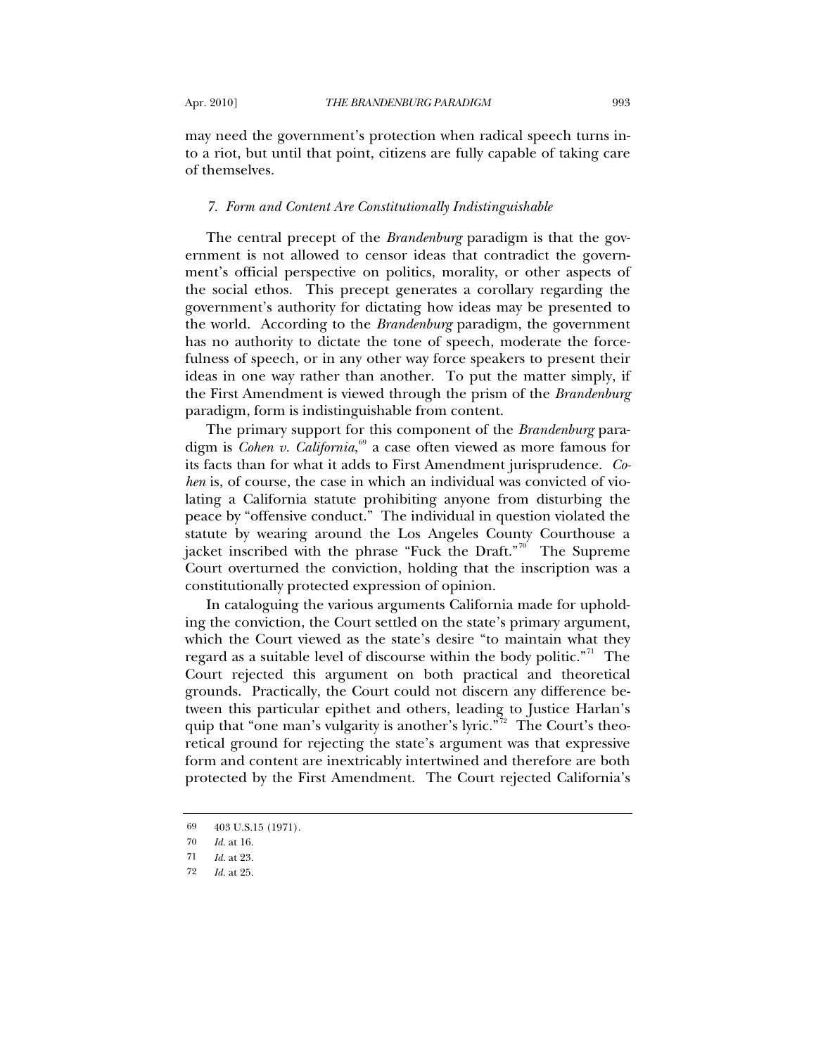may need the government's protection when radical speech turns into a riot, but until that point, citizens are fully capable of taking care of themselves.

#### *7. Form and Content Are Constitutionally Indistinguishable*

The central precept of the *Brandenburg* paradigm is that the government is not allowed to censor ideas that contradict the government's official perspective on politics, morality, or other aspects of the social ethos. This precept generates a corollary regarding the government's authority for dictating how ideas may be presented to the world. According to the *Brandenburg* paradigm, the government has no authority to dictate the tone of speech, moderate the forcefulness of speech, or in any other way force speakers to present their ideas in one way rather than another. To put the matter simply, if the First Amendment is viewed through the prism of the *Brandenburg* paradigm, form is indistinguishable from content.

The primary support for this component of the *Brandenburg* paradigm is *Cohen v. California*, [69](#page-22-0) a case often viewed as more famous for its facts than for what it adds to First Amendment jurisprudence. *Cohen* is, of course, the case in which an individual was convicted of violating a California statute prohibiting anyone from disturbing the peace by "offensive conduct." The individual in question violated the statute by wearing around the Los Angeles County Courthouse a jacket inscribed with the phrase "Fuck the Draft."<sup>[70](#page-22-1)'</sup> The Supreme Court overturned the conviction, holding that the inscription was a constitutionally protected expression of opinion.

In cataloguing the various arguments California made for upholding the conviction, the Court settled on the state's primary argument, which the Court viewed as the state's desire "to maintain what they regard as a suitable level of discourse within the body politic. $n^{71}$  $n^{71}$  $n^{71}$  The Court rejected this argument on both practical and theoretical grounds. Practically, the Court could not discern any difference between this particular epithet and others, leading to Justice Harlan's quip that "one man's vulgarity is another's lyric."<sup>[72](#page-22-3)</sup> The Court's theoretical ground for rejecting the state's argument was that expressive form and content are inextricably intertwined and therefore are both protected by the First Amendment. The Court rejected California's

<sup>69 403</sup> U.S.15 (1971).

<span id="page-22-1"></span><span id="page-22-0"></span><sup>70</sup> *Id.* at 16.

<span id="page-22-3"></span><span id="page-22-2"></span><sup>71</sup> *Id.* at 23.

<sup>72</sup> *Id.* at 25.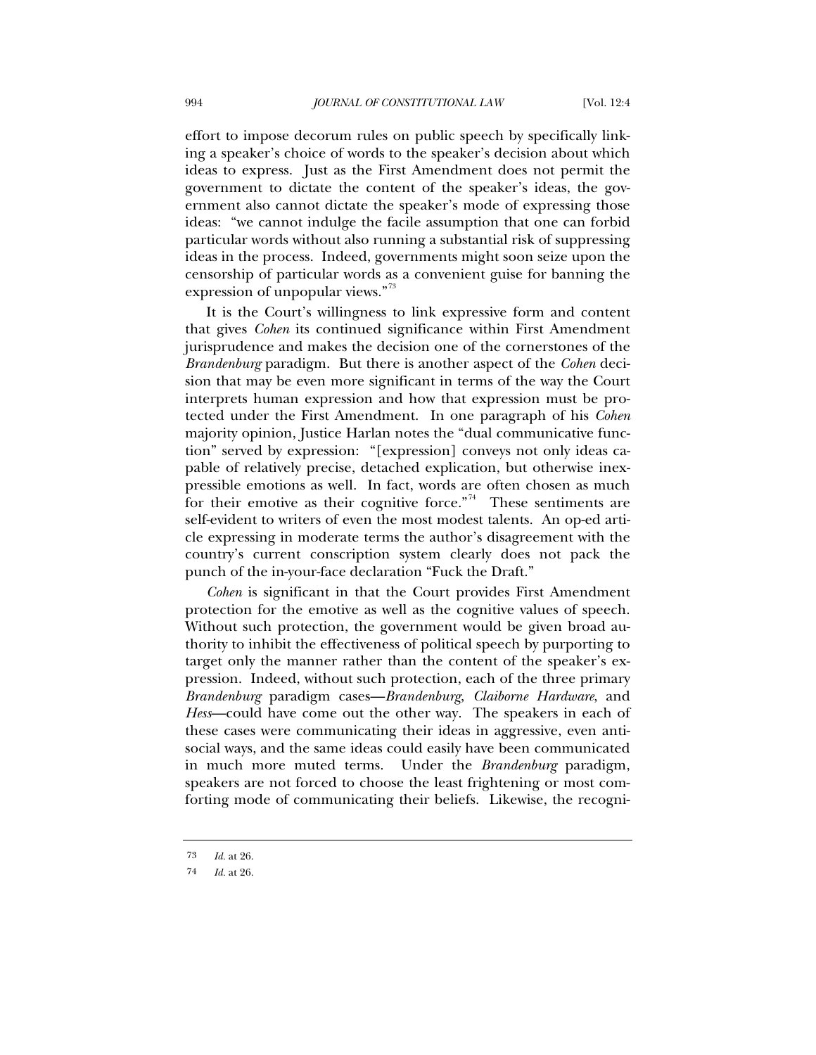effort to impose decorum rules on public speech by specifically linking a speaker's choice of words to the speaker's decision about which ideas to express. Just as the First Amendment does not permit the government to dictate the content of the speaker's ideas, the government also cannot dictate the speaker's mode of expressing those ideas: "we cannot indulge the facile assumption that one can forbid particular words without also running a substantial risk of suppressing ideas in the process. Indeed, governments might soon seize upon the censorship of particular words as a convenient guise for banning the expression of unpopular views."<sup>[73](#page-23-0)</sup>

It is the Court's willingness to link expressive form and content that gives *Cohen* its continued significance within First Amendment jurisprudence and makes the decision one of the cornerstones of the *Brandenburg* paradigm. But there is another aspect of the *Cohen* decision that may be even more significant in terms of the way the Court interprets human expression and how that expression must be protected under the First Amendment. In one paragraph of his *Cohen* majority opinion, Justice Harlan notes the "dual communicative function" served by expression: "[expression] conveys not only ideas capable of relatively precise, detached explication, but otherwise inexpressible emotions as well. In fact, words are often chosen as much for their emotive as their cognitive force."<sup>[74](#page-23-1)</sup> These sentiments are self-evident to writers of even the most modest talents. An op-ed article expressing in moderate terms the author's disagreement with the country's current conscription system clearly does not pack the punch of the in-your-face declaration "Fuck the Draft."

*Cohen* is significant in that the Court provides First Amendment protection for the emotive as well as the cognitive values of speech. Without such protection, the government would be given broad authority to inhibit the effectiveness of political speech by purporting to target only the manner rather than the content of the speaker's expression. Indeed, without such protection, each of the three primary *Brandenburg* paradigm cases—*Brandenburg*, *Claiborne Hardware*, and *Hess*—could have come out the other way. The speakers in each of these cases were communicating their ideas in aggressive, even antisocial ways, and the same ideas could easily have been communicated in much more muted terms. Under the *Brandenburg* paradigm, speakers are not forced to choose the least frightening or most comforting mode of communicating their beliefs. Likewise, the recogni-

<span id="page-23-0"></span><sup>73</sup> *Id.* at 26.

<span id="page-23-1"></span><sup>74</sup> *Id.* at 26.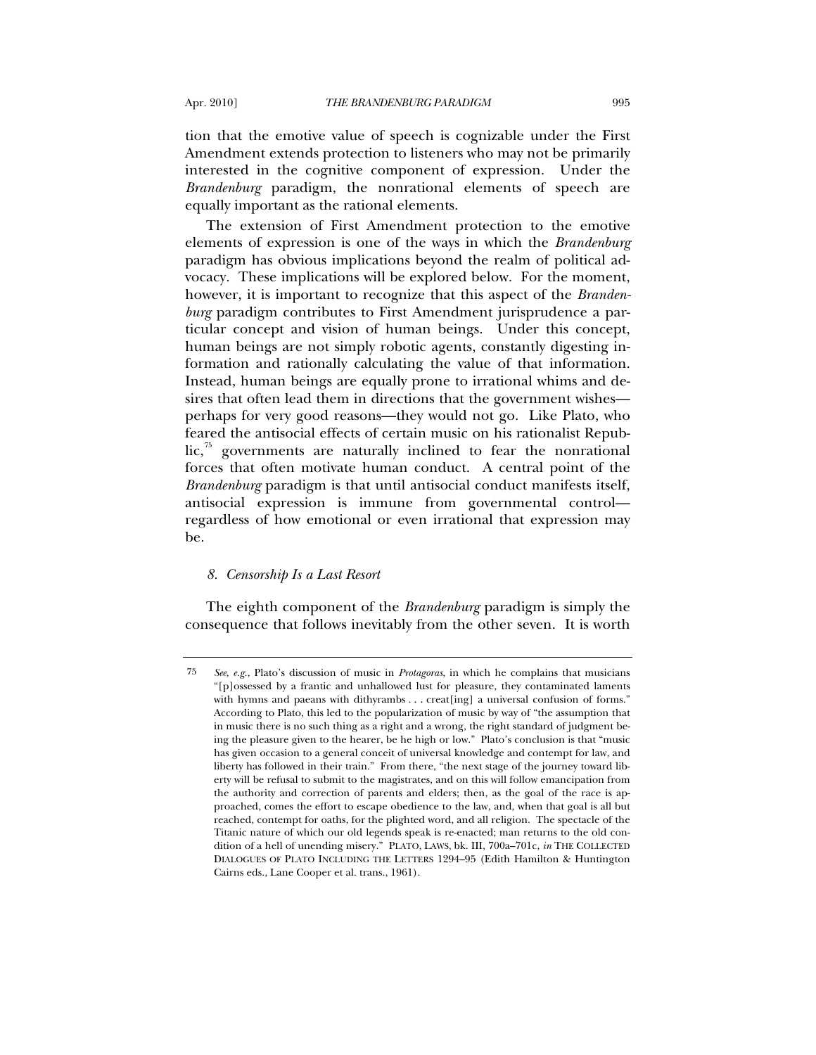tion that the emotive value of speech is cognizable under the First Amendment extends protection to listeners who may not be primarily interested in the cognitive component of expression. Under the *Brandenburg* paradigm, the nonrational elements of speech are equally important as the rational elements.

The extension of First Amendment protection to the emotive elements of expression is one of the ways in which the *Brandenburg* paradigm has obvious implications beyond the realm of political advocacy. These implications will be explored below. For the moment, however, it is important to recognize that this aspect of the *Brandenburg* paradigm contributes to First Amendment jurisprudence a particular concept and vision of human beings. Under this concept, human beings are not simply robotic agents, constantly digesting information and rationally calculating the value of that information. Instead, human beings are equally prone to irrational whims and desires that often lead them in directions that the government wishes perhaps for very good reasons—they would not go. Like Plato, who feared the antisocial effects of certain music on his rationalist Repub $lic<sub>i</sub>$ <sup>3</sup> governments are naturally inclined to fear the nonrational forces that often motivate human conduct. A central point of the *Brandenburg* paradigm is that until antisocial conduct manifests itself, antisocial expression is immune from governmental control regardless of how emotional or even irrational that expression may be.

### *8. Censorship Is a Last Resort*

The eighth component of the *Brandenburg* paradigm is simply the consequence that follows inevitably from the other seven. It is worth

<span id="page-24-0"></span><sup>75</sup> *See*, *e.g.*, Plato's discussion of music in *Protagoras*, in which he complains that musicians "[p]ossessed by a frantic and unhallowed lust for pleasure, they contaminated laments with hymns and paeans with dithyrambs . . . creat [ing] a universal confusion of forms." According to Plato, this led to the popularization of music by way of "the assumption that in music there is no such thing as a right and a wrong, the right standard of judgment being the pleasure given to the hearer, be he high or low." Plato's conclusion is that "music has given occasion to a general conceit of universal knowledge and contempt for law, and liberty has followed in their train." From there, "the next stage of the journey toward liberty will be refusal to submit to the magistrates, and on this will follow emancipation from the authority and correction of parents and elders; then, as the goal of the race is approached, comes the effort to escape obedience to the law, and, when that goal is all but reached, contempt for oaths, for the plighted word, and all religion. The spectacle of the Titanic nature of which our old legends speak is re-enacted; man returns to the old condition of a hell of unending misery." PLATO, LAWS, bk. III, 700a–701c, *in* THE COLLECTED DIALOGUES OF PLATO INCLUDING THE LETTERS 1294–95 (Edith Hamilton & Huntington Cairns eds., Lane Cooper et al. trans., 1961).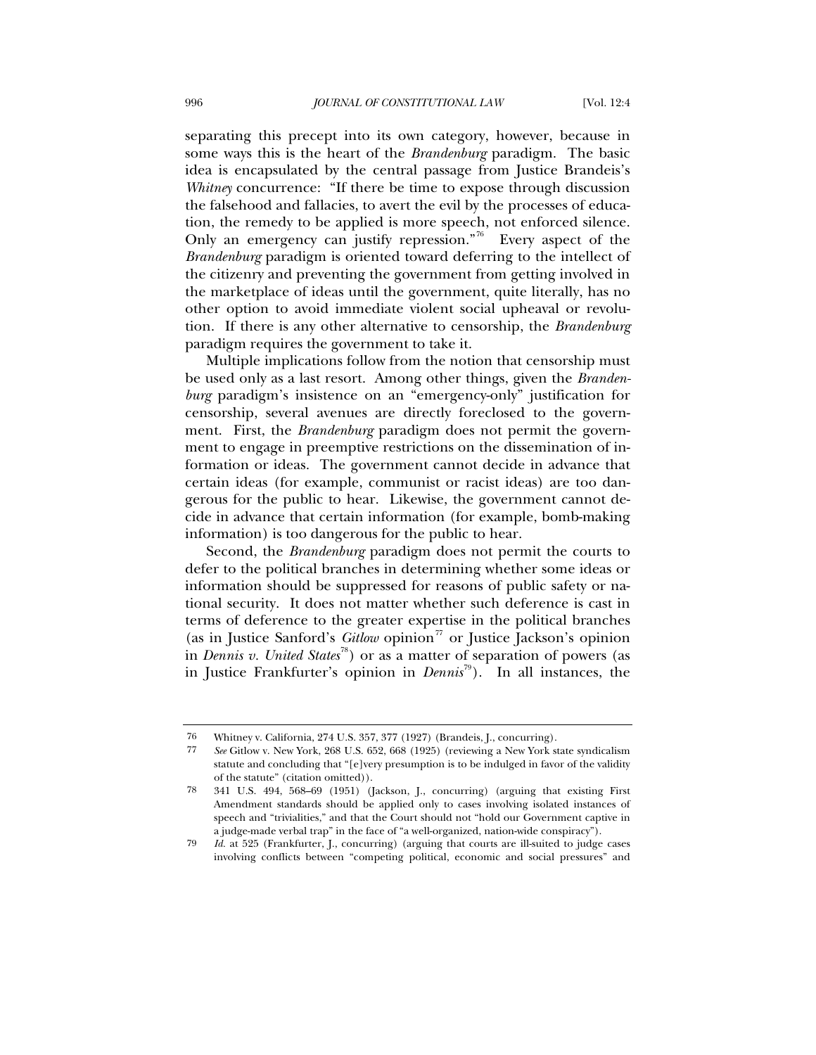separating this precept into its own category, however, because in some ways this is the heart of the *Brandenburg* paradigm. The basic idea is encapsulated by the central passage from Justice Brandeis's *Whitney* concurrence: "If there be time to expose through discussion the falsehood and fallacies, to avert the evil by the processes of education, the remedy to be applied is more speech, not enforced silence. Only an emergency can justify repression.<sup>"[76](#page-25-0)</sup> Every aspect of the *Brandenburg* paradigm is oriented toward deferring to the intellect of the citizenry and preventing the government from getting involved in the marketplace of ideas until the government, quite literally, has no other option to avoid immediate violent social upheaval or revolution. If there is any other alternative to censorship, the *Brandenburg* paradigm requires the government to take it.

Multiple implications follow from the notion that censorship must be used only as a last resort. Among other things, given the *Brandenburg* paradigm's insistence on an "emergency-only" justification for censorship, several avenues are directly foreclosed to the government. First, the *Brandenburg* paradigm does not permit the government to engage in preemptive restrictions on the dissemination of information or ideas. The government cannot decide in advance that certain ideas (for example, communist or racist ideas) are too dangerous for the public to hear. Likewise, the government cannot decide in advance that certain information (for example, bomb-making information) is too dangerous for the public to hear.

Second, the *Brandenburg* paradigm does not permit the courts to defer to the political branches in determining whether some ideas or information should be suppressed for reasons of public safety or national security. It does not matter whether such deference is cast in terms of deference to the greater expertise in the political branches (as in Justice Sanford's *Gitlow* opinion<sup>[77](#page-25-1)</sup> or Justice Jackson's opinion in *Dennis v. United States*<sup>[78](#page-25-2)</sup>) or as a matter of separation of powers (as in Justice Frankfurter's opinion in *Dennis*[79](#page-25-3)). In all instances, the

<span id="page-25-0"></span><sup>76</sup> Whitney v. California, 274 U.S. 357, 377 (1927) (Brandeis, J., concurring).

<span id="page-25-1"></span><sup>77</sup> *See* Gitlow v. New York, 268 U.S. 652, 668 (1925) (reviewing a New York state syndicalism statute and concluding that "[e]very presumption is to be indulged in favor of the validity of the statute" (citation omitted)).

<span id="page-25-2"></span><sup>78 341</sup> U.S. 494, 568–69 (1951) (Jackson, J., concurring) (arguing that existing First Amendment standards should be applied only to cases involving isolated instances of speech and "trivialities," and that the Court should not "hold our Government captive in a judge-made verbal trap" in the face of "a well-organized, nation-wide conspiracy").

<span id="page-25-3"></span><sup>79</sup> *Id.* at 525 (Frankfurter, J., concurring) (arguing that courts are ill-suited to judge cases involving conflicts between "competing political, economic and social pressures" and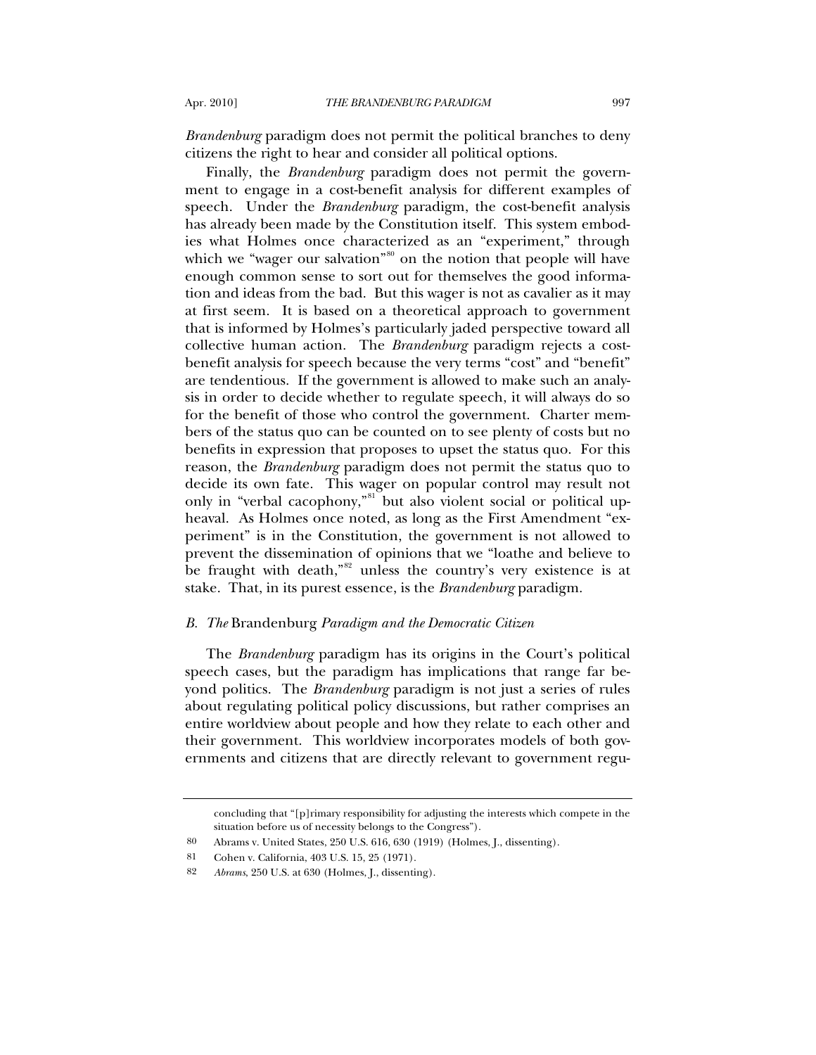*Brandenburg* paradigm does not permit the political branches to deny citizens the right to hear and consider all political options.

Finally, the *Brandenburg* paradigm does not permit the government to engage in a cost-benefit analysis for different examples of speech. Under the *Brandenburg* paradigm, the cost-benefit analysis has already been made by the Constitution itself. This system embodies what Holmes once characterized as an "experiment," through which we "wager our salvation"<sup>[80](#page-26-0)</sup> on the notion that people will have enough common sense to sort out for themselves the good information and ideas from the bad. But this wager is not as cavalier as it may at first seem. It is based on a theoretical approach to government that is informed by Holmes's particularly jaded perspective toward all collective human action. The *Brandenburg* paradigm rejects a costbenefit analysis for speech because the very terms "cost" and "benefit" are tendentious. If the government is allowed to make such an analysis in order to decide whether to regulate speech, it will always do so for the benefit of those who control the government. Charter members of the status quo can be counted on to see plenty of costs but no benefits in expression that proposes to upset the status quo. For this reason, the *Brandenburg* paradigm does not permit the status quo to decide its own fate. This wager on popular control may result not only in "verbal cacophony,"<sup>[81](#page-26-1)</sup> but also violent social or political upheaval. As Holmes once noted, as long as the First Amendment "experiment" is in the Constitution, the government is not allowed to prevent the dissemination of opinions that we "loathe and believe to be fraught with death,<sup>"[82](#page-26-2)</sup> unless the country's very existence is at stake. That, in its purest essence, is the *Brandenburg* paradigm.

## *B. The* Brandenburg *Paradigm and the Democratic Citizen*

The *Brandenburg* paradigm has its origins in the Court's political speech cases, but the paradigm has implications that range far beyond politics. The *Brandenburg* paradigm is not just a series of rules about regulating political policy discussions, but rather comprises an entire worldview about people and how they relate to each other and their government. This worldview incorporates models of both governments and citizens that are directly relevant to government regu-

concluding that "[p]rimary responsibility for adjusting the interests which compete in the situation before us of necessity belongs to the Congress").

<sup>80</sup> Abrams v. United States, 250 U.S. 616, 630 (1919) (Holmes, J., dissenting).

<span id="page-26-2"></span><span id="page-26-1"></span><span id="page-26-0"></span><sup>81</sup> Cohen v. California, 403 U.S. 15, 25 (1971).

<sup>82</sup> *Abrams*, 250 U.S. at 630 (Holmes, J., dissenting).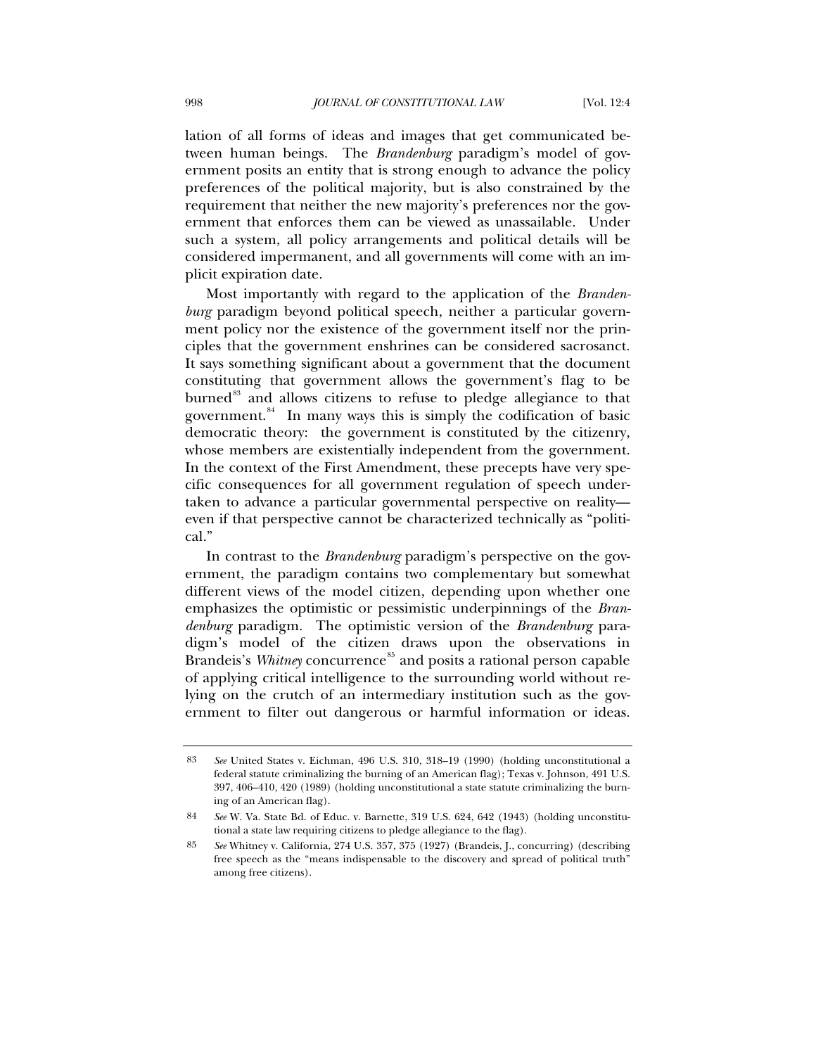lation of all forms of ideas and images that get communicated between human beings. The *Brandenburg* paradigm's model of government posits an entity that is strong enough to advance the policy preferences of the political majority, but is also constrained by the requirement that neither the new majority's preferences nor the government that enforces them can be viewed as unassailable. Under such a system, all policy arrangements and political details will be considered impermanent, and all governments will come with an implicit expiration date.

Most importantly with regard to the application of the *Brandenburg* paradigm beyond political speech, neither a particular government policy nor the existence of the government itself nor the principles that the government enshrines can be considered sacrosanct. It says something significant about a government that the document constituting that government allows the government's flag to be burned<sup>[83](#page-27-0)</sup> and allows citizens to refuse to pledge allegiance to that government. $84$  In many ways this is simply the codification of basic democratic theory: the government is constituted by the citizenry, whose members are existentially independent from the government. In the context of the First Amendment, these precepts have very specific consequences for all government regulation of speech undertaken to advance a particular governmental perspective on reality even if that perspective cannot be characterized technically as "political."

In contrast to the *Brandenburg* paradigm's perspective on the government, the paradigm contains two complementary but somewhat different views of the model citizen, depending upon whether one emphasizes the optimistic or pessimistic underpinnings of the *Brandenburg* paradigm. The optimistic version of the *Brandenburg* paradigm's model of the citizen draws upon the observations in Brandeis's *Whitney* concurrence<sup>[85](#page-27-2)</sup> and posits a rational person capable of applying critical intelligence to the surrounding world without relying on the crutch of an intermediary institution such as the government to filter out dangerous or harmful information or ideas.

<span id="page-27-0"></span><sup>83</sup> *See* United States v. Eichman, 496 U.S. 310, 318–19 (1990) (holding unconstitutional a federal statute criminalizing the burning of an American flag); Texas v. Johnson, 491 U.S. 397, 406–410, 420 (1989) (holding unconstitutional a state statute criminalizing the burning of an American flag).

<span id="page-27-1"></span><sup>84</sup> *See* W. Va. State Bd. of Educ. v. Barnette, 319 U.S. 624, 642 (1943) (holding unconstitutional a state law requiring citizens to pledge allegiance to the flag).

<span id="page-27-2"></span><sup>85</sup> *See* Whitney v. California, 274 U.S. 357, 375 (1927) (Brandeis, J., concurring) (describing free speech as the "means indispensable to the discovery and spread of political truth" among free citizens).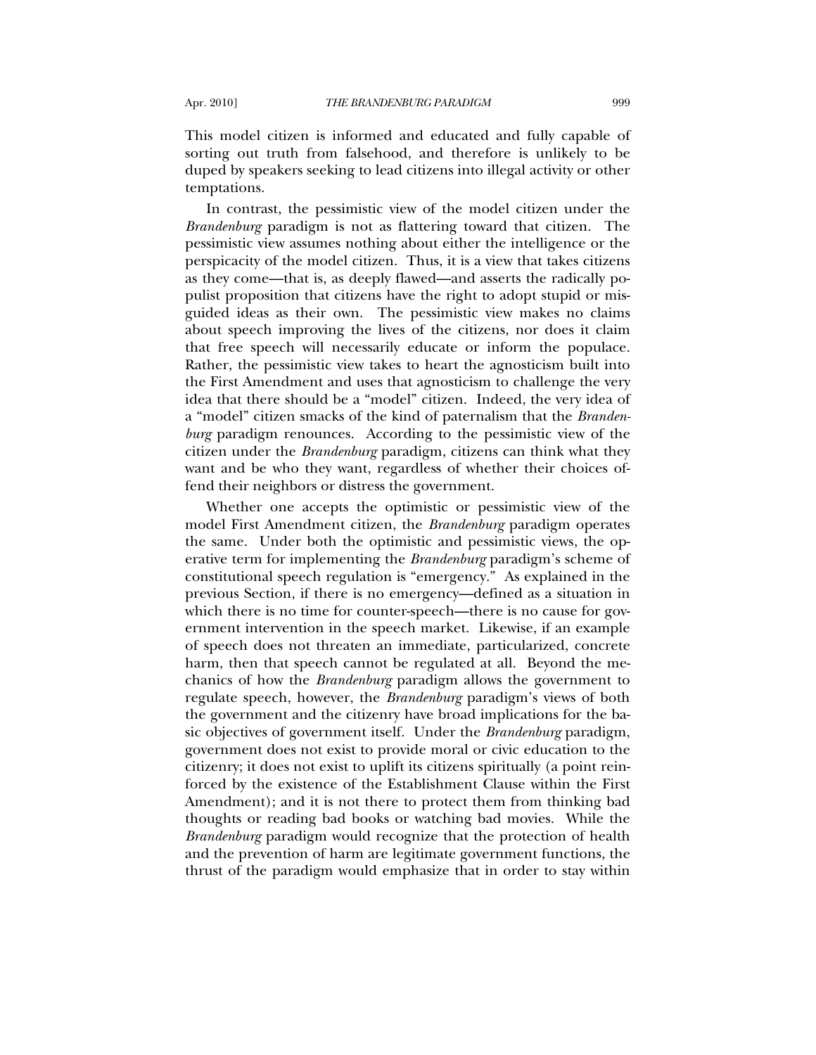This model citizen is informed and educated and fully capable of sorting out truth from falsehood, and therefore is unlikely to be duped by speakers seeking to lead citizens into illegal activity or other temptations.

In contrast, the pessimistic view of the model citizen under the *Brandenburg* paradigm is not as flattering toward that citizen. The pessimistic view assumes nothing about either the intelligence or the perspicacity of the model citizen. Thus, it is a view that takes citizens as they come—that is, as deeply flawed—and asserts the radically populist proposition that citizens have the right to adopt stupid or misguided ideas as their own. The pessimistic view makes no claims about speech improving the lives of the citizens, nor does it claim that free speech will necessarily educate or inform the populace. Rather, the pessimistic view takes to heart the agnosticism built into the First Amendment and uses that agnosticism to challenge the very idea that there should be a "model" citizen. Indeed, the very idea of a "model" citizen smacks of the kind of paternalism that the *Brandenburg* paradigm renounces. According to the pessimistic view of the citizen under the *Brandenburg* paradigm, citizens can think what they want and be who they want, regardless of whether their choices offend their neighbors or distress the government.

Whether one accepts the optimistic or pessimistic view of the model First Amendment citizen, the *Brandenburg* paradigm operates the same. Under both the optimistic and pessimistic views, the operative term for implementing the *Brandenburg* paradigm's scheme of constitutional speech regulation is "emergency." As explained in the previous Section, if there is no emergency—defined as a situation in which there is no time for counter-speech—there is no cause for government intervention in the speech market. Likewise, if an example of speech does not threaten an immediate, particularized, concrete harm, then that speech cannot be regulated at all. Beyond the mechanics of how the *Brandenburg* paradigm allows the government to regulate speech, however, the *Brandenburg* paradigm's views of both the government and the citizenry have broad implications for the basic objectives of government itself. Under the *Brandenburg* paradigm, government does not exist to provide moral or civic education to the citizenry; it does not exist to uplift its citizens spiritually (a point reinforced by the existence of the Establishment Clause within the First Amendment); and it is not there to protect them from thinking bad thoughts or reading bad books or watching bad movies. While the *Brandenburg* paradigm would recognize that the protection of health and the prevention of harm are legitimate government functions, the thrust of the paradigm would emphasize that in order to stay within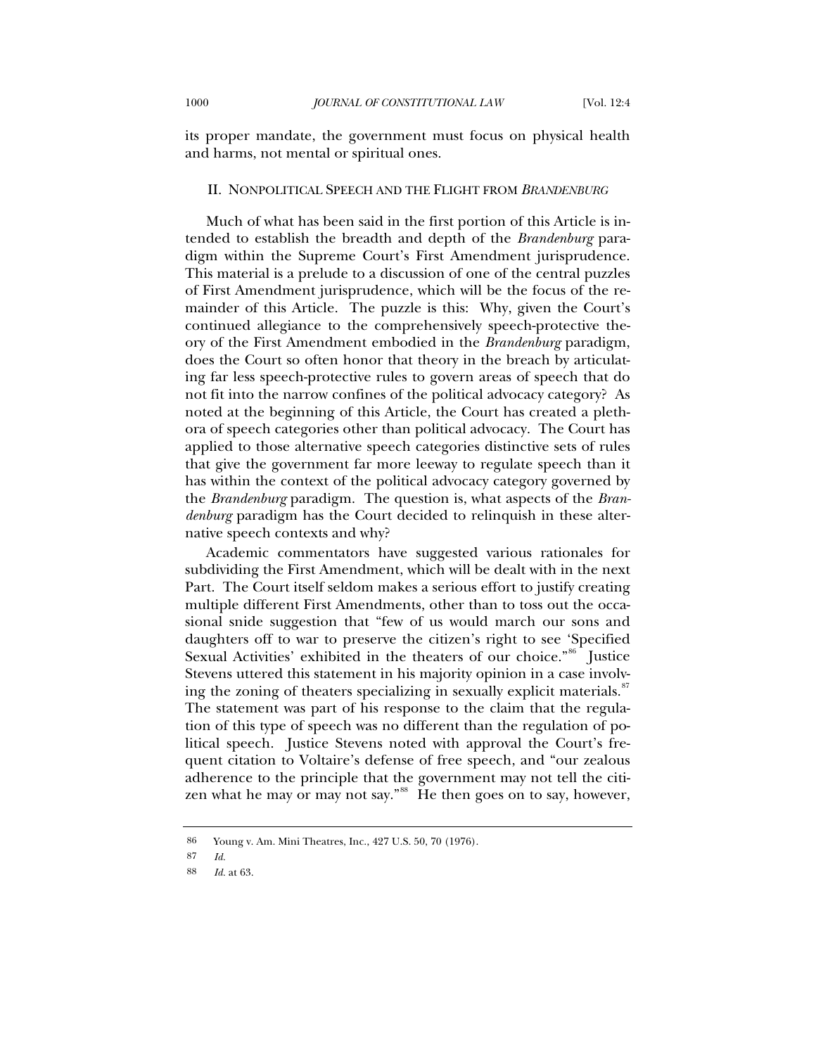its proper mandate, the government must focus on physical health and harms, not mental or spiritual ones.

### II. NONPOLITICAL SPEECH AND THE FLIGHT FROM *BRANDENBURG*

Much of what has been said in the first portion of this Article is intended to establish the breadth and depth of the *Brandenburg* paradigm within the Supreme Court's First Amendment jurisprudence. This material is a prelude to a discussion of one of the central puzzles of First Amendment jurisprudence, which will be the focus of the remainder of this Article. The puzzle is this: Why, given the Court's continued allegiance to the comprehensively speech-protective theory of the First Amendment embodied in the *Brandenburg* paradigm, does the Court so often honor that theory in the breach by articulating far less speech-protective rules to govern areas of speech that do not fit into the narrow confines of the political advocacy category? As noted at the beginning of this Article, the Court has created a plethora of speech categories other than political advocacy. The Court has applied to those alternative speech categories distinctive sets of rules that give the government far more leeway to regulate speech than it has within the context of the political advocacy category governed by the *Brandenburg* paradigm. The question is, what aspects of the *Brandenburg* paradigm has the Court decided to relinquish in these alternative speech contexts and why?

Academic commentators have suggested various rationales for subdividing the First Amendment, which will be dealt with in the next Part. The Court itself seldom makes a serious effort to justify creating multiple different First Amendments, other than to toss out the occasional snide suggestion that "few of us would march our sons and daughters off to war to preserve the citizen's right to see 'Specified Sexual Activities' exhibited in the theaters of our choice."<sup>[86](#page-29-0)</sup> Justice Stevens uttered this statement in his majority opinion in a case involv-ing the zoning of theaters specializing in sexually explicit materials.<sup>[87](#page-29-1)</sup> The statement was part of his response to the claim that the regulation of this type of speech was no different than the regulation of political speech. Justice Stevens noted with approval the Court's frequent citation to Voltaire's defense of free speech, and "our zealous adherence to the principle that the government may not tell the citi-zen what he may or may not say."<sup>[88](#page-29-2)</sup> He then goes on to say, however,

<sup>86</sup> Young v. Am. Mini Theatres, Inc., 427 U.S. 50, 70 (1976).

<span id="page-29-2"></span><span id="page-29-1"></span><span id="page-29-0"></span><sup>87</sup> *Id.*

<sup>88</sup> *Id.* at 63.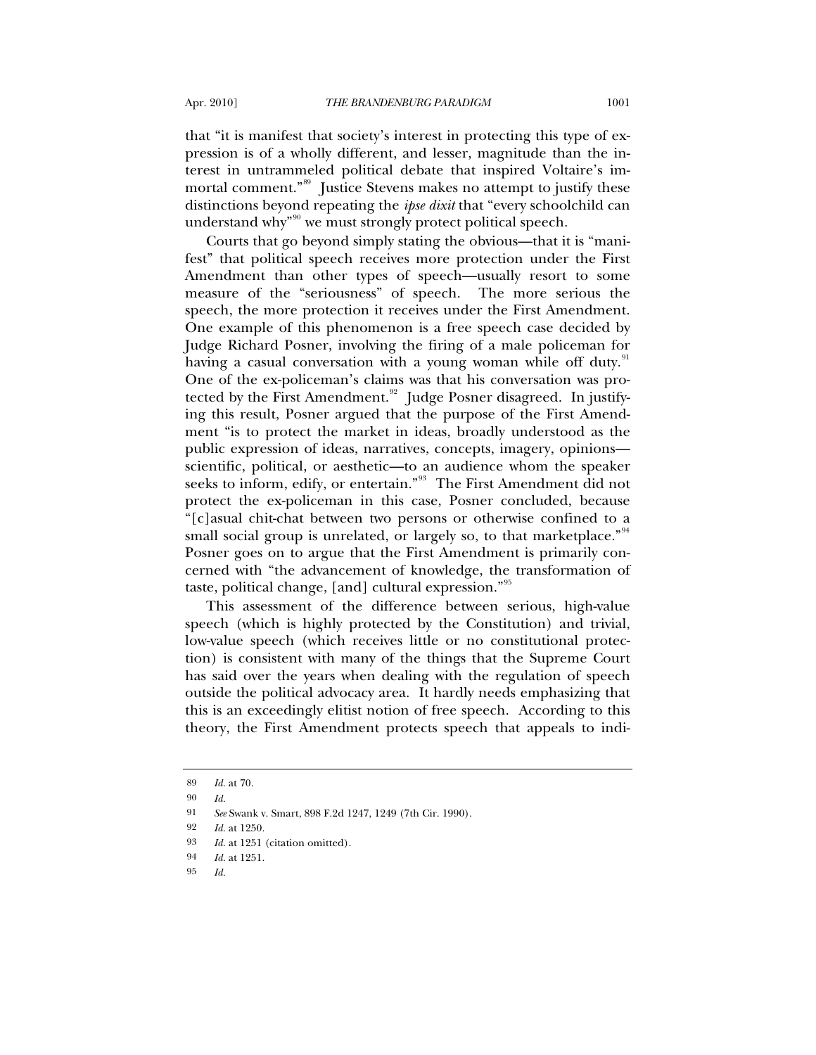that "it is manifest that society's interest in protecting this type of expression is of a wholly different, and lesser, magnitude than the interest in untrammeled political debate that inspired Voltaire's im-mortal comment."<sup>[89](#page-30-0)</sup> Justice Stevens makes no attempt to justify these distinctions beyond repeating the *ipse dixit* that "every schoolchild can understand why<sup>"[90](#page-30-1)</sup> we must strongly protect political speech.

Courts that go beyond simply stating the obvious—that it is "manifest" that political speech receives more protection under the First Amendment than other types of speech—usually resort to some measure of the "seriousness" of speech. The more serious the speech, the more protection it receives under the First Amendment. One example of this phenomenon is a free speech case decided by Judge Richard Posner, involving the firing of a male policeman for having a casual conversation with a young woman while off duty.<sup>[91](#page-30-2)</sup> One of the ex-policeman's claims was that his conversation was pro-tected by the First Amendment.<sup>[92](#page-30-3)</sup> Judge Posner disagreed. In justifying this result, Posner argued that the purpose of the First Amendment "is to protect the market in ideas, broadly understood as the public expression of ideas, narratives, concepts, imagery, opinions scientific, political, or aesthetic—to an audience whom the speaker seeks to inform, edify, or entertain."<sup>[93](#page-30-4)</sup> The First Amendment did not protect the ex-policeman in this case, Posner concluded, because "[c]asual chit-chat between two persons or otherwise confined to a small social group is unrelated, or largely so, to that marketplace."<sup>[94](#page-30-5)</sup> Posner goes on to argue that the First Amendment is primarily concerned with "the advancement of knowledge, the transformation of taste, political change, [and] cultural expression."[95](#page-30-6)

This assessment of the difference between serious, high-value speech (which is highly protected by the Constitution) and trivial, low-value speech (which receives little or no constitutional protection) is consistent with many of the things that the Supreme Court has said over the years when dealing with the regulation of speech outside the political advocacy area. It hardly needs emphasizing that this is an exceedingly elitist notion of free speech. According to this theory, the First Amendment protects speech that appeals to indi-

<span id="page-30-0"></span><sup>89</sup> *Id.* at 70.

<span id="page-30-1"></span><sup>90</sup> *Id.*

<span id="page-30-2"></span><sup>91</sup> *See* Swank v. Smart, 898 F.2d 1247, 1249 (7th Cir. 1990).

<span id="page-30-3"></span><sup>92</sup> *Id.* at 1250.

<span id="page-30-4"></span><sup>93</sup> *Id.* at 1251 (citation omitted).

<span id="page-30-6"></span><span id="page-30-5"></span><sup>94</sup> *Id.* at 1251.

<sup>95</sup> *Id.*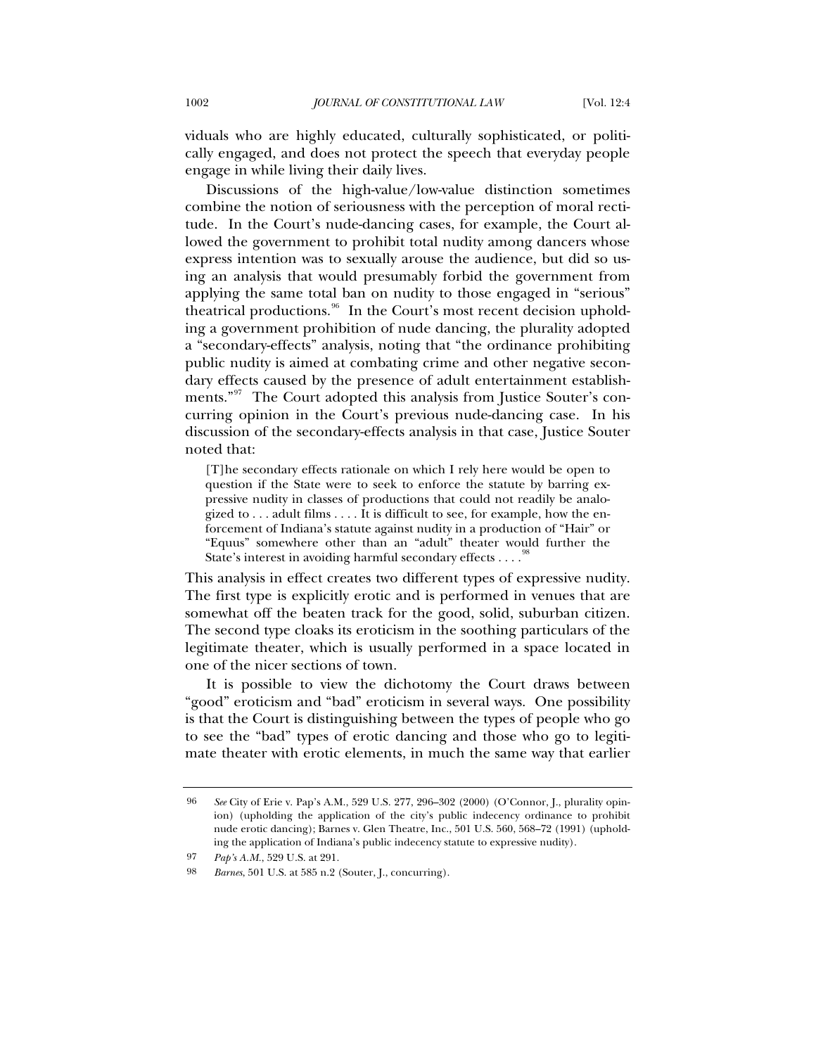viduals who are highly educated, culturally sophisticated, or politically engaged, and does not protect the speech that everyday people engage in while living their daily lives.

Discussions of the high-value/low-value distinction sometimes combine the notion of seriousness with the perception of moral rectitude. In the Court's nude-dancing cases, for example, the Court allowed the government to prohibit total nudity among dancers whose express intention was to sexually arouse the audience, but did so using an analysis that would presumably forbid the government from applying the same total ban on nudity to those engaged in "serious" theatrical productions.<sup>[96](#page-31-0)</sup> In the Court's most recent decision upholding a government prohibition of nude dancing, the plurality adopted a "secondary-effects" analysis, noting that "the ordinance prohibiting public nudity is aimed at combating crime and other negative secondary effects caused by the presence of adult entertainment establish-ments."<sup>[97](#page-31-1)</sup> The Court adopted this analysis from Justice Souter's concurring opinion in the Court's previous nude-dancing case. In his discussion of the secondary-effects analysis in that case, Justice Souter noted that:

[T]he secondary effects rationale on which I rely here would be open to question if the State were to seek to enforce the statute by barring expressive nudity in classes of productions that could not readily be analogized to . . . adult films . . . . It is difficult to see, for example, how the enforcement of Indiana's statute against nudity in a production of "Hair" or "Equus" somewhere other than an "adult" theater would further the State's interest in avoiding harmful secondary effects  $\dots$ .

This analysis in effect creates two different types of expressive nudity. The first type is explicitly erotic and is performed in venues that are somewhat off the beaten track for the good, solid, suburban citizen. The second type cloaks its eroticism in the soothing particulars of the legitimate theater, which is usually performed in a space located in one of the nicer sections of town.

It is possible to view the dichotomy the Court draws between "good" eroticism and "bad" eroticism in several ways. One possibility is that the Court is distinguishing between the types of people who go to see the "bad" types of erotic dancing and those who go to legitimate theater with erotic elements, in much the same way that earlier

<span id="page-31-2"></span><span id="page-31-1"></span>97 *Pap's A.M.*, 529 U.S. at 291.

<span id="page-31-0"></span><sup>96</sup> *See* City of Erie v. Pap's A.M., 529 U.S. 277, 296–302 (2000) (O'Connor, J., plurality opinion) (upholding the application of the city's public indecency ordinance to prohibit nude erotic dancing); Barnes v. Glen Theatre, Inc., 501 U.S. 560, 568–72 (1991) (upholding the application of Indiana's public indecency statute to expressive nudity).

<sup>98</sup> *Barnes*, 501 U.S. at 585 n.2 (Souter, J., concurring).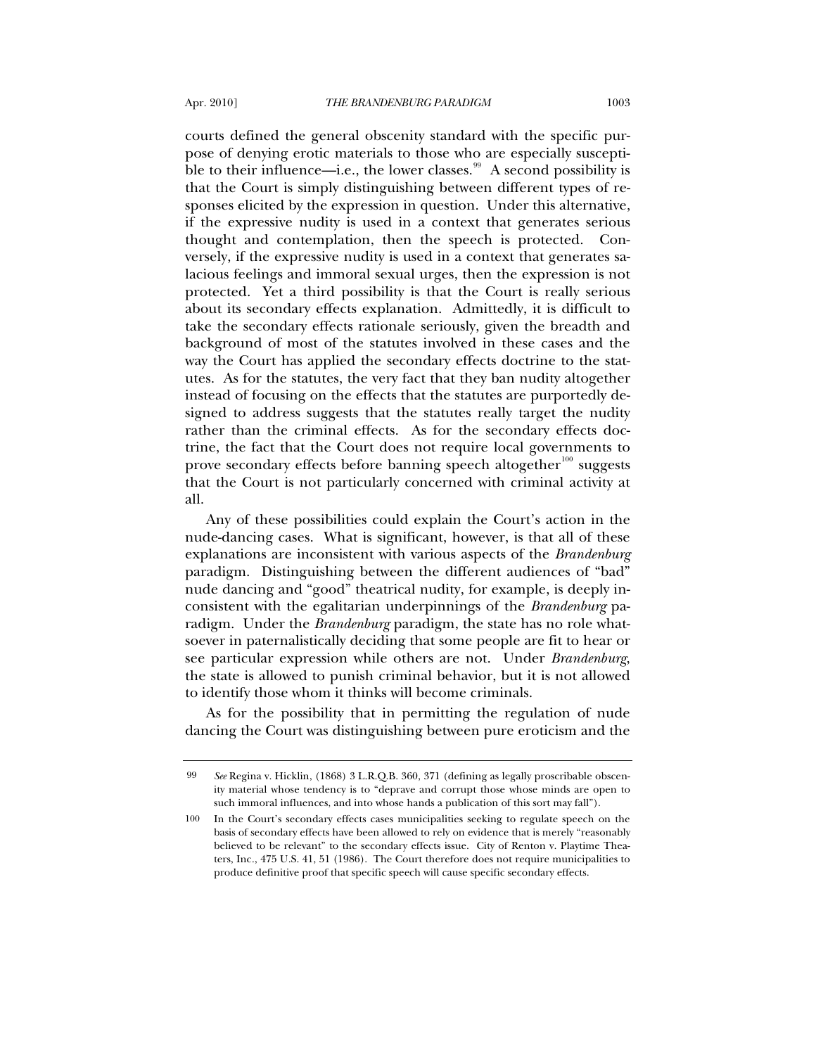courts defined the general obscenity standard with the specific purpose of denying erotic materials to those who are especially suscepti-ble to their influence—i.e., the lower classes.<sup>[99](#page-32-0)</sup> A second possibility is that the Court is simply distinguishing between different types of responses elicited by the expression in question. Under this alternative, if the expressive nudity is used in a context that generates serious thought and contemplation, then the speech is protected. Conversely, if the expressive nudity is used in a context that generates salacious feelings and immoral sexual urges, then the expression is not protected. Yet a third possibility is that the Court is really serious about its secondary effects explanation. Admittedly, it is difficult to take the secondary effects rationale seriously, given the breadth and background of most of the statutes involved in these cases and the way the Court has applied the secondary effects doctrine to the statutes. As for the statutes, the very fact that they ban nudity altogether instead of focusing on the effects that the statutes are purportedly designed to address suggests that the statutes really target the nudity rather than the criminal effects. As for the secondary effects doctrine, the fact that the Court does not require local governments to prove secondary effects before banning speech altogether<sup>[100](#page-32-1)</sup> suggests that the Court is not particularly concerned with criminal activity at all.

Any of these possibilities could explain the Court's action in the nude-dancing cases. What is significant, however, is that all of these explanations are inconsistent with various aspects of the *Brandenburg* paradigm. Distinguishing between the different audiences of "bad" nude dancing and "good" theatrical nudity, for example, is deeply inconsistent with the egalitarian underpinnings of the *Brandenburg* paradigm. Under the *Brandenburg* paradigm, the state has no role whatsoever in paternalistically deciding that some people are fit to hear or see particular expression while others are not. Under *Brandenburg*, the state is allowed to punish criminal behavior, but it is not allowed to identify those whom it thinks will become criminals.

As for the possibility that in permitting the regulation of nude dancing the Court was distinguishing between pure eroticism and the

<span id="page-32-0"></span><sup>99</sup> *See* Regina v. Hicklin, (1868) 3 L.R.Q.B. 360, 371 (defining as legally proscribable obscenity material whose tendency is to "deprave and corrupt those whose minds are open to such immoral influences, and into whose hands a publication of this sort may fall").

<span id="page-32-1"></span><sup>100</sup> In the Court's secondary effects cases municipalities seeking to regulate speech on the basis of secondary effects have been allowed to rely on evidence that is merely "reasonably believed to be relevant" to the secondary effects issue. City of Renton v. Playtime Theaters, Inc*.*, 475 U.S. 41, 51 (1986). The Court therefore does not require municipalities to produce definitive proof that specific speech will cause specific secondary effects.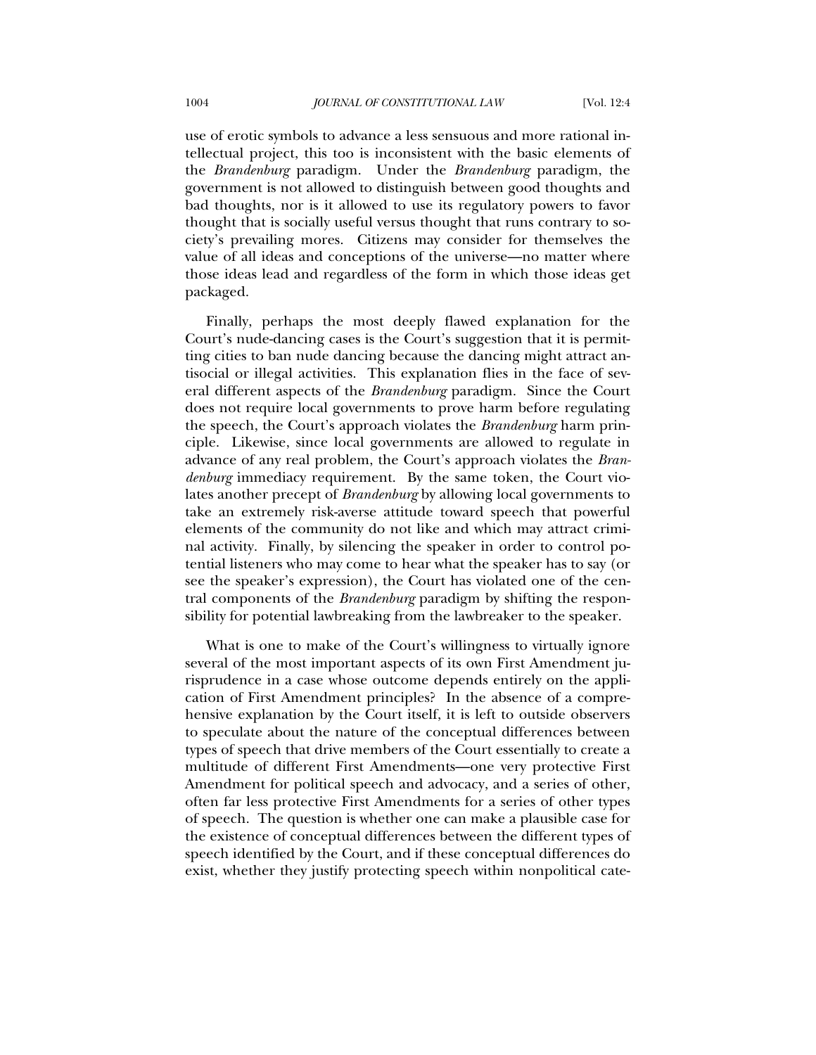use of erotic symbols to advance a less sensuous and more rational intellectual project, this too is inconsistent with the basic elements of the *Brandenburg* paradigm. Under the *Brandenburg* paradigm, the government is not allowed to distinguish between good thoughts and bad thoughts, nor is it allowed to use its regulatory powers to favor thought that is socially useful versus thought that runs contrary to society's prevailing mores. Citizens may consider for themselves the value of all ideas and conceptions of the universe—no matter where those ideas lead and regardless of the form in which those ideas get packaged.

Finally, perhaps the most deeply flawed explanation for the Court's nude-dancing cases is the Court's suggestion that it is permitting cities to ban nude dancing because the dancing might attract antisocial or illegal activities. This explanation flies in the face of several different aspects of the *Brandenburg* paradigm. Since the Court does not require local governments to prove harm before regulating the speech, the Court's approach violates the *Brandenburg* harm principle. Likewise, since local governments are allowed to regulate in advance of any real problem, the Court's approach violates the *Brandenburg* immediacy requirement. By the same token, the Court violates another precept of *Brandenburg* by allowing local governments to take an extremely risk-averse attitude toward speech that powerful elements of the community do not like and which may attract criminal activity. Finally, by silencing the speaker in order to control potential listeners who may come to hear what the speaker has to say (or see the speaker's expression), the Court has violated one of the central components of the *Brandenburg* paradigm by shifting the responsibility for potential lawbreaking from the lawbreaker to the speaker.

What is one to make of the Court's willingness to virtually ignore several of the most important aspects of its own First Amendment jurisprudence in a case whose outcome depends entirely on the application of First Amendment principles? In the absence of a comprehensive explanation by the Court itself, it is left to outside observers to speculate about the nature of the conceptual differences between types of speech that drive members of the Court essentially to create a multitude of different First Amendments—one very protective First Amendment for political speech and advocacy, and a series of other, often far less protective First Amendments for a series of other types of speech. The question is whether one can make a plausible case for the existence of conceptual differences between the different types of speech identified by the Court, and if these conceptual differences do exist, whether they justify protecting speech within nonpolitical cate-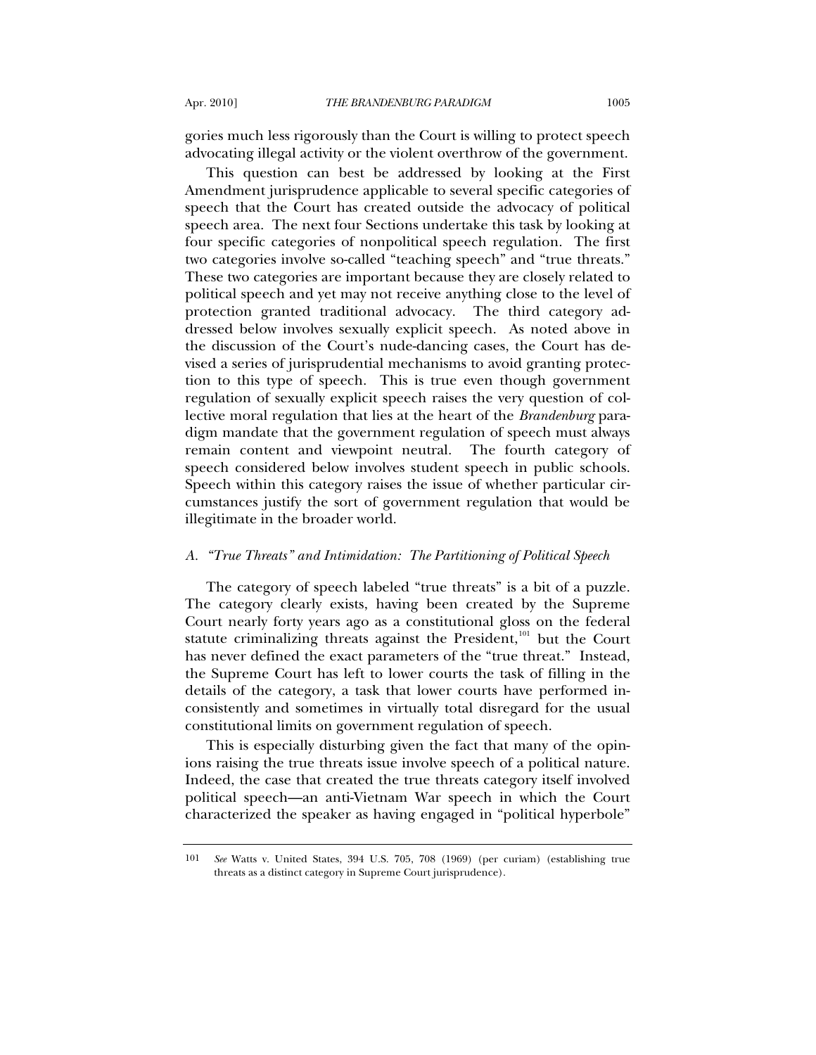gories much less rigorously than the Court is willing to protect speech advocating illegal activity or the violent overthrow of the government.

This question can best be addressed by looking at the First Amendment jurisprudence applicable to several specific categories of speech that the Court has created outside the advocacy of political speech area. The next four Sections undertake this task by looking at four specific categories of nonpolitical speech regulation. The first two categories involve so-called "teaching speech" and "true threats." These two categories are important because they are closely related to political speech and yet may not receive anything close to the level of protection granted traditional advocacy. The third category addressed below involves sexually explicit speech. As noted above in the discussion of the Court's nude-dancing cases, the Court has devised a series of jurisprudential mechanisms to avoid granting protection to this type of speech. This is true even though government regulation of sexually explicit speech raises the very question of collective moral regulation that lies at the heart of the *Brandenburg* paradigm mandate that the government regulation of speech must always remain content and viewpoint neutral. The fourth category of speech considered below involves student speech in public schools. Speech within this category raises the issue of whether particular circumstances justify the sort of government regulation that would be illegitimate in the broader world.

### *A. "True Threats" and Intimidation: The Partitioning of Political Speech*

The category of speech labeled "true threats" is a bit of a puzzle. The category clearly exists, having been created by the Supreme Court nearly forty years ago as a constitutional gloss on the federal statute criminalizing threats against the President, $101$  but the Court has never defined the exact parameters of the "true threat." Instead, the Supreme Court has left to lower courts the task of filling in the details of the category, a task that lower courts have performed inconsistently and sometimes in virtually total disregard for the usual constitutional limits on government regulation of speech.

This is especially disturbing given the fact that many of the opinions raising the true threats issue involve speech of a political nature. Indeed, the case that created the true threats category itself involved political speech—an anti-Vietnam War speech in which the Court characterized the speaker as having engaged in "political hyperbole"

<span id="page-34-0"></span><sup>101</sup> *See* Watts v. United States, 394 U.S. 705, 708 (1969) (per curiam) (establishing true threats as a distinct category in Supreme Court jurisprudence).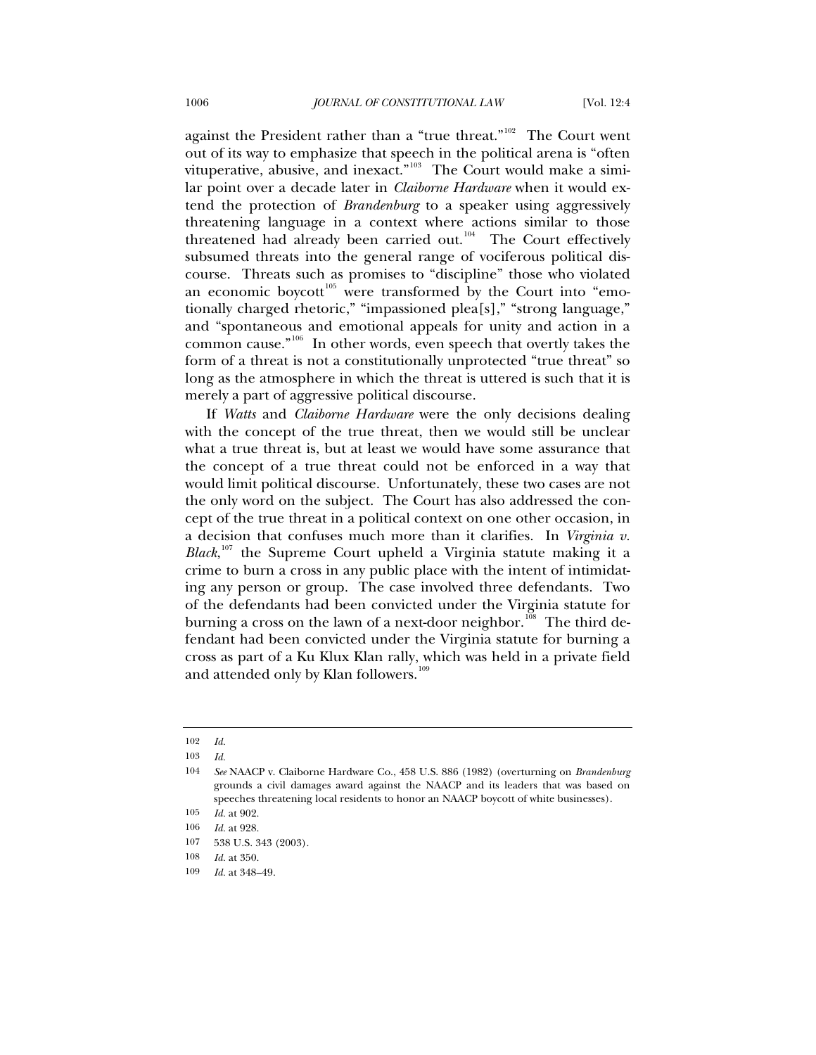against the President rather than a "true threat."<sup>[102](#page-35-0)</sup> The Court went out of its way to emphasize that speech in the political arena is "often vituperative, abusive, and inexact."<sup>[103](#page-35-1)</sup> The Court would make a similar point over a decade later in *Claiborne Hardware* when it would extend the protection of *Brandenburg* to a speaker using aggressively threatening language in a context where actions similar to those threatened had already been carried out.<sup>[104](#page-35-2)</sup> The Court effectively subsumed threats into the general range of vociferous political discourse. Threats such as promises to "discipline" those who violated an economic boycott<sup>[105](#page-35-3)</sup> were transformed by the Court into "emotionally charged rhetoric," "impassioned plea[s]," "strong language," and "spontaneous and emotional appeals for unity and action in a common cause."[106](#page-35-4) In other words, even speech that overtly takes the form of a threat is not a constitutionally unprotected "true threat" so long as the atmosphere in which the threat is uttered is such that it is merely a part of aggressive political discourse.

If *Watts* and *Claiborne Hardware* were the only decisions dealing with the concept of the true threat, then we would still be unclear what a true threat is, but at least we would have some assurance that the concept of a true threat could not be enforced in a way that would limit political discourse. Unfortunately, these two cases are not the only word on the subject. The Court has also addressed the concept of the true threat in a political context on one other occasion, in a decision that confuses much more than it clarifies. In *Virginia v. Black*, [107](#page-35-5) the Supreme Court upheld a Virginia statute making it a crime to burn a cross in any public place with the intent of intimidating any person or group. The case involved three defendants. Two of the defendants had been convicted under the Virginia statute for burning a cross on the lawn of a next-door neighbor.<sup>[108](#page-35-6)</sup> The third defendant had been convicted under the Virginia statute for burning a cross as part of a Ku Klux Klan rally, which was held in a private field and attended only by Klan followers.<sup>[109](#page-35-7)</sup>

<span id="page-35-0"></span><sup>102</sup> *Id.*

<sup>103</sup> *Id.*

<span id="page-35-2"></span><span id="page-35-1"></span><sup>104</sup> *See* NAACP v. Claiborne Hardware Co., 458 U.S. 886 (1982) (overturning on *Brandenburg* grounds a civil damages award against the NAACP and its leaders that was based on speeches threatening local residents to honor an NAACP boycott of white businesses).

<span id="page-35-3"></span><sup>105</sup> *Id.* at 902.

<span id="page-35-5"></span><span id="page-35-4"></span><sup>106</sup> *Id.* at 928.

<sup>107 538</sup> U.S. 343 (2003).

<span id="page-35-6"></span><sup>108</sup> *Id.* at 350.

<span id="page-35-7"></span><sup>109</sup> *Id.* at 348–49.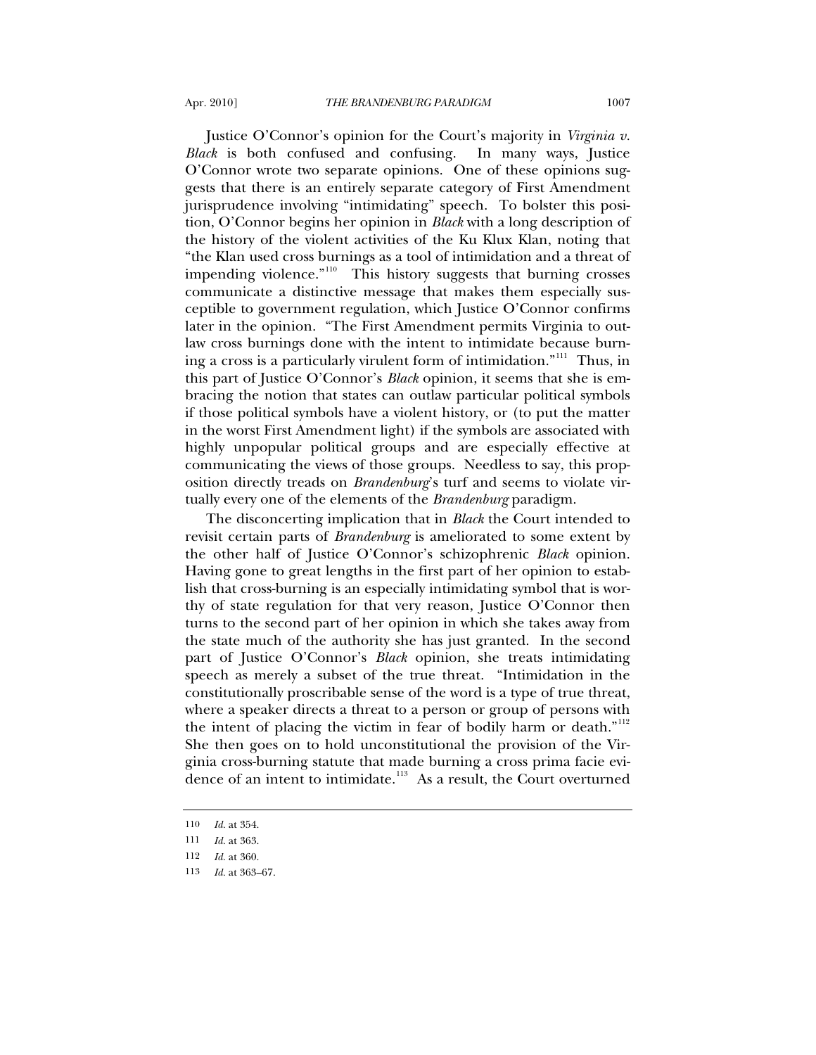Justice O'Connor's opinion for the Court's majority in *Virginia v. Black* is both confused and confusing. In many ways, Justice O'Connor wrote two separate opinions. One of these opinions suggests that there is an entirely separate category of First Amendment jurisprudence involving "intimidating" speech. To bolster this position, O'Connor begins her opinion in *Black* with a long description of the history of the violent activities of the Ku Klux Klan, noting that "the Klan used cross burnings as a tool of intimidation and a threat of impending violence."<sup>[110](#page-36-0)</sup> This history suggests that burning crosses communicate a distinctive message that makes them especially susceptible to government regulation, which Justice O'Connor confirms later in the opinion. "The First Amendment permits Virginia to outlaw cross burnings done with the intent to intimidate because burn-ing a cross is a particularly virulent form of intimidation."<sup>[111](#page-36-1)</sup> Thus, in this part of Justice O'Connor's *Black* opinion, it seems that she is embracing the notion that states can outlaw particular political symbols if those political symbols have a violent history, or (to put the matter in the worst First Amendment light) if the symbols are associated with highly unpopular political groups and are especially effective at communicating the views of those groups. Needless to say, this proposition directly treads on *Brandenburg*'s turf and seems to violate virtually every one of the elements of the *Brandenburg* paradigm.

The disconcerting implication that in *Black* the Court intended to revisit certain parts of *Brandenburg* is ameliorated to some extent by the other half of Justice O'Connor's schizophrenic *Black* opinion. Having gone to great lengths in the first part of her opinion to establish that cross-burning is an especially intimidating symbol that is worthy of state regulation for that very reason, Justice O'Connor then turns to the second part of her opinion in which she takes away from the state much of the authority she has just granted. In the second part of Justice O'Connor's *Black* opinion, she treats intimidating speech as merely a subset of the true threat. "Intimidation in the constitutionally proscribable sense of the word is a type of true threat, where a speaker directs a threat to a person or group of persons with the intent of placing the victim in fear of bodily harm or death." $112$ She then goes on to hold unconstitutional the provision of the Virginia cross-burning statute that made burning a cross prima facie evi-dence of an intent to intimidate.<sup>[113](#page-36-3)</sup> As a result, the Court overturned

<span id="page-36-0"></span><sup>110</sup> *Id.* at 354.

<span id="page-36-1"></span><sup>111</sup> *Id.* at 363.

<span id="page-36-3"></span><span id="page-36-2"></span><sup>112</sup> *Id.* at 360.

<sup>113</sup> *Id.* at 363–67.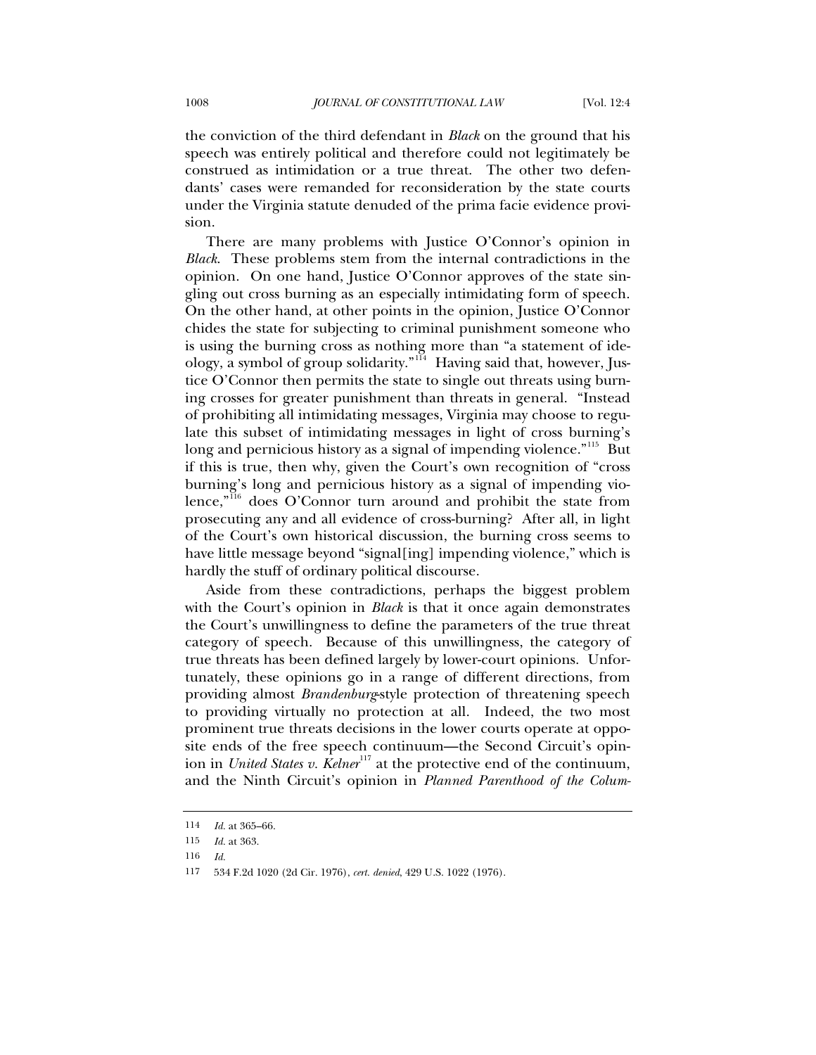the conviction of the third defendant in *Black* on the ground that his speech was entirely political and therefore could not legitimately be construed as intimidation or a true threat. The other two defendants' cases were remanded for reconsideration by the state courts under the Virginia statute denuded of the prima facie evidence provision.

There are many problems with Justice O'Connor's opinion in *Black*. These problems stem from the internal contradictions in the opinion. On one hand, Justice O'Connor approves of the state singling out cross burning as an especially intimidating form of speech. On the other hand, at other points in the opinion, Justice O'Connor chides the state for subjecting to criminal punishment someone who is using the burning cross as nothing more than "a statement of ide-ology, a symbol of group solidarity."<sup>[114](#page-37-0)</sup> Having said that, however, Justice O'Connor then permits the state to single out threats using burning crosses for greater punishment than threats in general. "Instead of prohibiting all intimidating messages, Virginia may choose to regulate this subset of intimidating messages in light of cross burning's long and pernicious history as a signal of impending violence."<sup>[115](#page-37-1)</sup> But if this is true, then why, given the Court's own recognition of "cross burning's long and pernicious history as a signal of impending vio-lence,"<sup>[116](#page-37-2)</sup> does O'Connor turn around and prohibit the state from prosecuting any and all evidence of cross-burning? After all, in light of the Court's own historical discussion, the burning cross seems to have little message beyond "signal[ing] impending violence," which is hardly the stuff of ordinary political discourse.

Aside from these contradictions, perhaps the biggest problem with the Court's opinion in *Black* is that it once again demonstrates the Court's unwillingness to define the parameters of the true threat category of speech. Because of this unwillingness, the category of true threats has been defined largely by lower-court opinions. Unfortunately, these opinions go in a range of different directions, from providing almost *Brandenburg*-style protection of threatening speech to providing virtually no protection at all. Indeed, the two most prominent true threats decisions in the lower courts operate at opposite ends of the free speech continuum—the Second Circuit's opinion in *United States v. Kelner*<sup>[117](#page-37-3)</sup> at the protective end of the continuum, and the Ninth Circuit's opinion in *Planned Parenthood of the Colum-*

<span id="page-37-0"></span><sup>114</sup> *Id.* at 365–66.

<span id="page-37-1"></span><sup>115</sup> *Id.* at 363.

<span id="page-37-2"></span><sup>116</sup> *Id.*

<span id="page-37-3"></span><sup>117 534</sup> F.2d 1020 (2d Cir. 1976), *cert. denied*, 429 U.S. 1022 (1976).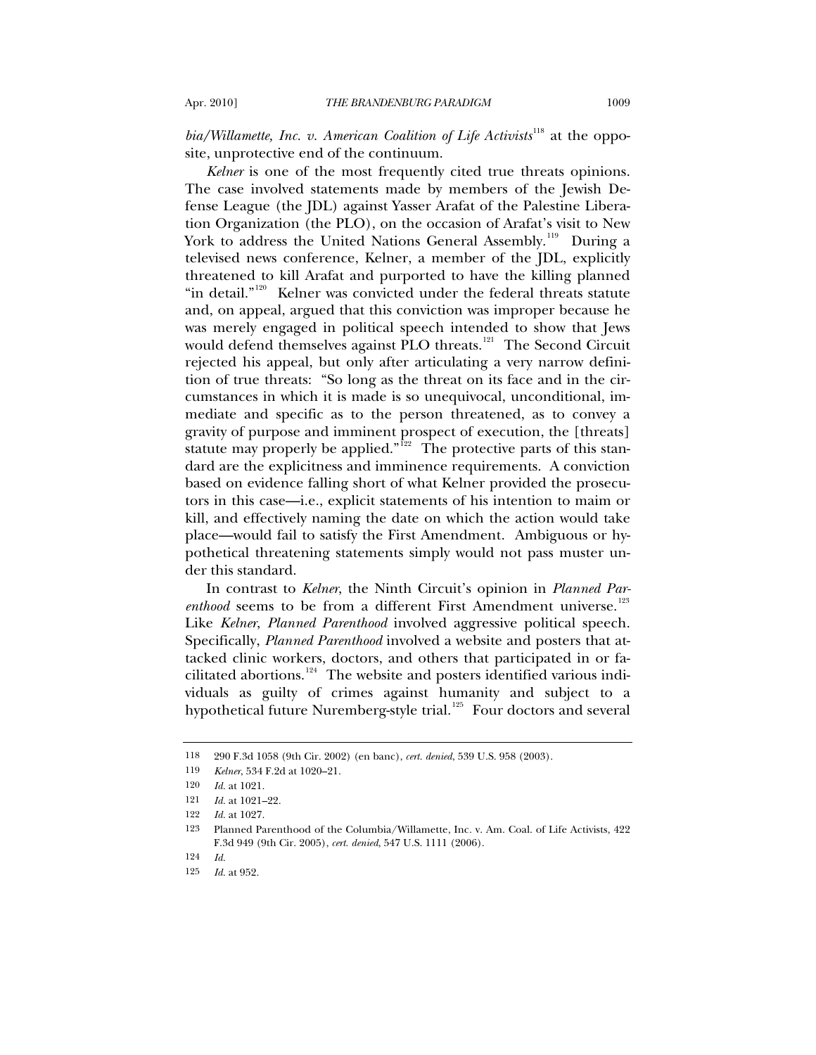*bia/Willamette, Inc. v. American Coalition of Life Activists*<sup>[118](#page-38-0)</sup> at the opposite, unprotective end of the continuum.

*Kelner* is one of the most frequently cited true threats opinions. The case involved statements made by members of the Jewish Defense League (the JDL) against Yasser Arafat of the Palestine Liberation Organization (the PLO), on the occasion of Arafat's visit to New York to address the United Nations General Assembly.<sup>[119](#page-38-1)</sup> During a televised news conference, Kelner, a member of the JDL, explicitly threatened to kill Arafat and purported to have the killing planned "in detail."<sup>[120](#page-38-2)</sup> Kelner was convicted under the federal threats statute and, on appeal, argued that this conviction was improper because he was merely engaged in political speech intended to show that Jews would defend themselves against PLO threats.<sup>[121](#page-38-3)</sup> The Second Circuit rejected his appeal, but only after articulating a very narrow definition of true threats: "So long as the threat on its face and in the circumstances in which it is made is so unequivocal, unconditional, immediate and specific as to the person threatened, as to convey a gravity of purpose and imminent prospect of execution, the [threats] statute may properly be applied."<sup>[122](#page-38-4)</sup> The protective parts of this standard are the explicitness and imminence requirements. A conviction based on evidence falling short of what Kelner provided the prosecutors in this case—i.e., explicit statements of his intention to maim or kill, and effectively naming the date on which the action would take place—would fail to satisfy the First Amendment. Ambiguous or hypothetical threatening statements simply would not pass muster under this standard.

In contrast to *Kelner*, the Ninth Circuit's opinion in *Planned Parenthood* seems to be from a different First Amendment universe.<sup>[123](#page-38-5)</sup> Like *Kelner*, *Planned Parenthood* involved aggressive political speech. Specifically, *Planned Parenthood* involved a website and posters that attacked clinic workers, doctors, and others that participated in or fa-cilitated abortions.<sup>[124](#page-38-6)</sup> The website and posters identified various individuals as guilty of crimes against humanity and subject to a hypothetical future Nuremberg-style trial.<sup>[125](#page-38-7)</sup> Four doctors and several

<span id="page-38-0"></span><sup>118 290</sup> F.3d 1058 (9th Cir. 2002) (en banc), *cert. denied*, 539 U.S. 958 (2003).

<span id="page-38-1"></span><sup>119</sup> *Kelner*, 534 F.2d at 1020–21.

<span id="page-38-2"></span><sup>120</sup> *Id.* at 1021.

<sup>121</sup> *Id.* at 1021–22.

<span id="page-38-4"></span><span id="page-38-3"></span><sup>122</sup> *Id.* at 1027.

<span id="page-38-5"></span><sup>123</sup> Planned Parenthood of the Columbia/Willamette, Inc*.* v. Am. Coal. of Life Activists, 422 F.3d 949 (9th Cir. 2005), *cert. denied*, 547 U.S. 1111 (2006).

<span id="page-38-7"></span><span id="page-38-6"></span><sup>124</sup> *Id.*

<sup>125</sup> *Id.* at 952.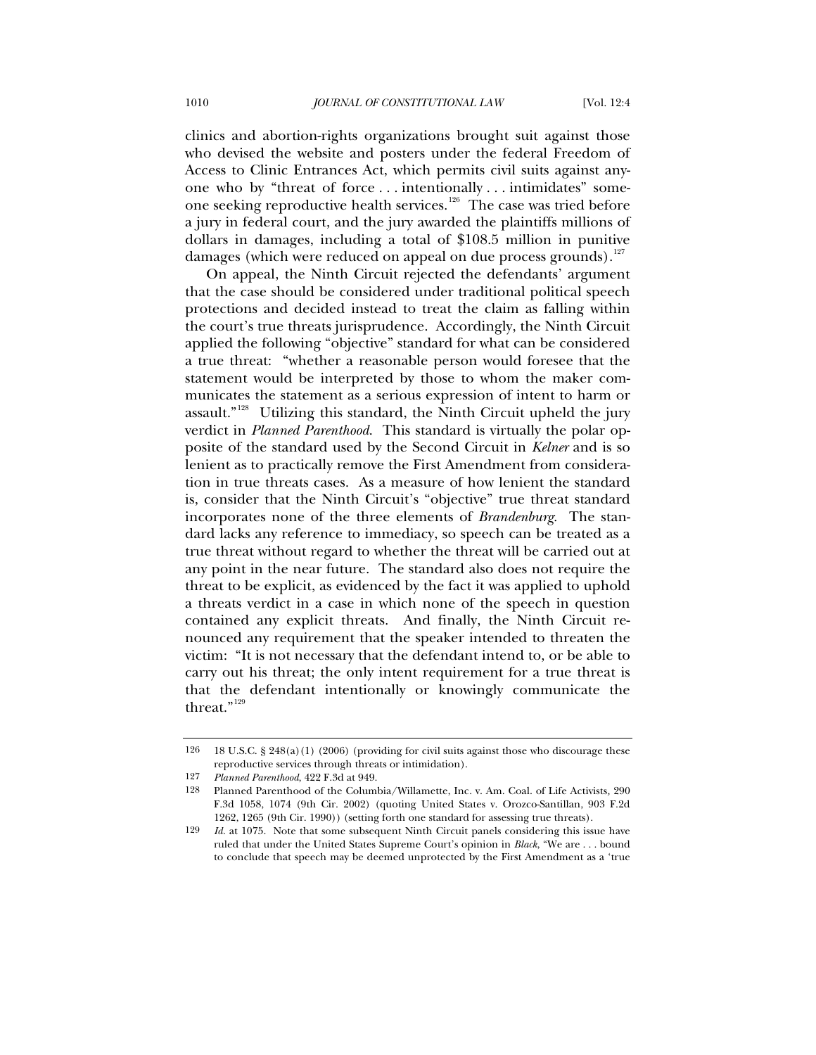clinics and abortion-rights organizations brought suit against those who devised the website and posters under the federal Freedom of Access to Clinic Entrances Act, which permits civil suits against anyone who by "threat of force . . . intentionally . . . intimidates" some-one seeking reproductive health services.<sup>[126](#page-39-0)</sup> The case was tried before a jury in federal court, and the jury awarded the plaintiffs millions of dollars in damages, including a total of \$108.5 million in punitive damages (which were reduced on appeal on due process grounds).<sup>[127](#page-39-1)</sup>

On appeal, the Ninth Circuit rejected the defendants' argument that the case should be considered under traditional political speech protections and decided instead to treat the claim as falling within the court's true threats jurisprudence. Accordingly, the Ninth Circuit applied the following "objective" standard for what can be considered a true threat: "whether a reasonable person would foresee that the statement would be interpreted by those to whom the maker communicates the statement as a serious expression of intent to harm or assault."<sup>[128](#page-39-2)</sup> Utilizing this standard, the Ninth Circuit upheld the jury verdict in *Planned Parenthood*. This standard is virtually the polar opposite of the standard used by the Second Circuit in *Kelner* and is so lenient as to practically remove the First Amendment from consideration in true threats cases. As a measure of how lenient the standard is, consider that the Ninth Circuit's "objective" true threat standard incorporates none of the three elements of *Brandenburg*. The standard lacks any reference to immediacy, so speech can be treated as a true threat without regard to whether the threat will be carried out at any point in the near future. The standard also does not require the threat to be explicit, as evidenced by the fact it was applied to uphold a threats verdict in a case in which none of the speech in question contained any explicit threats. And finally, the Ninth Circuit renounced any requirement that the speaker intended to threaten the victim: "It is not necessary that the defendant intend to, or be able to carry out his threat; the only intent requirement for a true threat is that the defendant intentionally or knowingly communicate the threat."<sup>[129](#page-39-3)</sup>

<span id="page-39-0"></span><sup>126 18</sup> U.S.C. § 248(a)(1) (2006) (providing for civil suits against those who discourage these reproductive services through threats or intimidation).

<sup>127</sup> *Planned Parenthood*, 422 F.3d at 949.

<span id="page-39-2"></span><span id="page-39-1"></span><sup>128</sup> Planned Parenthood of the Columbia/Willamette, Inc*.* v. Am. Coal. of Life Activists*,* 290 F.3d 1058, 1074 (9th Cir. 2002) (quoting United States v. Orozco-Santillan, 903 F.2d 1262, 1265 (9th Cir. 1990)) (setting forth one standard for assessing true threats).

<span id="page-39-3"></span><sup>129</sup> *Id.* at 1075. Note that some subsequent Ninth Circuit panels considering this issue have ruled that under the United States Supreme Court's opinion in *Black*, "We are . . . bound to conclude that speech may be deemed unprotected by the First Amendment as a 'true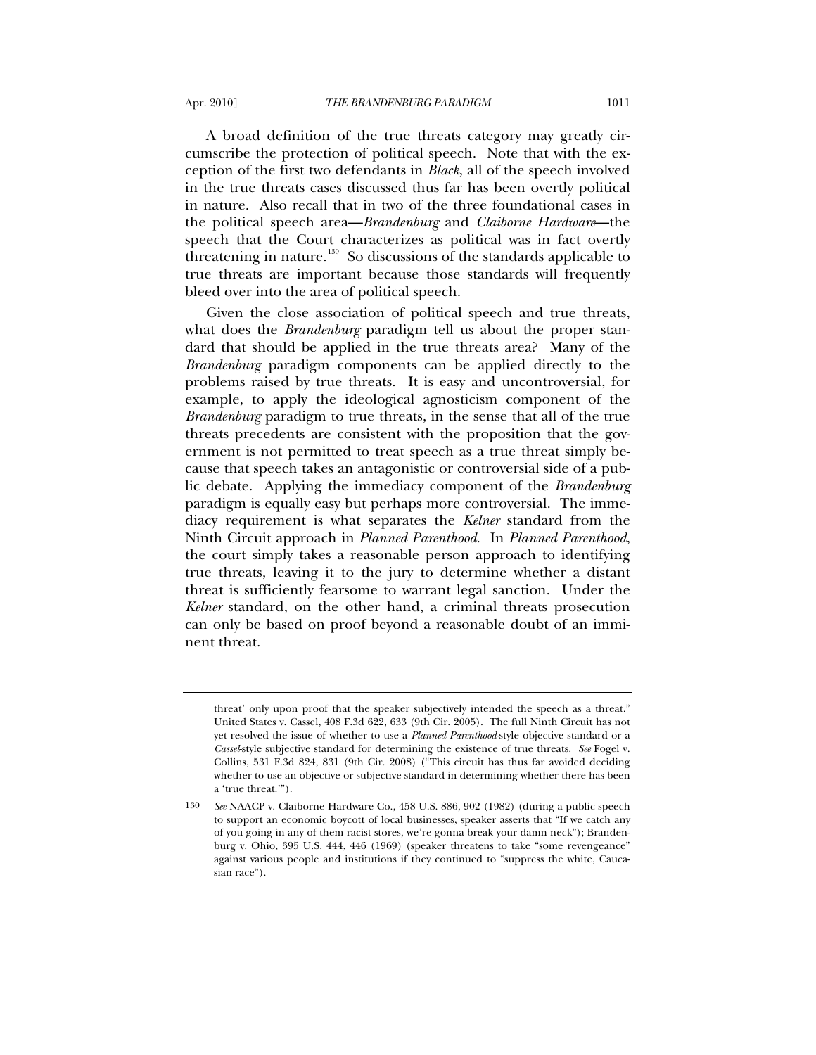A broad definition of the true threats category may greatly circumscribe the protection of political speech. Note that with the exception of the first two defendants in *Black*, all of the speech involved in the true threats cases discussed thus far has been overtly political in nature. Also recall that in two of the three foundational cases in the political speech area—*Brandenburg* and *Claiborne Hardware*—the speech that the Court characterizes as political was in fact overtly threatening in nature.<sup>[130](#page-40-0)</sup> So discussions of the standards applicable to true threats are important because those standards will frequently bleed over into the area of political speech.

Given the close association of political speech and true threats, what does the *Brandenburg* paradigm tell us about the proper standard that should be applied in the true threats area? Many of the *Brandenburg* paradigm components can be applied directly to the problems raised by true threats. It is easy and uncontroversial, for example, to apply the ideological agnosticism component of the *Brandenburg* paradigm to true threats, in the sense that all of the true threats precedents are consistent with the proposition that the government is not permitted to treat speech as a true threat simply because that speech takes an antagonistic or controversial side of a public debate. Applying the immediacy component of the *Brandenburg*  paradigm is equally easy but perhaps more controversial. The immediacy requirement is what separates the *Kelner* standard from the Ninth Circuit approach in *Planned Parenthood*. In *Planned Parenthood*, the court simply takes a reasonable person approach to identifying true threats, leaving it to the jury to determine whether a distant threat is sufficiently fearsome to warrant legal sanction. Under the *Kelner* standard, on the other hand, a criminal threats prosecution can only be based on proof beyond a reasonable doubt of an imminent threat.

threat' only upon proof that the speaker subjectively intended the speech as a threat." United States v. Cassel, 408 F.3d 622, 633 (9th Cir. 2005). The full Ninth Circuit has not yet resolved the issue of whether to use a *Planned Parenthood*-style objective standard or a *Cassel*-style subjective standard for determining the existence of true threats. *See* Fogel v. Collins, 531 F.3d 824, 831 (9th Cir. 2008) ("This circuit has thus far avoided deciding whether to use an objective or subjective standard in determining whether there has been a 'true threat.'").

<span id="page-40-0"></span><sup>130</sup> *See* NAACP v. Claiborne Hardware Co., 458 U.S. 886, 902 (1982) (during a public speech to support an economic boycott of local businesses, speaker asserts that "If we catch any of you going in any of them racist stores, we're gonna break your damn neck"); Brandenburg v. Ohio, 395 U.S. 444, 446 (1969) (speaker threatens to take "some revengeance" against various people and institutions if they continued to "suppress the white, Caucasian race").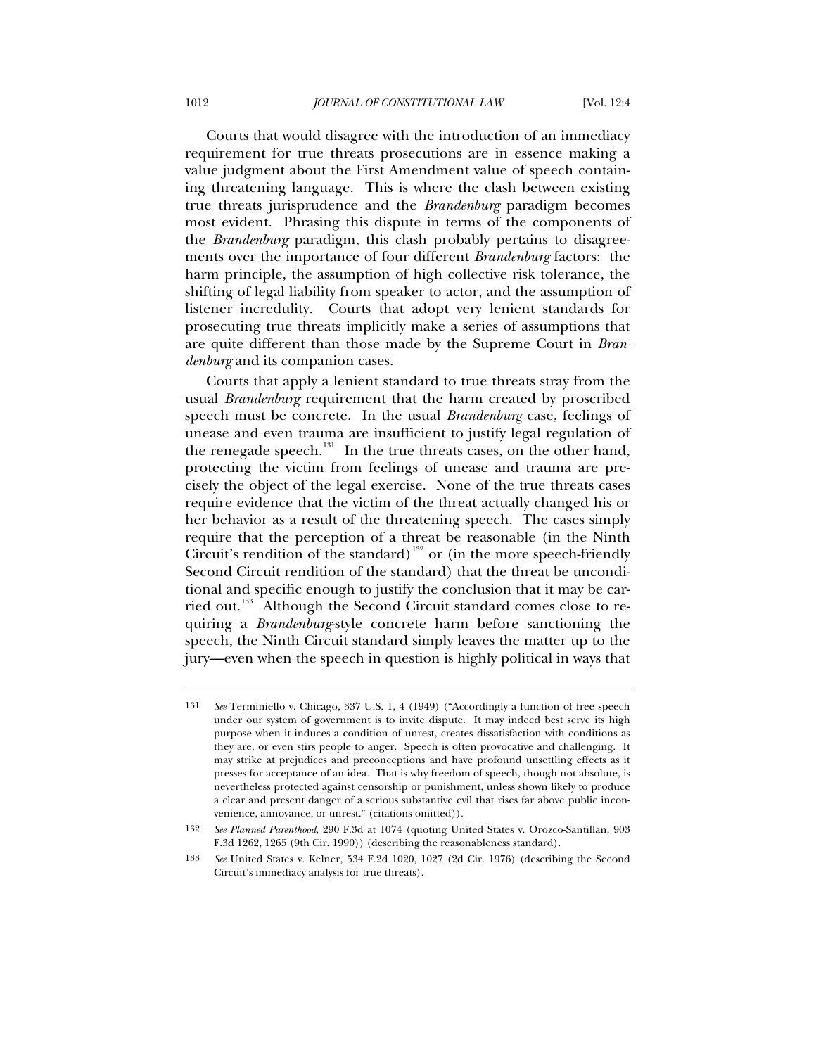Courts that would disagree with the introduction of an immediacy requirement for true threats prosecutions are in essence making a value judgment about the First Amendment value of speech containing threatening language. This is where the clash between existing true threats jurisprudence and the *Brandenburg* paradigm becomes most evident. Phrasing this dispute in terms of the components of the *Brandenburg* paradigm, this clash probably pertains to disagreements over the importance of four different *Brandenburg* factors: the harm principle, the assumption of high collective risk tolerance, the shifting of legal liability from speaker to actor, and the assumption of listener incredulity. Courts that adopt very lenient standards for prosecuting true threats implicitly make a series of assumptions that are quite different than those made by the Supreme Court in *Brandenburg* and its companion cases.

Courts that apply a lenient standard to true threats stray from the usual *Brandenburg* requirement that the harm created by proscribed speech must be concrete. In the usual *Brandenburg* case, feelings of unease and even trauma are insufficient to justify legal regulation of the renegade speech.<sup>[131](#page-41-0)</sup> In the true threats cases, on the other hand, protecting the victim from feelings of unease and trauma are precisely the object of the legal exercise. None of the true threats cases require evidence that the victim of the threat actually changed his or her behavior as a result of the threatening speech. The cases simply require that the perception of a threat be reasonable (in the Ninth Circuit's rendition of the standard)<sup>[132](#page-41-1)</sup> or (in the more speech-friendly Second Circuit rendition of the standard) that the threat be unconditional and specific enough to justify the conclusion that it may be car-ried out.<sup>[133](#page-41-2)</sup> Although the Second Circuit standard comes close to requiring a *Brandenburg*-style concrete harm before sanctioning the speech, the Ninth Circuit standard simply leaves the matter up to the jury—even when the speech in question is highly political in ways that

<span id="page-41-0"></span><sup>131</sup> *See* Terminiello v. Chicago, 337 U.S. 1, 4 (1949) ("Accordingly a function of free speech under our system of government is to invite dispute. It may indeed best serve its high purpose when it induces a condition of unrest, creates dissatisfaction with conditions as they are, or even stirs people to anger. Speech is often provocative and challenging. It may strike at prejudices and preconceptions and have profound unsettling effects as it presses for acceptance of an idea. That is why freedom of speech, though not absolute, is nevertheless protected against censorship or punishment, unless shown likely to produce a clear and present danger of a serious substantive evil that rises far above public inconvenience, annoyance, or unrest." (citations omitted)).

<span id="page-41-1"></span><sup>132</sup> *See Planned Parenthood*, 290 F.3d at 1074 (quoting United States v. Orozco-Santillan, 903 F.3d 1262, 1265 (9th Cir. 1990)) (describing the reasonableness standard).

<span id="page-41-2"></span><sup>133</sup> *See* United States v. Kelner, 534 F.2d 1020, 1027 (2d Cir. 1976) (describing the Second Circuit's immediacy analysis for true threats).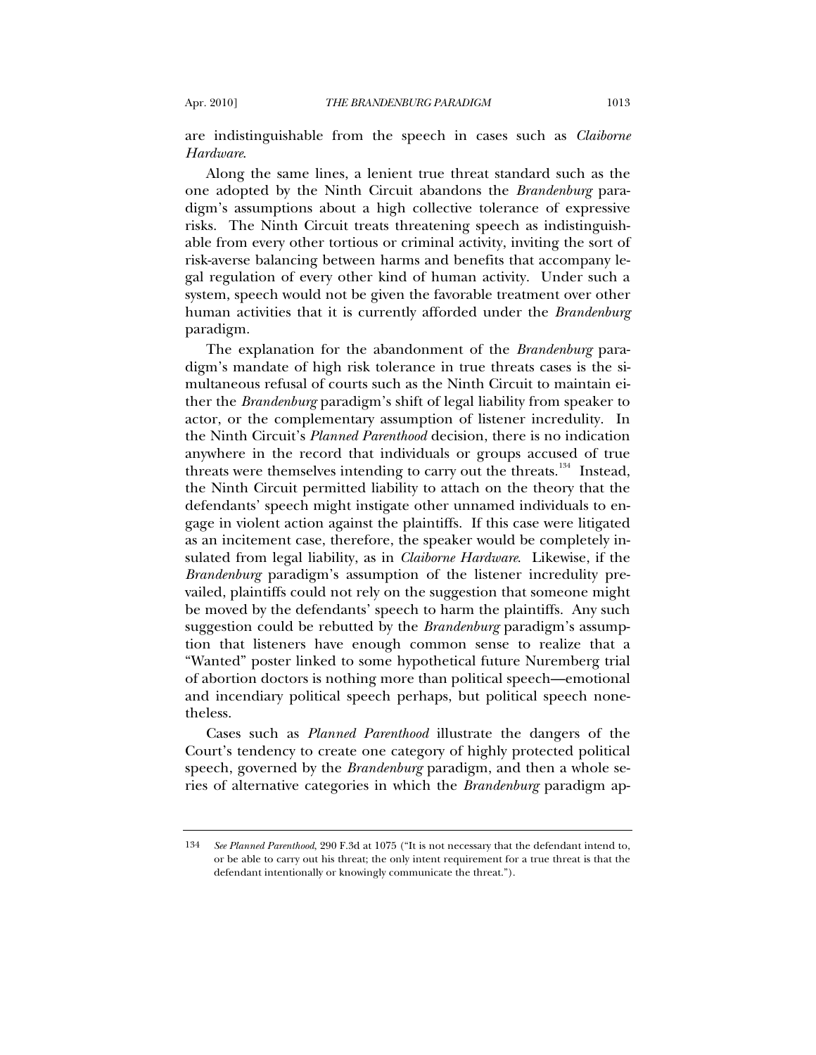are indistinguishable from the speech in cases such as *Claiborne Hardware*.

Along the same lines, a lenient true threat standard such as the one adopted by the Ninth Circuit abandons the *Brandenburg* paradigm's assumptions about a high collective tolerance of expressive risks. The Ninth Circuit treats threatening speech as indistinguishable from every other tortious or criminal activity, inviting the sort of risk-averse balancing between harms and benefits that accompany legal regulation of every other kind of human activity. Under such a system, speech would not be given the favorable treatment over other human activities that it is currently afforded under the *Brandenburg* paradigm.

The explanation for the abandonment of the *Brandenburg* paradigm's mandate of high risk tolerance in true threats cases is the simultaneous refusal of courts such as the Ninth Circuit to maintain either the *Brandenburg* paradigm's shift of legal liability from speaker to actor, or the complementary assumption of listener incredulity. In the Ninth Circuit's *Planned Parenthood* decision, there is no indication anywhere in the record that individuals or groups accused of true threats were themselves intending to carry out the threats.<sup>[134](#page-42-0)</sup> Instead, the Ninth Circuit permitted liability to attach on the theory that the defendants' speech might instigate other unnamed individuals to engage in violent action against the plaintiffs. If this case were litigated as an incitement case, therefore, the speaker would be completely insulated from legal liability, as in *Claiborne Hardware*. Likewise, if the *Brandenburg* paradigm's assumption of the listener incredulity prevailed, plaintiffs could not rely on the suggestion that someone might be moved by the defendants' speech to harm the plaintiffs. Any such suggestion could be rebutted by the *Brandenburg* paradigm's assumption that listeners have enough common sense to realize that a "Wanted" poster linked to some hypothetical future Nuremberg trial of abortion doctors is nothing more than political speech—emotional and incendiary political speech perhaps, but political speech nonetheless.

Cases such as *Planned Parenthood* illustrate the dangers of the Court's tendency to create one category of highly protected political speech, governed by the *Brandenburg* paradigm, and then a whole series of alternative categories in which the *Brandenburg* paradigm ap-

<span id="page-42-0"></span><sup>134</sup> *See Planned Parenthood*, 290 F.3d at 1075 ("It is not necessary that the defendant intend to, or be able to carry out his threat; the only intent requirement for a true threat is that the defendant intentionally or knowingly communicate the threat.").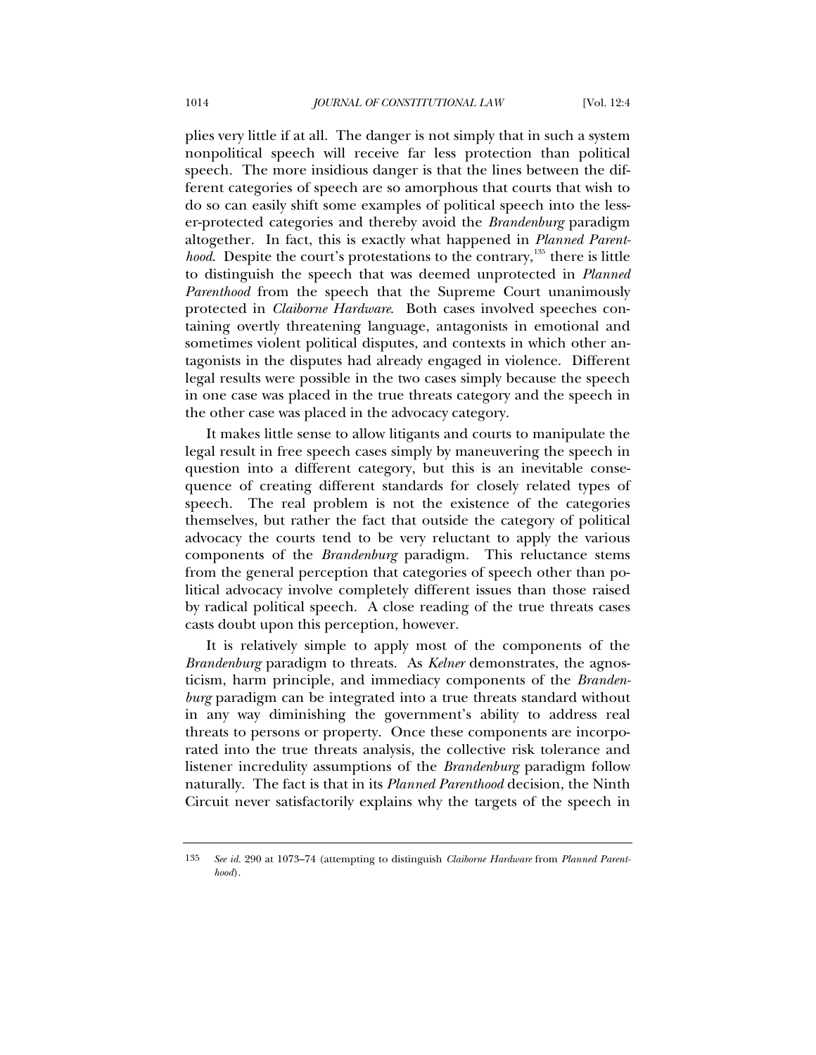plies very little if at all. The danger is not simply that in such a system nonpolitical speech will receive far less protection than political speech. The more insidious danger is that the lines between the different categories of speech are so amorphous that courts that wish to do so can easily shift some examples of political speech into the lesser-protected categories and thereby avoid the *Brandenburg* paradigm altogether. In fact, this is exactly what happened in *Planned Parenthood.* Despite the court's protestations to the contrary,<sup>[135](#page-43-0)</sup> there is little to distinguish the speech that was deemed unprotected in *Planned Parenthood* from the speech that the Supreme Court unanimously protected in *Claiborne Hardware*. Both cases involved speeches containing overtly threatening language, antagonists in emotional and sometimes violent political disputes, and contexts in which other antagonists in the disputes had already engaged in violence. Different legal results were possible in the two cases simply because the speech in one case was placed in the true threats category and the speech in the other case was placed in the advocacy category.

It makes little sense to allow litigants and courts to manipulate the legal result in free speech cases simply by maneuvering the speech in question into a different category, but this is an inevitable consequence of creating different standards for closely related types of speech. The real problem is not the existence of the categories themselves, but rather the fact that outside the category of political advocacy the courts tend to be very reluctant to apply the various components of the *Brandenburg* paradigm. This reluctance stems from the general perception that categories of speech other than political advocacy involve completely different issues than those raised by radical political speech. A close reading of the true threats cases casts doubt upon this perception, however.

It is relatively simple to apply most of the components of the *Brandenburg* paradigm to threats. As *Kelner* demonstrates, the agnosticism, harm principle, and immediacy components of the *Brandenburg* paradigm can be integrated into a true threats standard without in any way diminishing the government's ability to address real threats to persons or property. Once these components are incorporated into the true threats analysis, the collective risk tolerance and listener incredulity assumptions of the *Brandenburg* paradigm follow naturally. The fact is that in its *Planned Parenthood* decision, the Ninth Circuit never satisfactorily explains why the targets of the speech in

<span id="page-43-0"></span><sup>135</sup> *See id.* 290 at 1073–74 (attempting to distinguish *Claiborne Hardware* from *Planned Parenthood*).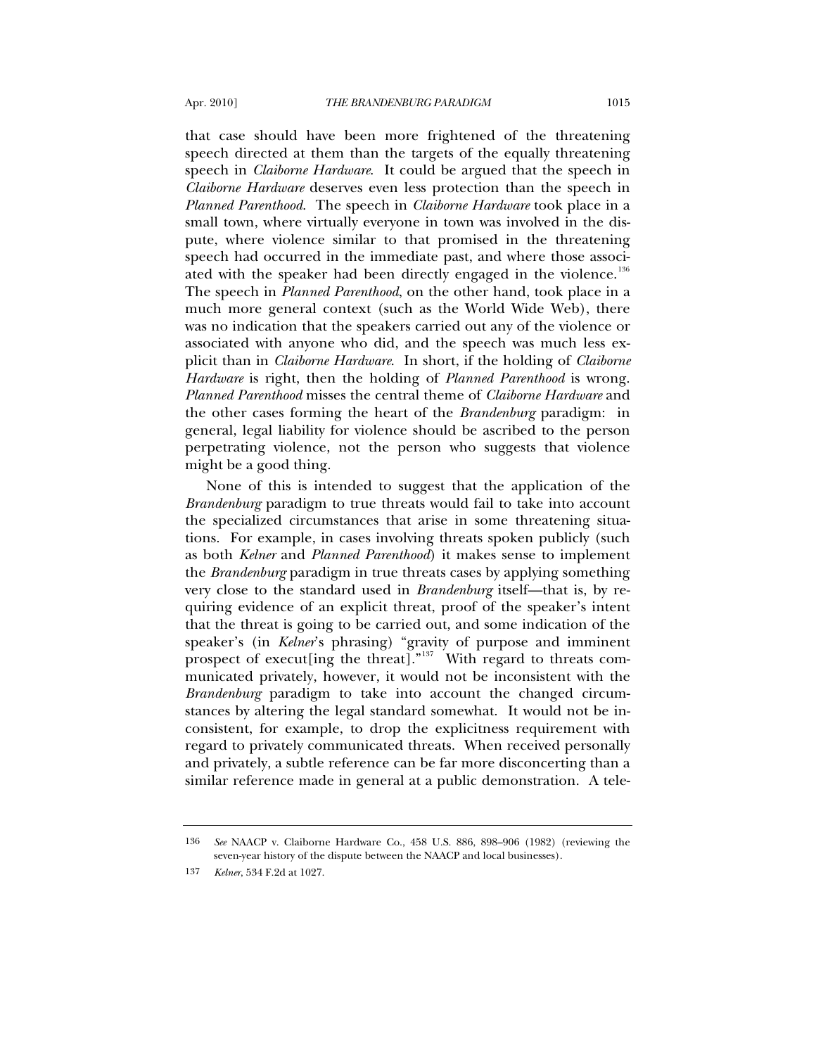that case should have been more frightened of the threatening speech directed at them than the targets of the equally threatening speech in *Claiborne Hardware*. It could be argued that the speech in *Claiborne Hardware* deserves even less protection than the speech in *Planned Parenthood*. The speech in *Claiborne Hardware* took place in a small town, where virtually everyone in town was involved in the dispute, where violence similar to that promised in the threatening speech had occurred in the immediate past, and where those associ-ated with the speaker had been directly engaged in the violence.<sup>[136](#page-44-0)</sup> The speech in *Planned Parenthood*, on the other hand, took place in a much more general context (such as the World Wide Web), there was no indication that the speakers carried out any of the violence or associated with anyone who did, and the speech was much less explicit than in *Claiborne Hardware*. In short, if the holding of *Claiborne Hardware* is right, then the holding of *Planned Parenthood* is wrong. *Planned Parenthood* misses the central theme of *Claiborne Hardware* and the other cases forming the heart of the *Brandenburg* paradigm: in general, legal liability for violence should be ascribed to the person perpetrating violence, not the person who suggests that violence might be a good thing.

None of this is intended to suggest that the application of the *Brandenburg* paradigm to true threats would fail to take into account the specialized circumstances that arise in some threatening situations. For example, in cases involving threats spoken publicly (such as both *Kelner* and *Planned Parenthood*) it makes sense to implement the *Brandenburg* paradigm in true threats cases by applying something very close to the standard used in *Brandenburg* itself—that is, by requiring evidence of an explicit threat, proof of the speaker's intent that the threat is going to be carried out, and some indication of the speaker's (in *Kelner*'s phrasing) "gravity of purpose and imminent prospect of execut ing the threat.<sup>"[137](#page-44-1)</sup> With regard to threats communicated privately, however, it would not be inconsistent with the *Brandenburg* paradigm to take into account the changed circumstances by altering the legal standard somewhat. It would not be inconsistent, for example, to drop the explicitness requirement with regard to privately communicated threats. When received personally and privately, a subtle reference can be far more disconcerting than a similar reference made in general at a public demonstration. A tele-

<span id="page-44-0"></span><sup>136</sup> *See* NAACP v. Claiborne Hardware Co., 458 U.S. 886, 898–906 (1982) (reviewing the seven-year history of the dispute between the NAACP and local businesses).

<span id="page-44-1"></span><sup>137</sup> *Kelner*, 534 F.2d at 1027.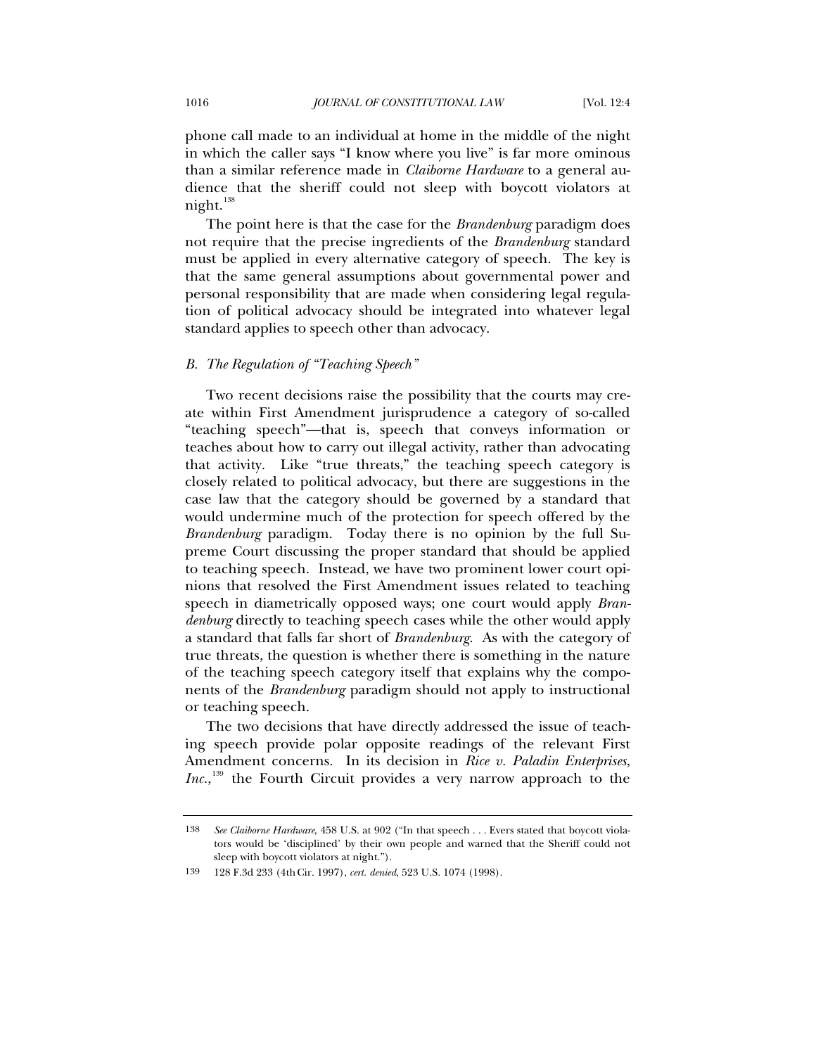phone call made to an individual at home in the middle of the night in which the caller says "I know where you live" is far more ominous than a similar reference made in *Claiborne Hardware* to a general audience that the sheriff could not sleep with boycott violators at night.<sup>[138](#page-45-0)</sup>

The point here is that the case for the *Brandenburg* paradigm does not require that the precise ingredients of the *Brandenburg* standard must be applied in every alternative category of speech. The key is that the same general assumptions about governmental power and personal responsibility that are made when considering legal regulation of political advocacy should be integrated into whatever legal standard applies to speech other than advocacy.

## *B. The Regulation of "Teaching Speech"*

Two recent decisions raise the possibility that the courts may create within First Amendment jurisprudence a category of so-called "teaching speech"—that is, speech that conveys information or teaches about how to carry out illegal activity, rather than advocating that activity. Like "true threats," the teaching speech category is closely related to political advocacy, but there are suggestions in the case law that the category should be governed by a standard that would undermine much of the protection for speech offered by the *Brandenburg* paradigm. Today there is no opinion by the full Supreme Court discussing the proper standard that should be applied to teaching speech. Instead, we have two prominent lower court opinions that resolved the First Amendment issues related to teaching speech in diametrically opposed ways; one court would apply *Brandenburg* directly to teaching speech cases while the other would apply a standard that falls far short of *Brandenburg*. As with the category of true threats, the question is whether there is something in the nature of the teaching speech category itself that explains why the components of the *Brandenburg* paradigm should not apply to instructional or teaching speech.

The two decisions that have directly addressed the issue of teaching speech provide polar opposite readings of the relevant First Amendment concerns. In its decision in *Rice v. Paladin Enterprises*, Inc.,<sup>[139](#page-45-1)</sup> the Fourth Circuit provides a very narrow approach to the

<span id="page-45-0"></span><sup>138</sup> *See Claiborne Hardware*, 458 U.S. at 902 ("In that speech . . . Evers stated that boycott violators would be 'disciplined' by their own people and warned that the Sheriff could not sleep with boycott violators at night.").

<span id="page-45-1"></span><sup>139 128</sup> F.3d 233 (4thCir. 1997), *cert. denied*, 523 U.S. 1074 (1998).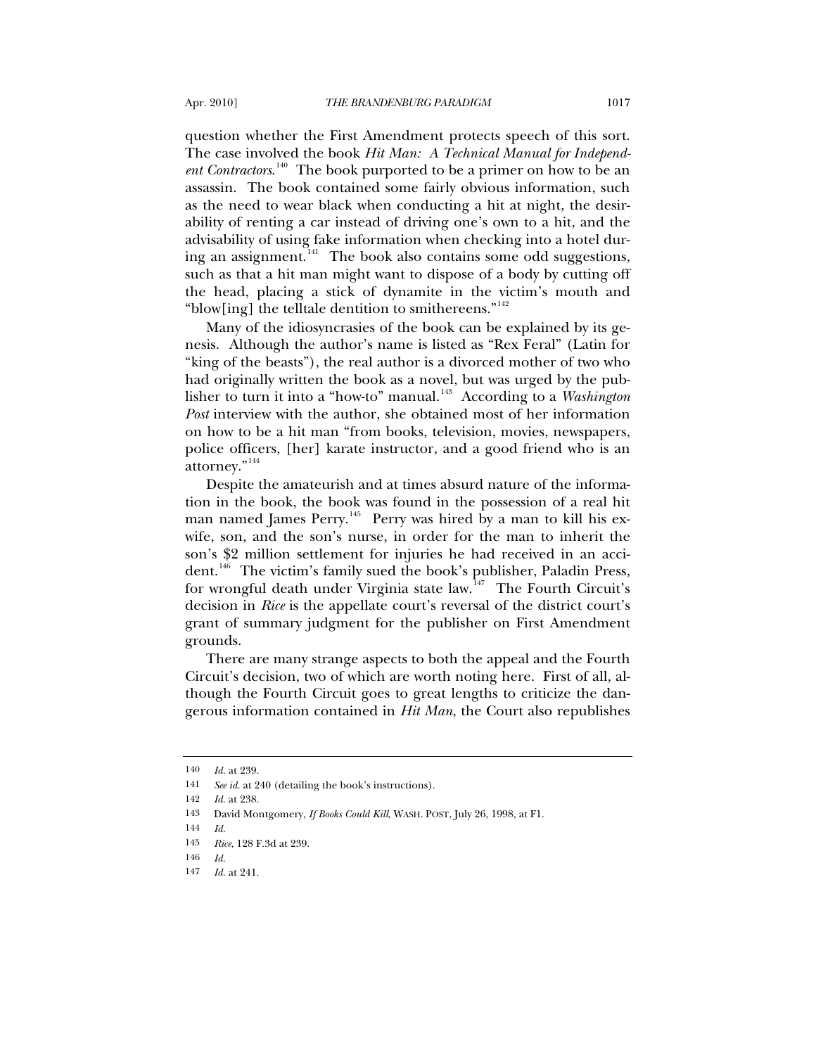question whether the First Amendment protects speech of this sort. The case involved the book *Hit Man: A Technical Manual for Independent Contractors*. [140](#page-46-0) The book purported to be a primer on how to be an assassin. The book contained some fairly obvious information, such as the need to wear black when conducting a hit at night, the desirability of renting a car instead of driving one's own to a hit, and the advisability of using fake information when checking into a hotel during an assignment. $141$  The book also contains some odd suggestions, such as that a hit man might want to dispose of a body by cutting off the head, placing a stick of dynamite in the victim's mouth and "blow[ing] the telltale dentition to smithereens."<sup>[142](#page-46-2)</sup>

Many of the idiosyncrasies of the book can be explained by its genesis. Although the author's name is listed as "Rex Feral" (Latin for "king of the beasts"), the real author is a divorced mother of two who had originally written the book as a novel, but was urged by the pub-lisher to turn it into a "how-to" manual.<sup>[143](#page-46-3)</sup> According to a *Washington Post* interview with the author, she obtained most of her information on how to be a hit man "from books, television, movies, newspapers, police officers, [her] karate instructor, and a good friend who is an attorney."[144](#page-46-4)

Despite the amateurish and at times absurd nature of the information in the book, the book was found in the possession of a real hit man named James Perry.<sup>[145](#page-46-5)</sup> Perry was hired by a man to kill his exwife, son, and the son's nurse, in order for the man to inherit the son's \$2 million settlement for injuries he had received in an accident.[146](#page-46-6) The victim's family sued the book's publisher, Paladin Press, for wrongful death under Virginia state law.<sup>[147](#page-46-7)</sup> The Fourth Circuit's decision in *Rice* is the appellate court's reversal of the district court's grant of summary judgment for the publisher on First Amendment grounds.

There are many strange aspects to both the appeal and the Fourth Circuit's decision, two of which are worth noting here. First of all, although the Fourth Circuit goes to great lengths to criticize the dangerous information contained in *Hit Man*, the Court also republishes

<sup>140</sup> *Id.* at 239.

<span id="page-46-2"></span><span id="page-46-1"></span><span id="page-46-0"></span><sup>141</sup> *See id.* at 240 (detailing the book's instructions).

<sup>142</sup> *Id.* at 238.

<sup>143</sup> David Montgomery, *If Books Could Kill*, WASH. POST, July 26, 1998, at F1.

<span id="page-46-5"></span><span id="page-46-4"></span><span id="page-46-3"></span><sup>144</sup> *Id.*

<sup>145</sup> *Rice*, 128 F.3d at 239.

<span id="page-46-7"></span><span id="page-46-6"></span><sup>146</sup> *Id.*

<sup>147</sup> *Id.* at 241.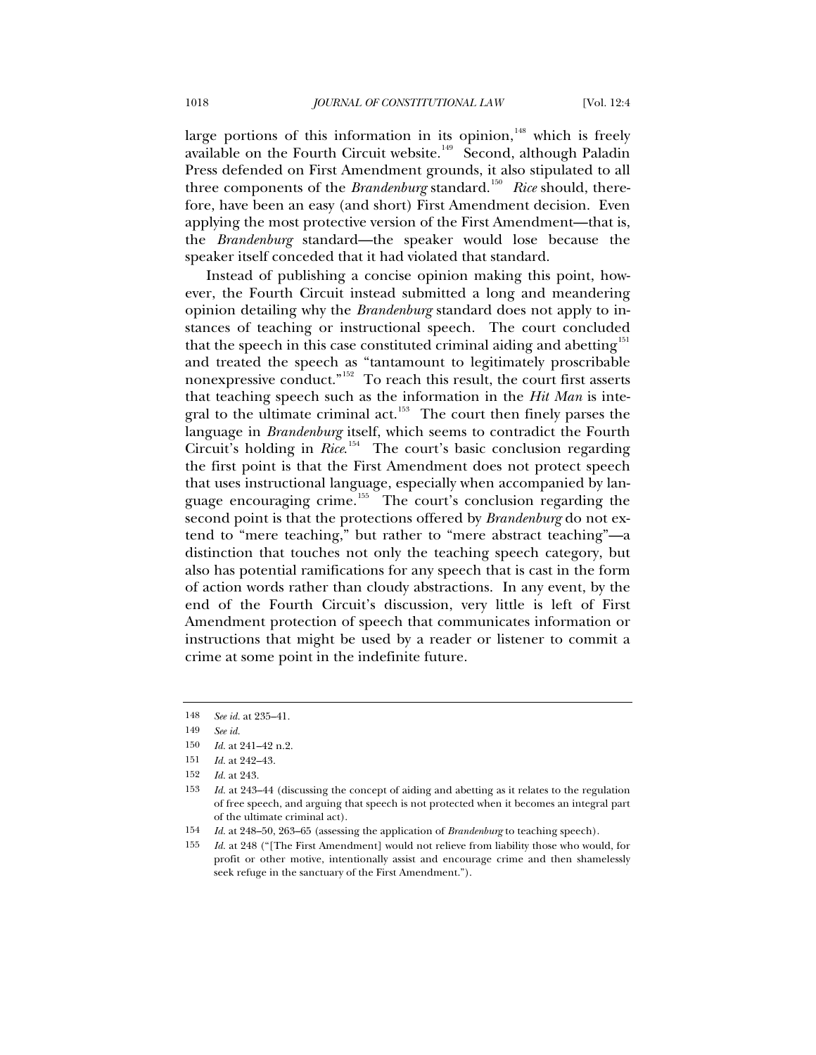large portions of this information in its opinion, $148$  which is freely available on the Fourth Circuit website.<sup>[149](#page-47-1)</sup> Second, although Paladin Press defended on First Amendment grounds, it also stipulated to all three components of the *Brandenburg* standard.<sup>[150](#page-47-2)</sup> Rice should, therefore, have been an easy (and short) First Amendment decision. Even applying the most protective version of the First Amendment—that is, the *Brandenburg* standard—the speaker would lose because the speaker itself conceded that it had violated that standard.

Instead of publishing a concise opinion making this point, however, the Fourth Circuit instead submitted a long and meandering opinion detailing why the *Brandenburg* standard does not apply to instances of teaching or instructional speech. The court concluded that the speech in this case constituted criminal aiding and abetting<sup>[151](#page-47-3)</sup> and treated the speech as "tantamount to legitimately proscribable nonexpressive conduct."[152](#page-47-4) To reach this result, the court first asserts that teaching speech such as the information in the *Hit Man* is inte-gral to the ultimate criminal act.<sup>[153](#page-47-5)</sup> The court then finely parses the language in *Brandenburg* itself, which seems to contradict the Fourth Circuit's holding in *Rice*.<sup>[154](#page-47-6)</sup> The court's basic conclusion regarding the first point is that the First Amendment does not protect speech that uses instructional language, especially when accompanied by lan-guage encouraging crime.<sup>[155](#page-47-7)</sup> The court's conclusion regarding the second point is that the protections offered by *Brandenburg* do not extend to "mere teaching," but rather to "mere abstract teaching"—a distinction that touches not only the teaching speech category, but also has potential ramifications for any speech that is cast in the form of action words rather than cloudy abstractions. In any event, by the end of the Fourth Circuit's discussion, very little is left of First Amendment protection of speech that communicates information or instructions that might be used by a reader or listener to commit a crime at some point in the indefinite future.

<span id="page-47-1"></span><span id="page-47-0"></span><sup>148</sup> *See id.* at 235–41.

<sup>149</sup> *See id.*

<span id="page-47-3"></span><span id="page-47-2"></span><sup>150</sup> *Id.* at 241–42 n.2.

<sup>151</sup> *Id.* at 242–43.

<sup>152</sup> *Id.* at 243.

<span id="page-47-5"></span><span id="page-47-4"></span><sup>153</sup> *Id.* at 243–44 (discussing the concept of aiding and abetting as it relates to the regulation of free speech, and arguing that speech is not protected when it becomes an integral part of the ultimate criminal act).

<span id="page-47-7"></span><span id="page-47-6"></span><sup>154</sup> *Id.* at 248–50, 263–65 (assessing the application of *Brandenburg* to teaching speech).

<sup>155</sup> *Id.* at 248 ("[The First Amendment] would not relieve from liability those who would, for profit or other motive, intentionally assist and encourage crime and then shamelessly seek refuge in the sanctuary of the First Amendment.").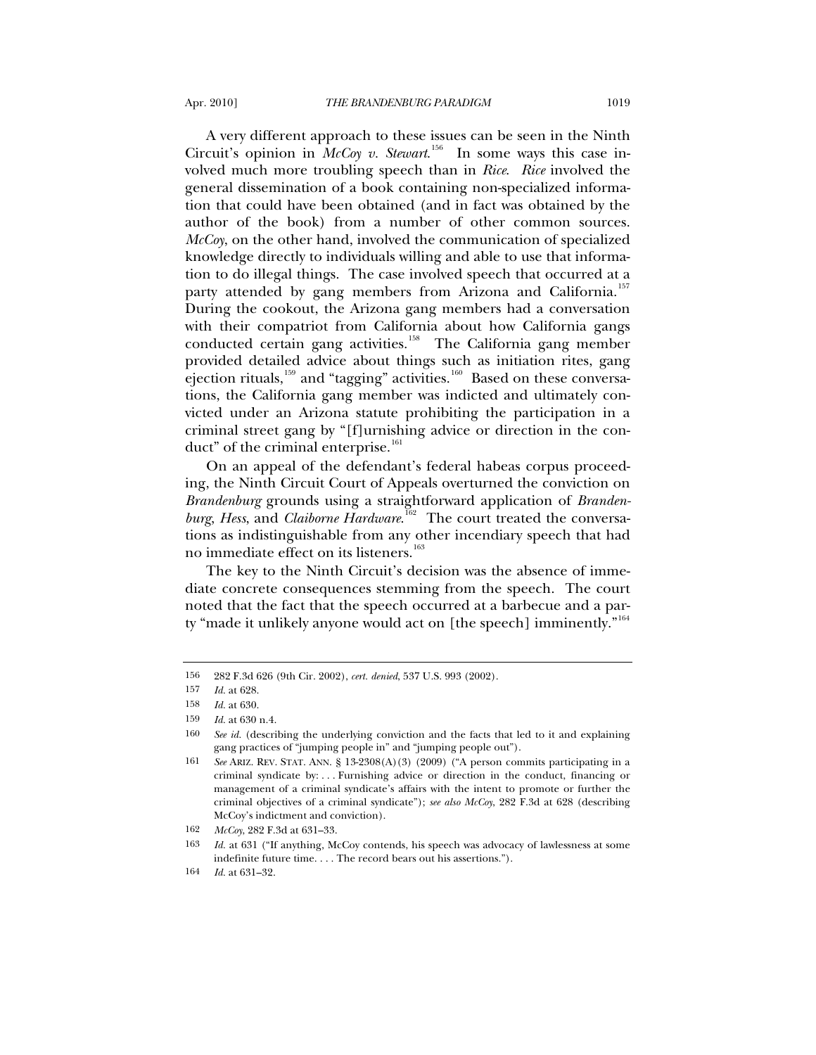A very different approach to these issues can be seen in the Ninth Circuit's opinion in *McCoy v. Stewart*.<sup>[156](#page-48-0)</sup> In some ways this case involved much more troubling speech than in *Rice*. *Rice* involved the general dissemination of a book containing non-specialized information that could have been obtained (and in fact was obtained by the author of the book) from a number of other common sources. *McCoy*, on the other hand, involved the communication of specialized knowledge directly to individuals willing and able to use that information to do illegal things. The case involved speech that occurred at a party attended by gang members from Arizona and California.<sup>[157](#page-48-1)</sup> During the cookout, the Arizona gang members had a conversation with their compatriot from California about how California gangs conducted certain gang activities.<sup>[158](#page-48-2)</sup> The California gang member provided detailed advice about things such as initiation rites, gang ejection rituals,<sup>[159](#page-48-3)</sup> and "tagging" activities.<sup>[160](#page-48-4)</sup> Based on these conversations, the California gang member was indicted and ultimately convicted under an Arizona statute prohibiting the participation in a

On an appeal of the defendant's federal habeas corpus proceeding, the Ninth Circuit Court of Appeals overturned the conviction on *Brandenburg* grounds using a straightforward application of *Branden*burg, Hess, and *Claiborne Hardware*.<sup>[162](#page-48-6)</sup> The court treated the conversations as indistinguishable from any other incendiary speech that had no immediate effect on its listeners.<sup>[163](#page-48-7)</sup>

criminal street gang by "[f]urnishing advice or direction in the con-

The key to the Ninth Circuit's decision was the absence of immediate concrete consequences stemming from the speech. The court noted that the fact that the speech occurred at a barbecue and a party "made it unlikely anyone would act on [the speech] imminently." $164$ 

duct" of the criminal enterprise.<sup>[161](#page-48-5)</sup>

<span id="page-48-0"></span><sup>156 282</sup> F.3d 626 (9th Cir. 2002), *cert. denied*, 537 U.S. 993 (2002).

<span id="page-48-1"></span><sup>157</sup> *Id.* at 628.

<span id="page-48-2"></span><sup>158</sup> *Id.* at 630.

<span id="page-48-4"></span><span id="page-48-3"></span><sup>159</sup> *Id.* at 630 n.4.

<sup>160</sup> *See id.* (describing the underlying conviction and the facts that led to it and explaining gang practices of "jumping people in" and "jumping people out").

<span id="page-48-5"></span><sup>161</sup> *See* ARIZ. REV. STAT. ANN. § 13-2308(A)(3) (2009) ("A person commits participating in a criminal syndicate by: . . . Furnishing advice or direction in the conduct, financing or management of a criminal syndicate's affairs with the intent to promote or further the criminal objectives of a criminal syndicate"); *see also McCoy*, 282 F.3d at 628 (describing McCoy's indictment and conviction).

<sup>162</sup> *McCoy*, 282 F.3d at 631–33.

<span id="page-48-8"></span><span id="page-48-7"></span><span id="page-48-6"></span><sup>163</sup> *Id.* at 631 ("If anything, McCoy contends, his speech was advocacy of lawlessness at some indefinite future time. . . . The record bears out his assertions.").

<sup>164</sup> *Id.* at 631–32.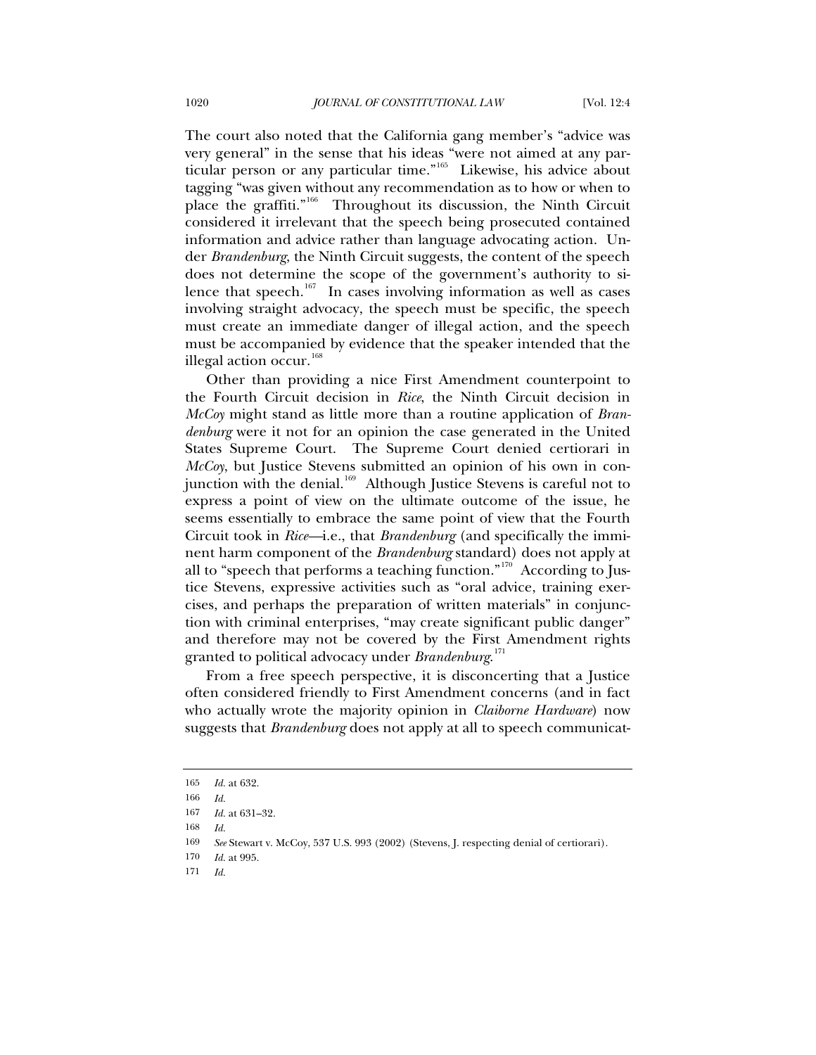The court also noted that the California gang member's "advice was very general" in the sense that his ideas "were not aimed at any particular person or any particular time."[165](#page-49-0) Likewise, his advice about tagging "was given without any recommendation as to how or when to place the graffiti."<sup>[166](#page-49-1)</sup> Throughout its discussion, the Ninth Circuit considered it irrelevant that the speech being prosecuted contained information and advice rather than language advocating action. Under *Brandenburg*, the Ninth Circuit suggests, the content of the speech does not determine the scope of the government's authority to si-lence that speech.<sup>[167](#page-49-2)</sup> In cases involving information as well as cases involving straight advocacy, the speech must be specific, the speech must create an immediate danger of illegal action, and the speech must be accompanied by evidence that the speaker intended that the illegal action occur.<sup>[168](#page-49-3)</sup>

Other than providing a nice First Amendment counterpoint to the Fourth Circuit decision in *Rice*, the Ninth Circuit decision in *McCoy* might stand as little more than a routine application of *Brandenburg* were it not for an opinion the case generated in the United States Supreme Court. The Supreme Court denied certiorari in *McCoy*, but Justice Stevens submitted an opinion of his own in con-junction with the denial.<sup>[169](#page-49-4)</sup> Although Justice Stevens is careful not to express a point of view on the ultimate outcome of the issue, he seems essentially to embrace the same point of view that the Fourth Circuit took in *Rice—*i.e., that *Brandenburg* (and specifically the imminent harm component of the *Brandenburg* standard) does not apply at all to "speech that performs a teaching function."<sup>[170](#page-49-5)</sup> According to Justice Stevens, expressive activities such as "oral advice, training exercises, and perhaps the preparation of written materials" in conjunction with criminal enterprises, "may create significant public danger" and therefore may not be covered by the First Amendment rights granted to political advocacy under *Brandenburg*. [171](#page-49-6)

From a free speech perspective, it is disconcerting that a Justice often considered friendly to First Amendment concerns (and in fact who actually wrote the majority opinion in *Claiborne Hardware*) now suggests that *Brandenburg* does not apply at all to speech communicat-

<span id="page-49-0"></span><sup>165</sup> *Id.* at 632.

<span id="page-49-1"></span><sup>166</sup> *Id.*

<span id="page-49-2"></span><sup>167</sup> *Id.* at 631–32.

<span id="page-49-3"></span><sup>168</sup> *Id.*

<sup>169</sup> *See* Stewart v. McCoy, 537 U.S. 993 (2002) (Stevens, J. respecting denial of certiorari).

<span id="page-49-6"></span><span id="page-49-5"></span><span id="page-49-4"></span><sup>170</sup> *Id.* at 995.

<sup>171</sup> *Id.*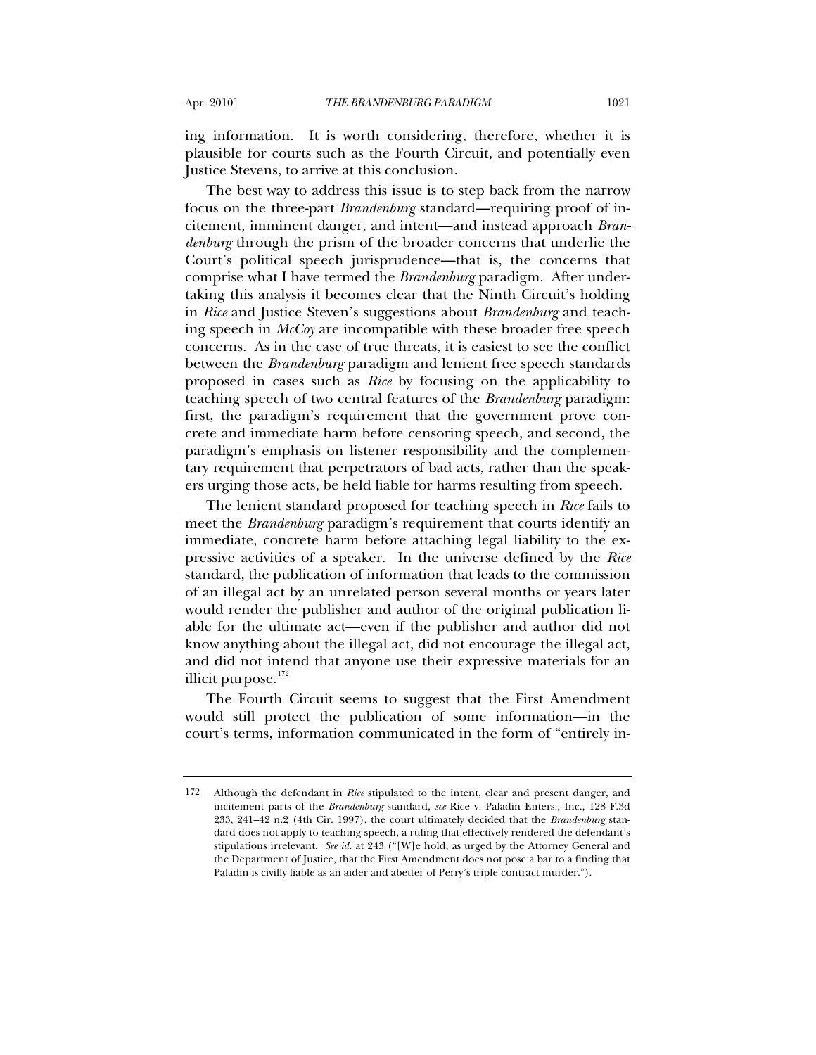ing information. It is worth considering, therefore, whether it is plausible for courts such as the Fourth Circuit, and potentially even Justice Stevens, to arrive at this conclusion.

The best way to address this issue is to step back from the narrow focus on the three-part *Brandenburg* standard—requiring proof of incitement, imminent danger, and intent—and instead approach *Brandenburg* through the prism of the broader concerns that underlie the Court's political speech jurisprudence—that is, the concerns that comprise what I have termed the *Brandenburg* paradigm. After undertaking this analysis it becomes clear that the Ninth Circuit's holding in *Rice* and Justice Steven's suggestions about *Brandenburg* and teaching speech in *McCoy* are incompatible with these broader free speech concerns. As in the case of true threats, it is easiest to see the conflict between the *Brandenburg* paradigm and lenient free speech standards proposed in cases such as *Rice* by focusing on the applicability to teaching speech of two central features of the *Brandenburg* paradigm: first, the paradigm's requirement that the government prove concrete and immediate harm before censoring speech, and second, the paradigm's emphasis on listener responsibility and the complementary requirement that perpetrators of bad acts, rather than the speakers urging those acts, be held liable for harms resulting from speech.

The lenient standard proposed for teaching speech in *Rice* fails to meet the *Brandenburg* paradigm's requirement that courts identify an immediate, concrete harm before attaching legal liability to the expressive activities of a speaker. In the universe defined by the *Rice* standard, the publication of information that leads to the commission of an illegal act by an unrelated person several months or years later would render the publisher and author of the original publication liable for the ultimate act—even if the publisher and author did not know anything about the illegal act, did not encourage the illegal act, and did not intend that anyone use their expressive materials for an illicit purpose. $172$ 

The Fourth Circuit seems to suggest that the First Amendment would still protect the publication of some information—in the court's terms, information communicated in the form of "entirely in-

<span id="page-50-0"></span><sup>172</sup> Although the defendant in *Rice* stipulated to the intent, clear and present danger, and incitement parts of the *Brandenburg* standard, *see* Rice v. Paladin Enters., Inc., 128 F.3d 233, 241–42 n.2 (4th Cir. 1997), the court ultimately decided that the *Brandenburg* standard does not apply to teaching speech, a ruling that effectively rendered the defendant's stipulations irrelevant. *See id.* at 243 ("[W]e hold, as urged by the Attorney General and the Department of Justice, that the First Amendment does not pose a bar to a finding that Paladin is civilly liable as an aider and abetter of Perry's triple contract murder.").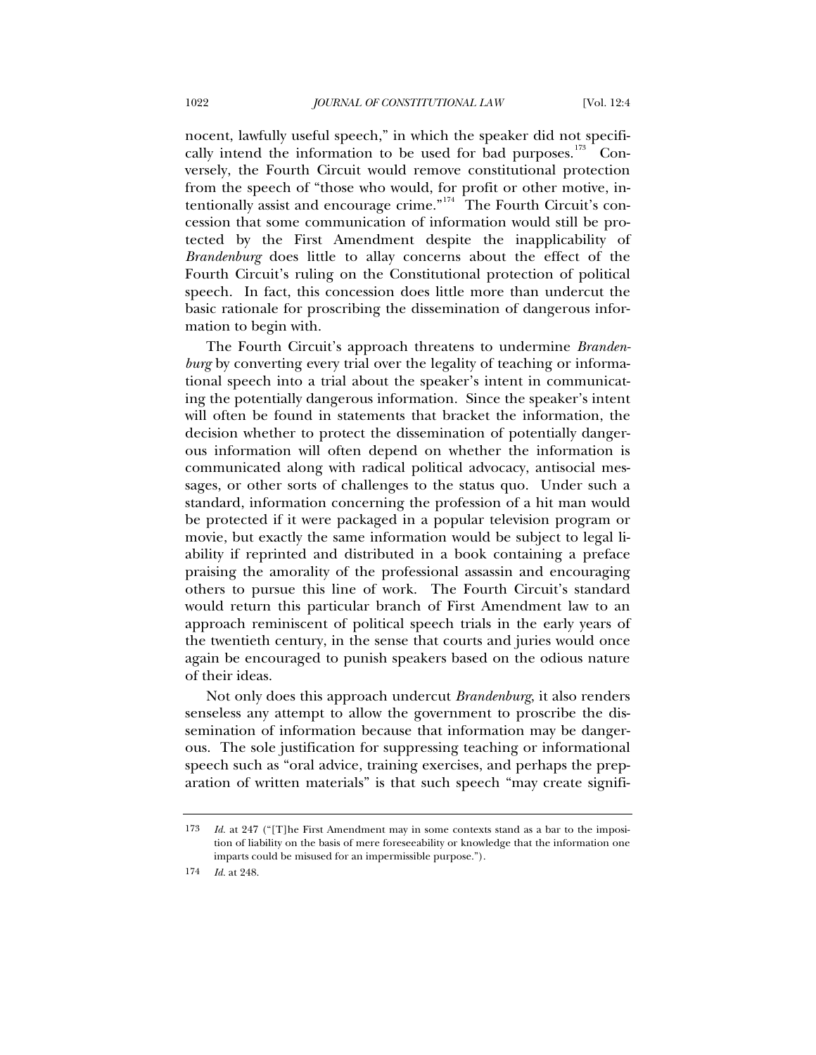nocent, lawfully useful speech," in which the speaker did not specifically intend the information to be used for bad purposes. $173$  Conversely, the Fourth Circuit would remove constitutional protection from the speech of "those who would, for profit or other motive, in-tentionally assist and encourage crime."<sup>[174](#page-51-1)</sup> The Fourth Circuit's concession that some communication of information would still be protected by the First Amendment despite the inapplicability of *Brandenburg* does little to allay concerns about the effect of the Fourth Circuit's ruling on the Constitutional protection of political speech. In fact, this concession does little more than undercut the basic rationale for proscribing the dissemination of dangerous information to begin with.

The Fourth Circuit's approach threatens to undermine *Brandenburg* by converting every trial over the legality of teaching or informational speech into a trial about the speaker's intent in communicating the potentially dangerous information. Since the speaker's intent will often be found in statements that bracket the information, the decision whether to protect the dissemination of potentially dangerous information will often depend on whether the information is communicated along with radical political advocacy, antisocial messages, or other sorts of challenges to the status quo. Under such a standard, information concerning the profession of a hit man would be protected if it were packaged in a popular television program or movie, but exactly the same information would be subject to legal liability if reprinted and distributed in a book containing a preface praising the amorality of the professional assassin and encouraging others to pursue this line of work. The Fourth Circuit's standard would return this particular branch of First Amendment law to an approach reminiscent of political speech trials in the early years of the twentieth century, in the sense that courts and juries would once again be encouraged to punish speakers based on the odious nature of their ideas.

Not only does this approach undercut *Brandenburg*, it also renders senseless any attempt to allow the government to proscribe the dissemination of information because that information may be dangerous. The sole justification for suppressing teaching or informational speech such as "oral advice, training exercises, and perhaps the preparation of written materials" is that such speech "may create signifi-

<span id="page-51-0"></span><sup>173</sup> *Id.* at 247 ("[T]he First Amendment may in some contexts stand as a bar to the imposition of liability on the basis of mere foreseeability or knowledge that the information one imparts could be misused for an impermissible purpose.").

<span id="page-51-1"></span><sup>174</sup> *Id.* at 248.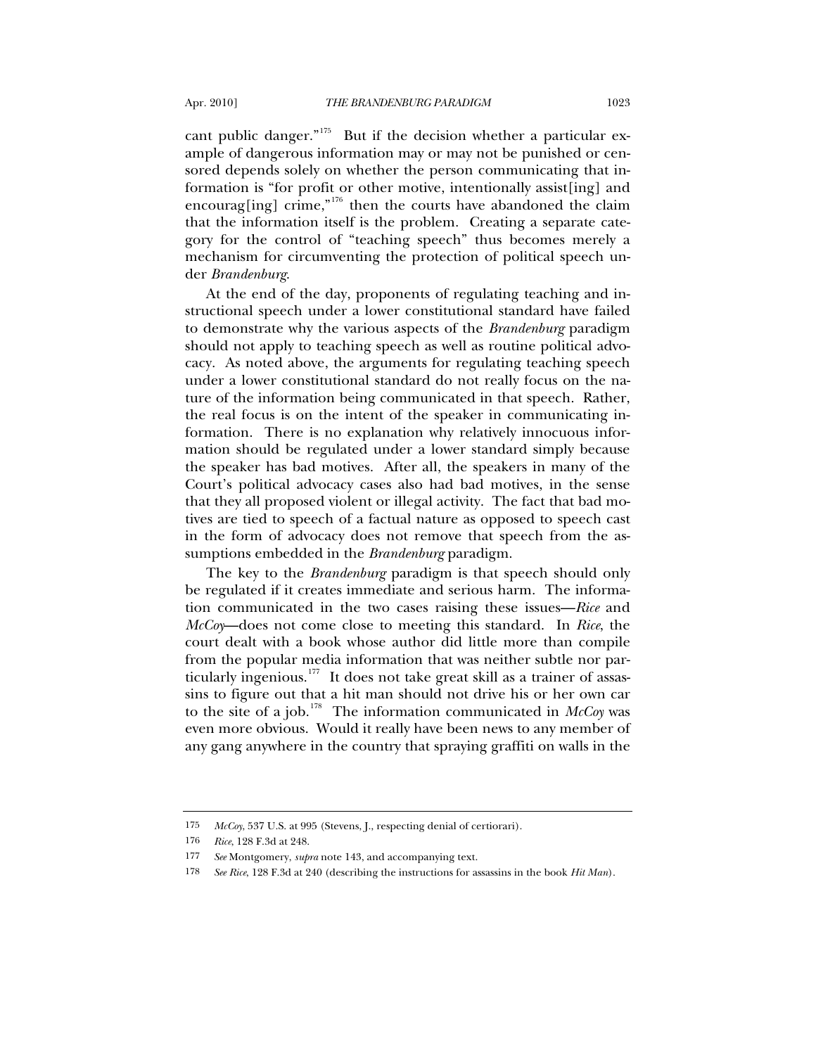cant public danger."<sup>[175](#page-52-0)</sup> But if the decision whether a particular example of dangerous information may or may not be punished or censored depends solely on whether the person communicating that information is "for profit or other motive, intentionally assist[ing] and encourag[ing] crime,"<sup>[176](#page-52-1)</sup> then the courts have abandoned the claim that the information itself is the problem. Creating a separate category for the control of "teaching speech" thus becomes merely a mechanism for circumventing the protection of political speech under *Brandenburg*.

At the end of the day, proponents of regulating teaching and instructional speech under a lower constitutional standard have failed to demonstrate why the various aspects of the *Brandenburg* paradigm should not apply to teaching speech as well as routine political advocacy. As noted above, the arguments for regulating teaching speech under a lower constitutional standard do not really focus on the nature of the information being communicated in that speech. Rather, the real focus is on the intent of the speaker in communicating information. There is no explanation why relatively innocuous information should be regulated under a lower standard simply because the speaker has bad motives. After all, the speakers in many of the Court's political advocacy cases also had bad motives, in the sense that they all proposed violent or illegal activity. The fact that bad motives are tied to speech of a factual nature as opposed to speech cast in the form of advocacy does not remove that speech from the assumptions embedded in the *Brandenburg* paradigm.

The key to the *Brandenburg* paradigm is that speech should only be regulated if it creates immediate and serious harm. The information communicated in the two cases raising these issues—*Rice* and *McCoy*—does not come close to meeting this standard. In *Rice*, the court dealt with a book whose author did little more than compile from the popular media information that was neither subtle nor par-ticularly ingenious.<sup>[177](#page-52-2)</sup> It does not take great skill as a trainer of assassins to figure out that a hit man should not drive his or her own car to the site of a job.<sup>[178](#page-52-3)</sup> The information communicated in  $McCov$  was even more obvious. Would it really have been news to any member of any gang anywhere in the country that spraying graffiti on walls in the

<span id="page-52-0"></span><sup>175</sup> *McCoy*, 537 U.S. at 995 (Stevens, J., respecting denial of certiorari).

<span id="page-52-1"></span><sup>176</sup> *Rice*, 128 F.3d at 248.

<span id="page-52-2"></span><sup>177</sup> *See* Montgomery, *supra* note 143, and accompanying text.

<span id="page-52-3"></span><sup>178</sup> *See Rice*, 128 F.3d at 240 (describing the instructions for assassins in the book *Hit Man*).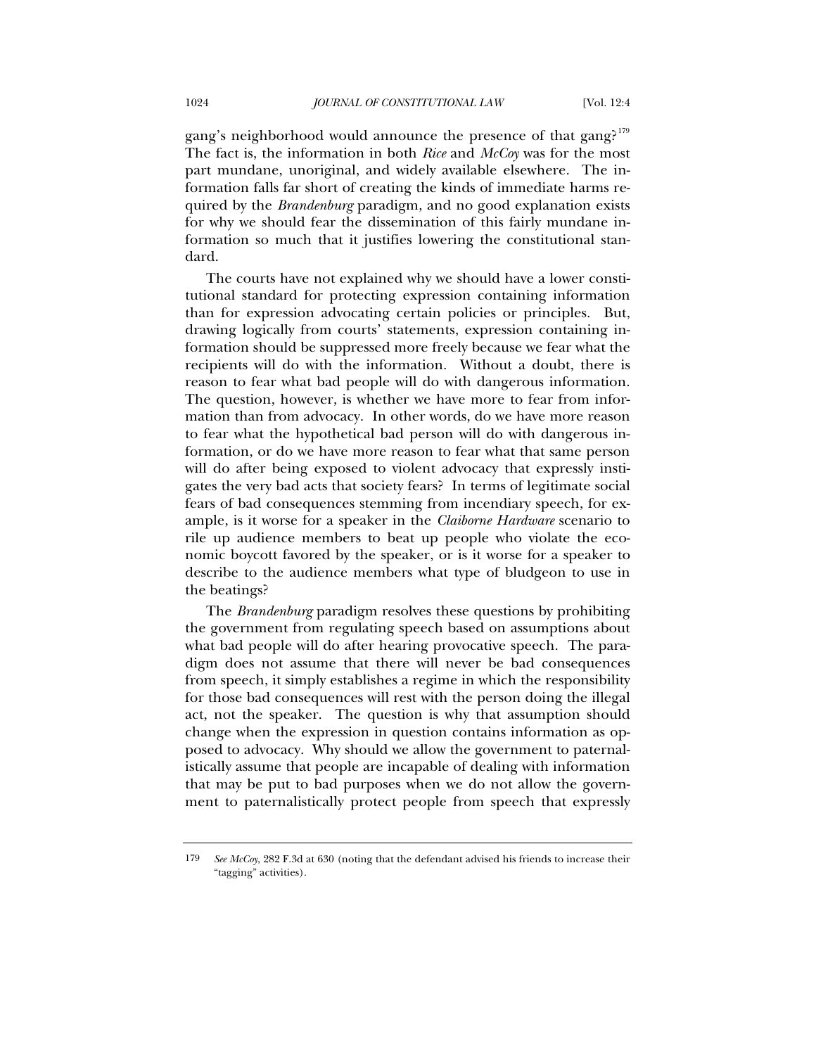gang's neighborhood would announce the presence of that gang?<sup>[179](#page-53-0)</sup> The fact is, the information in both *Rice* and *McCoy* was for the most part mundane, unoriginal, and widely available elsewhere. The information falls far short of creating the kinds of immediate harms required by the *Brandenburg* paradigm, and no good explanation exists for why we should fear the dissemination of this fairly mundane information so much that it justifies lowering the constitutional standard.

The courts have not explained why we should have a lower constitutional standard for protecting expression containing information than for expression advocating certain policies or principles. But, drawing logically from courts' statements, expression containing information should be suppressed more freely because we fear what the recipients will do with the information. Without a doubt, there is reason to fear what bad people will do with dangerous information. The question, however, is whether we have more to fear from information than from advocacy. In other words, do we have more reason to fear what the hypothetical bad person will do with dangerous information, or do we have more reason to fear what that same person will do after being exposed to violent advocacy that expressly instigates the very bad acts that society fears? In terms of legitimate social fears of bad consequences stemming from incendiary speech, for example, is it worse for a speaker in the *Claiborne Hardware* scenario to rile up audience members to beat up people who violate the economic boycott favored by the speaker, or is it worse for a speaker to describe to the audience members what type of bludgeon to use in the beatings?

The *Brandenburg* paradigm resolves these questions by prohibiting the government from regulating speech based on assumptions about what bad people will do after hearing provocative speech. The paradigm does not assume that there will never be bad consequences from speech, it simply establishes a regime in which the responsibility for those bad consequences will rest with the person doing the illegal act, not the speaker. The question is why that assumption should change when the expression in question contains information as opposed to advocacy. Why should we allow the government to paternalistically assume that people are incapable of dealing with information that may be put to bad purposes when we do not allow the government to paternalistically protect people from speech that expressly

<span id="page-53-0"></span><sup>179</sup> *See McCoy*, 282 F.3d at 630 (noting that the defendant advised his friends to increase their "tagging" activities).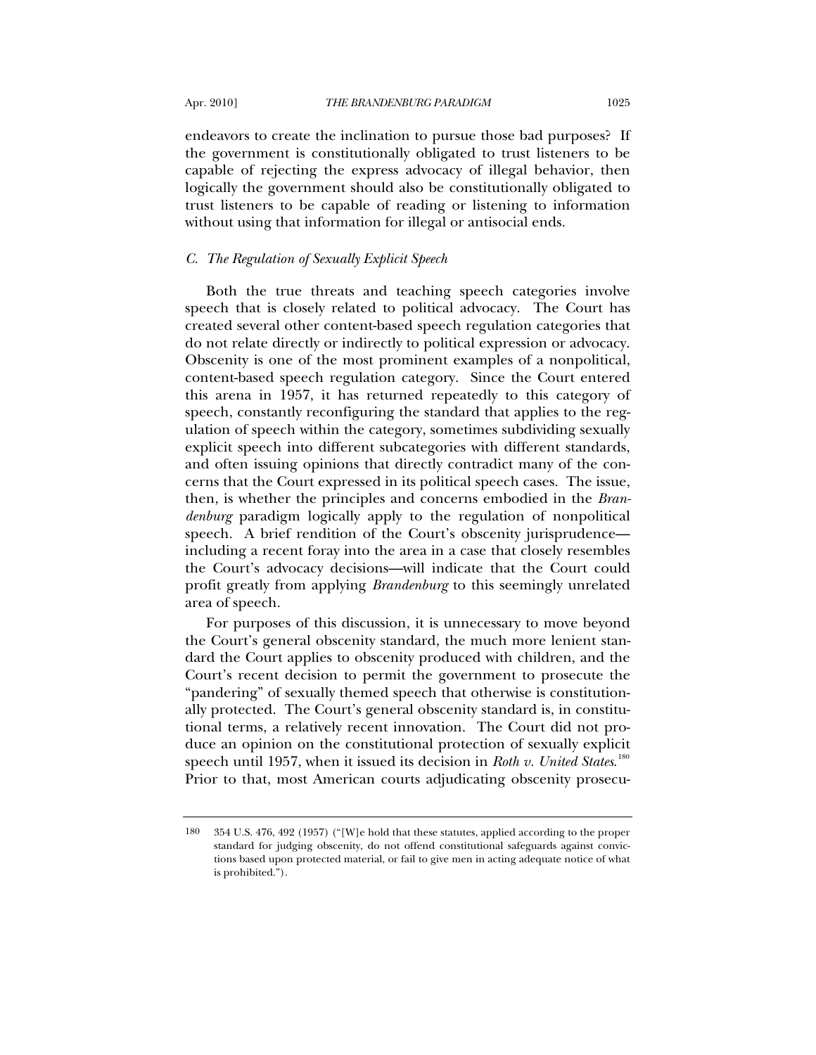endeavors to create the inclination to pursue those bad purposes? If the government is constitutionally obligated to trust listeners to be capable of rejecting the express advocacy of illegal behavior, then logically the government should also be constitutionally obligated to trust listeners to be capable of reading or listening to information without using that information for illegal or antisocial ends.

## *C. The Regulation of Sexually Explicit Speech*

Both the true threats and teaching speech categories involve speech that is closely related to political advocacy. The Court has created several other content-based speech regulation categories that do not relate directly or indirectly to political expression or advocacy. Obscenity is one of the most prominent examples of a nonpolitical, content-based speech regulation category. Since the Court entered this arena in 1957, it has returned repeatedly to this category of speech, constantly reconfiguring the standard that applies to the regulation of speech within the category, sometimes subdividing sexually explicit speech into different subcategories with different standards, and often issuing opinions that directly contradict many of the concerns that the Court expressed in its political speech cases. The issue, then, is whether the principles and concerns embodied in the *Brandenburg* paradigm logically apply to the regulation of nonpolitical speech. A brief rendition of the Court's obscenity jurisprudence including a recent foray into the area in a case that closely resembles the Court's advocacy decisions—will indicate that the Court could profit greatly from applying *Brandenburg* to this seemingly unrelated area of speech.

For purposes of this discussion, it is unnecessary to move beyond the Court's general obscenity standard, the much more lenient standard the Court applies to obscenity produced with children, and the Court's recent decision to permit the government to prosecute the "pandering" of sexually themed speech that otherwise is constitutionally protected. The Court's general obscenity standard is, in constitutional terms, a relatively recent innovation. The Court did not produce an opinion on the constitutional protection of sexually explicit speech until 1957, when it issued its decision in *Roth v. United States*. [180](#page-54-0) Prior to that, most American courts adjudicating obscenity prosecu-

<span id="page-54-0"></span><sup>180 354</sup> U.S. 476, 492 (1957) ("[W]e hold that these statutes, applied according to the proper standard for judging obscenity, do not offend constitutional safeguards against convictions based upon protected material, or fail to give men in acting adequate notice of what is prohibited.").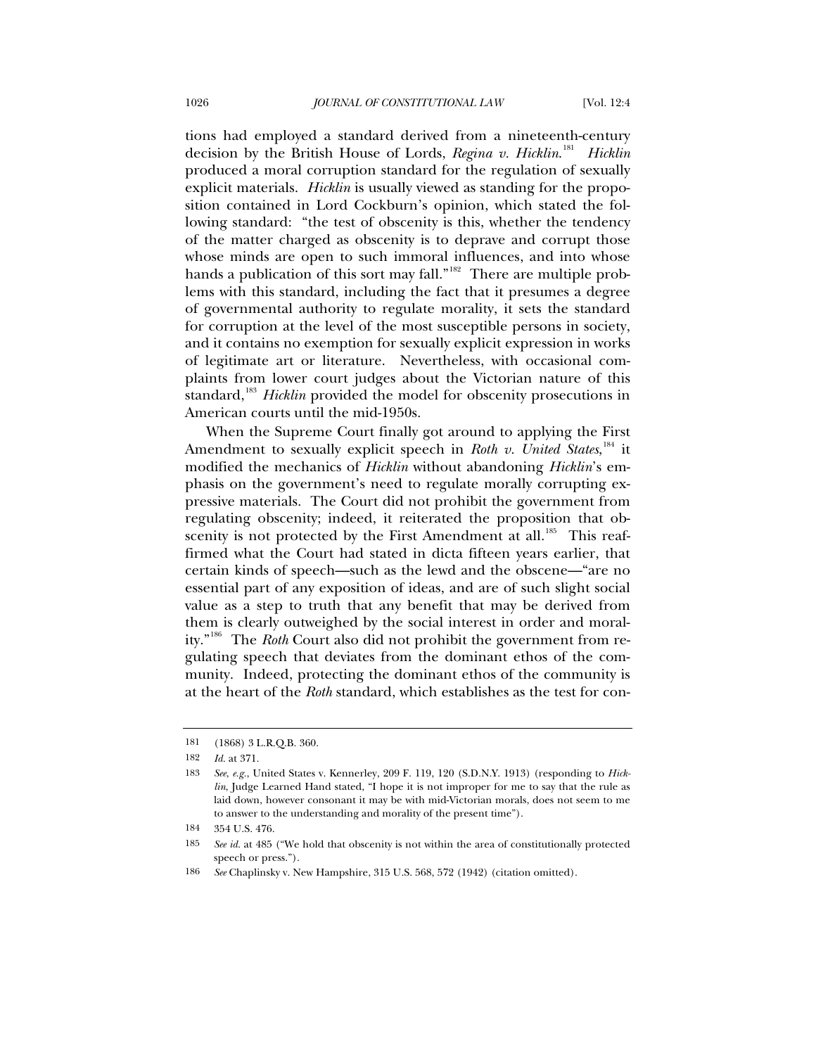tions had employed a standard derived from a nineteenth-century decision by the British House of Lords, *Regina v. Hicklin*. [181](#page-55-0) *Hicklin* produced a moral corruption standard for the regulation of sexually explicit materials. *Hicklin* is usually viewed as standing for the proposition contained in Lord Cockburn's opinion, which stated the following standard: "the test of obscenity is this, whether the tendency of the matter charged as obscenity is to deprave and corrupt those whose minds are open to such immoral influences, and into whose hands a publication of this sort may fall."<sup>[182](#page-55-1)</sup> There are multiple problems with this standard, including the fact that it presumes a degree of governmental authority to regulate morality, it sets the standard for corruption at the level of the most susceptible persons in society, and it contains no exemption for sexually explicit expression in works of legitimate art or literature. Nevertheless, with occasional complaints from lower court judges about the Victorian nature of this standard,<sup>[183](#page-55-2)</sup> *Hicklin* provided the model for obscenity prosecutions in American courts until the mid-1950s.

When the Supreme Court finally got around to applying the First Amendment to sexually explicit speech in *Roth v. United States*, <sup>[184](#page-55-3)</sup> it modified the mechanics of *Hicklin* without abandoning *Hicklin*'s emphasis on the government's need to regulate morally corrupting expressive materials. The Court did not prohibit the government from regulating obscenity; indeed, it reiterated the proposition that ob-scenity is not protected by the First Amendment at all.<sup>[185](#page-55-4)</sup> This reaffirmed what the Court had stated in dicta fifteen years earlier, that certain kinds of speech—such as the lewd and the obscene—"are no essential part of any exposition of ideas, and are of such slight social value as a step to truth that any benefit that may be derived from them is clearly outweighed by the social interest in order and morality."[186](#page-55-5) The *Roth* Court also did not prohibit the government from regulating speech that deviates from the dominant ethos of the community. Indeed, protecting the dominant ethos of the community is at the heart of the *Roth* standard, which establishes as the test for con-

<span id="page-55-1"></span><span id="page-55-0"></span><sup>181 (1868) 3</sup> L.R.Q.B. 360.

<sup>182</sup> *Id.* at 371.

<span id="page-55-2"></span><sup>183</sup> *See*, *e.g.*, United States v. Kennerley, 209 F. 119, 120 (S.D.N.Y. 1913) (responding to *Hicklin*, Judge Learned Hand stated, "I hope it is not improper for me to say that the rule as laid down, however consonant it may be with mid-Victorian morals, does not seem to me to answer to the understanding and morality of the present time").

<span id="page-55-3"></span><sup>184 354</sup> U.S. 476.

<span id="page-55-4"></span><sup>185</sup> *See id.* at 485 ("We hold that obscenity is not within the area of constitutionally protected speech or press.").

<span id="page-55-5"></span><sup>186</sup> *See* Chaplinsky v. New Hampshire, 315 U.S. 568, 572 (1942) (citation omitted).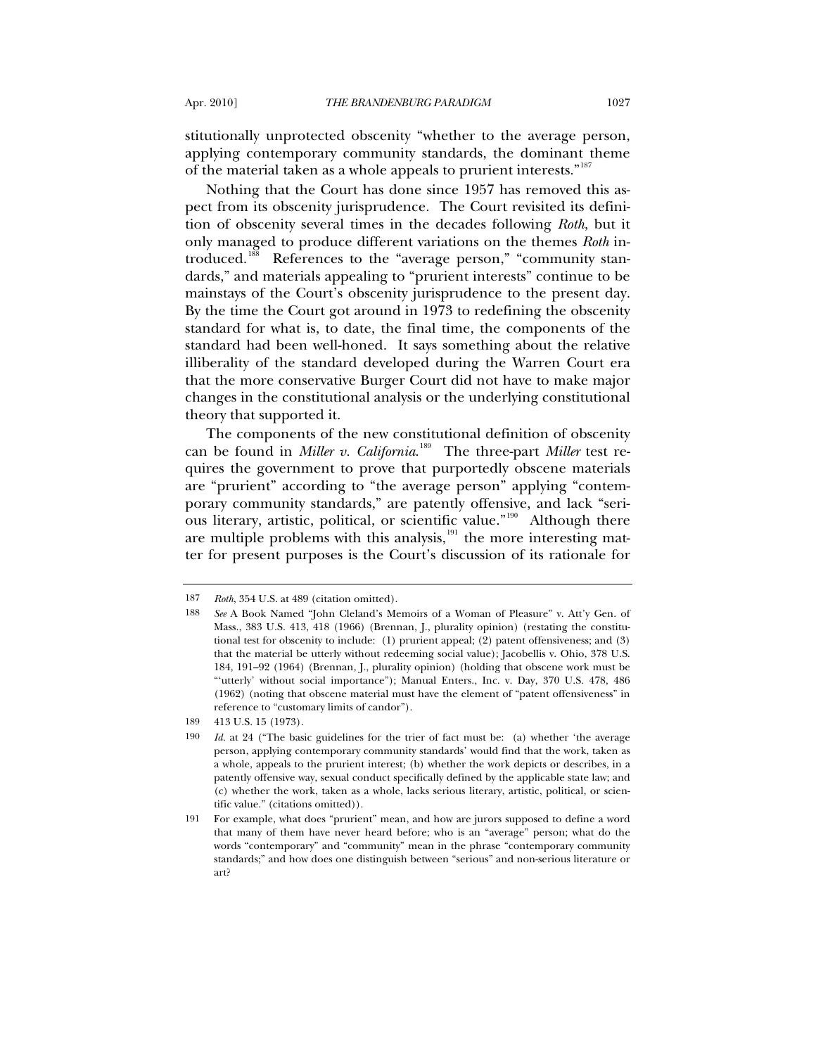stitutionally unprotected obscenity "whether to the average person, applying contemporary community standards, the dominant theme of the material taken as a whole appeals to prurient interests."<sup>[187](#page-56-0)</sup>

Nothing that the Court has done since 1957 has removed this aspect from its obscenity jurisprudence. The Court revisited its definition of obscenity several times in the decades following *Roth*, but it only managed to produce different variations on the themes *Roth* in-troduced.<sup>[188](#page-56-1)</sup> References to the "average person," "community standards," and materials appealing to "prurient interests" continue to be mainstays of the Court's obscenity jurisprudence to the present day. By the time the Court got around in 1973 to redefining the obscenity standard for what is, to date, the final time, the components of the standard had been well-honed. It says something about the relative illiberality of the standard developed during the Warren Court era that the more conservative Burger Court did not have to make major changes in the constitutional analysis or the underlying constitutional theory that supported it.

The components of the new constitutional definition of obscenity can be found in *Miller v. California*. [189](#page-56-2) The three-part *Miller* test requires the government to prove that purportedly obscene materials are "prurient" according to "the average person" applying "contemporary community standards," are patently offensive, and lack "serious literary, artistic, political, or scientific value."[190](#page-56-3) Although there are multiple problems with this analysis, $191$  the more interesting matter for present purposes is the Court's discussion of its rationale for

<span id="page-56-1"></span><span id="page-56-0"></span><sup>187</sup> *Roth*, 354 U.S. at 489 (citation omitted).

<sup>188</sup> *See* A Book Named "John Cleland's Memoirs of a Woman of Pleasure" v. Att'y Gen. of Mass., 383 U.S. 413, 418 (1966) (Brennan, J., plurality opinion) (restating the constitutional test for obscenity to include: (1) prurient appeal; (2) patent offensiveness; and (3) that the material be utterly without redeeming social value); Jacobellis v. Ohio, 378 U.S. 184, 191–92 (1964) (Brennan, J., plurality opinion) (holding that obscene work must be "'utterly' without social importance"); Manual Enters., Inc. v. Day, 370 U.S. 478, 486 (1962) (noting that obscene material must have the element of "patent offensiveness" in reference to "customary limits of candor").

<sup>189 413</sup> U.S. 15 (1973).

<span id="page-56-3"></span><span id="page-56-2"></span><sup>190</sup> *Id.* at 24 ("The basic guidelines for the trier of fact must be: (a) whether 'the average person, applying contemporary community standards' would find that the work, taken as a whole, appeals to the prurient interest; (b) whether the work depicts or describes, in a patently offensive way, sexual conduct specifically defined by the applicable state law; and (c) whether the work, taken as a whole, lacks serious literary, artistic, political, or scientific value." (citations omitted)).

<span id="page-56-4"></span><sup>191</sup> For example, what does "prurient" mean, and how are jurors supposed to define a word that many of them have never heard before; who is an "average" person; what do the words "contemporary" and "community" mean in the phrase "contemporary community standards;" and how does one distinguish between "serious" and non-serious literature or art?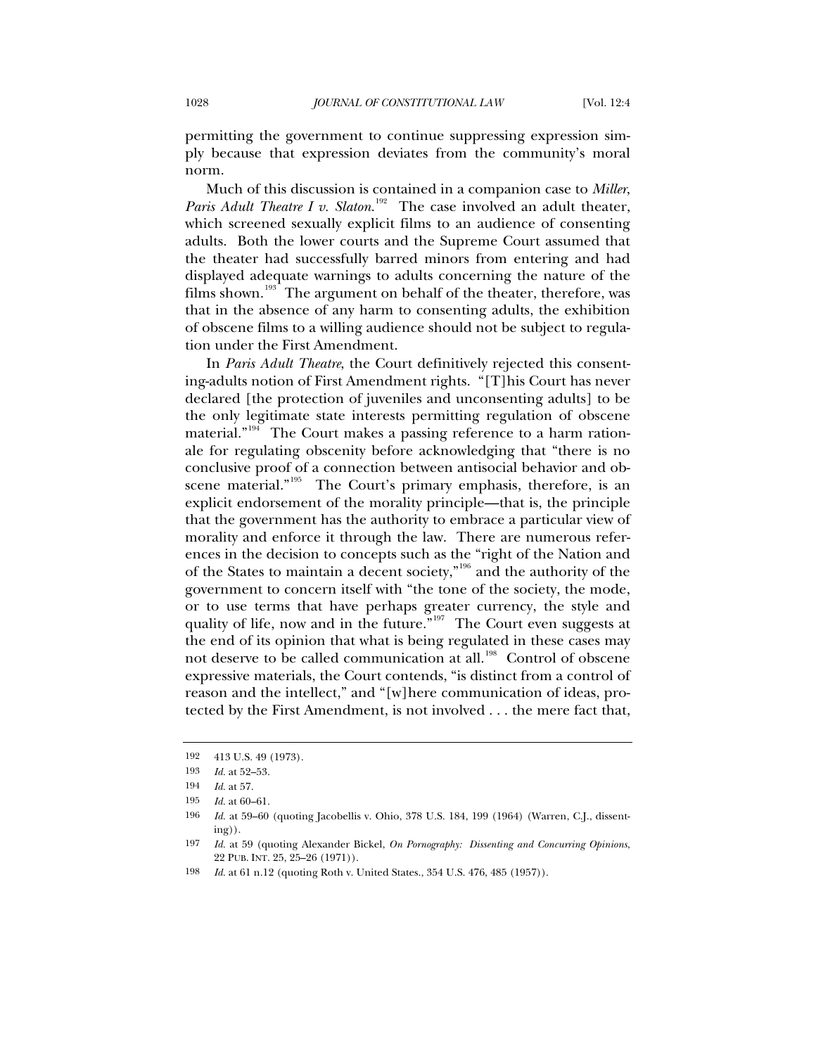permitting the government to continue suppressing expression simply because that expression deviates from the community's moral norm.

Much of this discussion is contained in a companion case to *Miller*, Paris Adult Theatre I v. Slaton.<sup>[192](#page-57-0)</sup> The case involved an adult theater, which screened sexually explicit films to an audience of consenting adults. Both the lower courts and the Supreme Court assumed that the theater had successfully barred minors from entering and had displayed adequate warnings to adults concerning the nature of the films shown.<sup>[193](#page-57-1)</sup> The argument on behalf of the theater, therefore, was that in the absence of any harm to consenting adults, the exhibition of obscene films to a willing audience should not be subject to regulation under the First Amendment.

In *Paris Adult Theatre*, the Court definitively rejected this consenting-adults notion of First Amendment rights. "[T]his Court has never declared [the protection of juveniles and unconsenting adults] to be the only legitimate state interests permitting regulation of obscene material."<sup>[194](#page-57-2)</sup> The Court makes a passing reference to a harm rationale for regulating obscenity before acknowledging that "there is no conclusive proof of a connection between antisocial behavior and ob-scene material."<sup>[195](#page-57-3)</sup> The Court's primary emphasis, therefore, is an explicit endorsement of the morality principle—that is, the principle that the government has the authority to embrace a particular view of morality and enforce it through the law. There are numerous references in the decision to concepts such as the "right of the Nation and of the States to maintain a decent society,"[196](#page-57-4) and the authority of the government to concern itself with "the tone of the society, the mode, or to use terms that have perhaps greater currency, the style and quality of life, now and in the future.<sup>"[197](#page-57-5)</sup> The Court even suggests at the end of its opinion that what is being regulated in these cases may not deserve to be called communication at all.<sup>[198](#page-57-6)</sup> Control of obscene expressive materials, the Court contends, "is distinct from a control of reason and the intellect," and "[w]here communication of ideas, protected by the First Amendment, is not involved . . . the mere fact that,

<span id="page-57-1"></span><span id="page-57-0"></span><sup>192 413</sup> U.S. 49 (1973).

<sup>193</sup> *Id.* at 52–53.

<span id="page-57-2"></span><sup>194</sup> *Id.* at 57.

<sup>195</sup> *Id.* at 60–61.

<span id="page-57-4"></span><span id="page-57-3"></span><sup>196</sup> *Id.* at 59–60 (quoting Jacobellis v. Ohio, 378 U.S. 184, 199 (1964) (Warren, C.J., dissenting)).

<span id="page-57-5"></span><sup>197</sup> *Id.* at 59 (quoting Alexander Bickel, *On Pornography: Dissenting and Concurring Opinions*, 22 PUB. INT. 25, 25–26 (1971)).

<span id="page-57-6"></span><sup>198</sup> *Id.* at 61 n.12 (quoting Roth v. United States., 354 U.S. 476, 485 (1957)).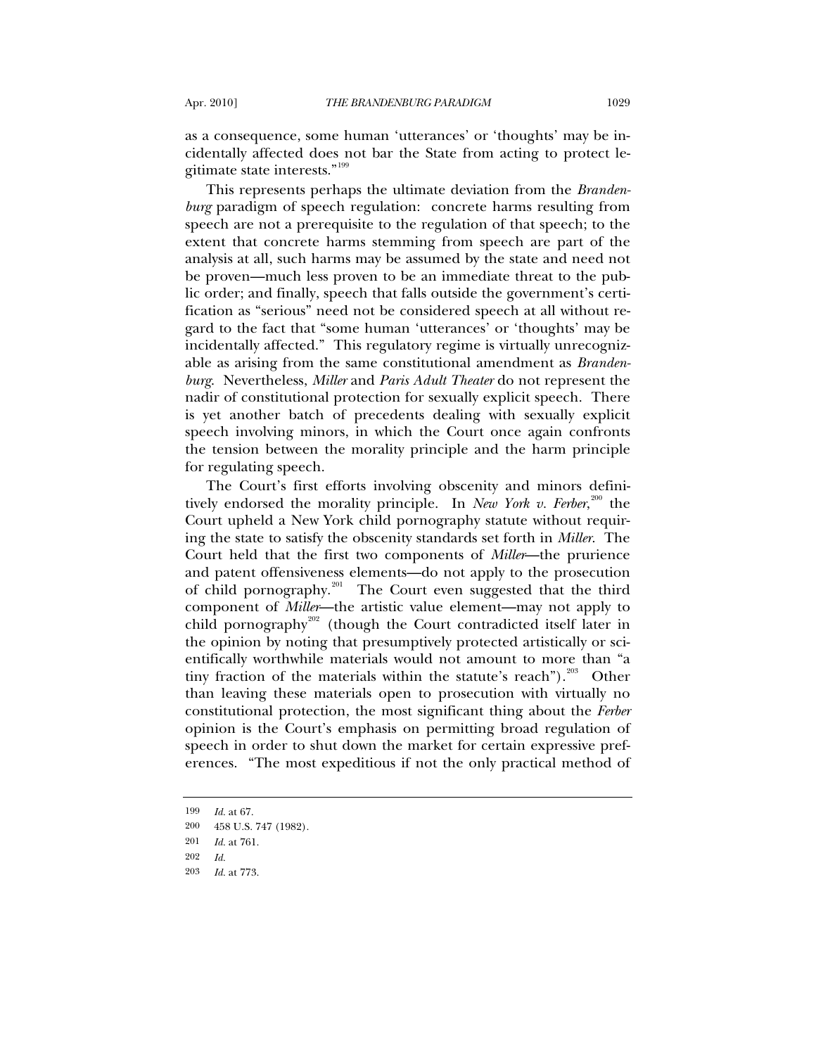as a consequence, some human 'utterances' or 'thoughts' may be incidentally affected does not bar the State from acting to protect legitimate state interests."[199](#page-58-0)

This represents perhaps the ultimate deviation from the *Brandenburg* paradigm of speech regulation: concrete harms resulting from speech are not a prerequisite to the regulation of that speech; to the extent that concrete harms stemming from speech are part of the analysis at all, such harms may be assumed by the state and need not be proven—much less proven to be an immediate threat to the public order; and finally, speech that falls outside the government's certification as "serious" need not be considered speech at all without regard to the fact that "some human 'utterances' or 'thoughts' may be incidentally affected." This regulatory regime is virtually unrecognizable as arising from the same constitutional amendment as *Brandenburg*. Nevertheless, *Miller* and *Paris Adult Theater* do not represent the nadir of constitutional protection for sexually explicit speech. There is yet another batch of precedents dealing with sexually explicit speech involving minors, in which the Court once again confronts the tension between the morality principle and the harm principle for regulating speech.

The Court's first efforts involving obscenity and minors definitively endorsed the morality principle. In *New York v. Ferber*, [200](#page-58-1) the Court upheld a New York child pornography statute without requiring the state to satisfy the obscenity standards set forth in *Miller*. The Court held that the first two components of *Miller*—the prurience and patent offensiveness elements—do not apply to the prosecution of child pornography.<sup>[201](#page-58-2)</sup> The Court even suggested that the third component of *Miller*—the artistic value element—may not apply to child pornography<sup>[202](#page-58-3)</sup> (though the Court contradicted itself later in the opinion by noting that presumptively protected artistically or scientifically worthwhile materials would not amount to more than "a tiny fraction of the materials within the statute's reach").<sup>[203](#page-58-4)</sup> Other than leaving these materials open to prosecution with virtually no constitutional protection, the most significant thing about the *Ferber* opinion is the Court's emphasis on permitting broad regulation of speech in order to shut down the market for certain expressive preferences. "The most expeditious if not the only practical method of

<span id="page-58-0"></span><sup>199</sup> *Id.* at 67.

<span id="page-58-1"></span><sup>200 458</sup> U.S. 747 (1982).

<span id="page-58-2"></span><sup>201</sup> *Id.* at 761.

<span id="page-58-3"></span><sup>202</sup> *Id.*

<span id="page-58-4"></span><sup>203</sup> *Id.* at 773.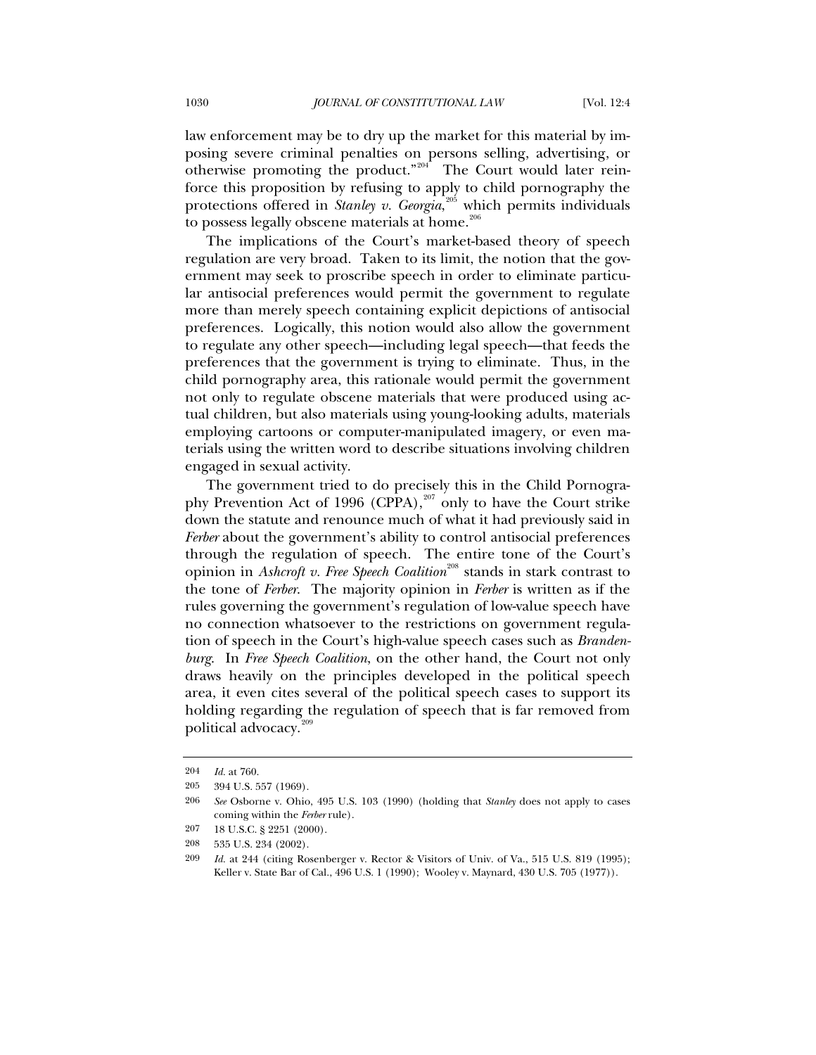law enforcement may be to dry up the market for this material by imposing severe criminal penalties on persons selling, advertising, or otherwise promoting the product."<sup>[204](#page-59-0)</sup> The Court would later reinforce this proposition by refusing to apply to child pornography the protections offered in *Stanley v. Georgia*,<sup>[205](#page-59-1)</sup> which permits individuals to possess legally obscene materials at home.<sup>[206](#page-59-2)</sup>

The implications of the Court's market-based theory of speech regulation are very broad. Taken to its limit, the notion that the government may seek to proscribe speech in order to eliminate particular antisocial preferences would permit the government to regulate more than merely speech containing explicit depictions of antisocial preferences. Logically, this notion would also allow the government to regulate any other speech—including legal speech—that feeds the preferences that the government is trying to eliminate. Thus, in the child pornography area, this rationale would permit the government not only to regulate obscene materials that were produced using actual children, but also materials using young-looking adults, materials employing cartoons or computer-manipulated imagery, or even materials using the written word to describe situations involving children engaged in sexual activity.

The government tried to do precisely this in the Child Pornogra-phy Prevention Act of 1996 (CPPA),<sup>[207](#page-59-3)</sup> only to have the Court strike down the statute and renounce much of what it had previously said in *Ferber* about the government's ability to control antisocial preferences through the regulation of speech. The entire tone of the Court's opinion in *Ashcroft v. Free Speech Coalition*<sup>[208](#page-59-4)</sup> stands in stark contrast to the tone of *Ferber*. The majority opinion in *Ferber* is written as if the rules governing the government's regulation of low-value speech have no connection whatsoever to the restrictions on government regulation of speech in the Court's high-value speech cases such as *Brandenburg*. In *Free Speech Coalition*, on the other hand, the Court not only draws heavily on the principles developed in the political speech area, it even cites several of the political speech cases to support its holding regarding the regulation of speech that is far removed from political advocacy.<sup>[209](#page-59-5)</sup>

<span id="page-59-0"></span><sup>204</sup> *Id.* at 760.

<sup>205 394</sup> U.S. 557 (1969).

<span id="page-59-2"></span><span id="page-59-1"></span><sup>206</sup> *See* Osborne v. Ohio, 495 U.S. 103 (1990) (holding that *Stanley* does not apply to cases coming within the *Ferber* rule).

<sup>207 18</sup> U.S.C. § 2251 (2000).

<span id="page-59-4"></span><span id="page-59-3"></span><sup>208 535</sup> U.S. 234 (2002).

<span id="page-59-5"></span><sup>209</sup> *Id.* at 244 (citing Rosenberger v. Rector & Visitors of Univ. of Va., 515 U.S. 819 (1995); Keller v. State Bar of Cal., 496 U.S. 1 (1990); Wooley v. Maynard, 430 U.S. 705 (1977)).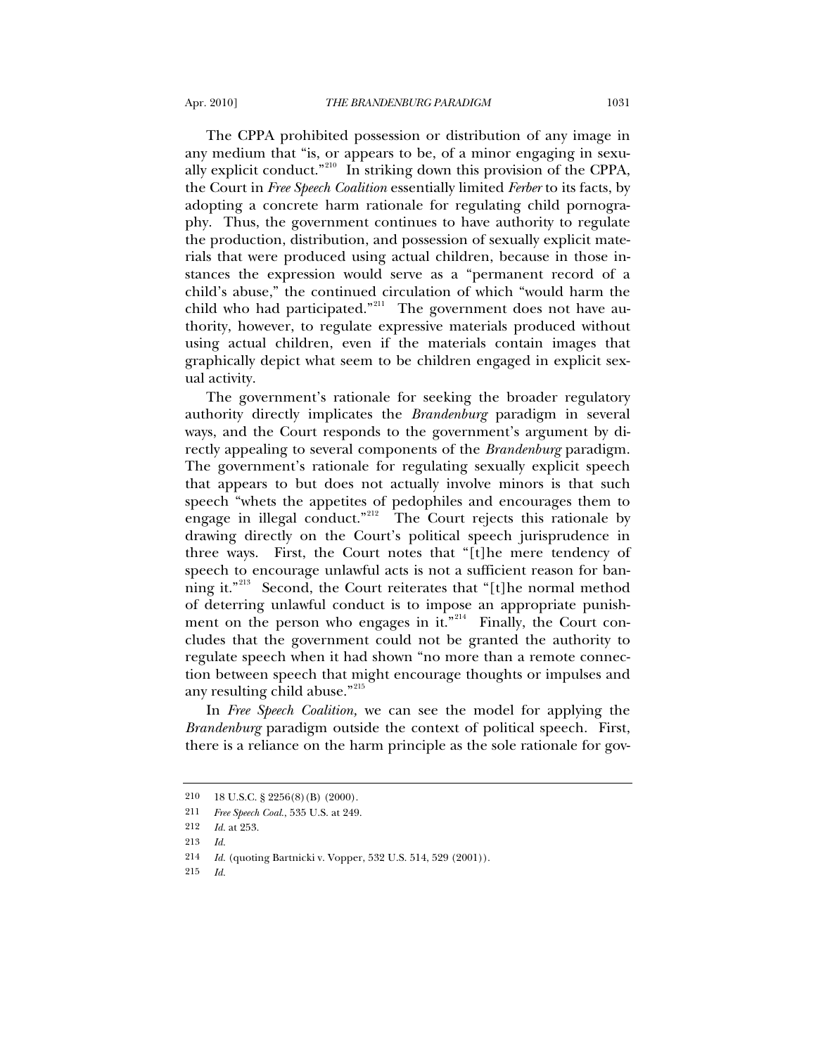The CPPA prohibited possession or distribution of any image in any medium that "is, or appears to be, of a minor engaging in sexually explicit conduct."[210](#page-60-0) In striking down this provision of the CPPA, the Court in *Free Speech Coalition* essentially limited *Ferber* to its facts, by adopting a concrete harm rationale for regulating child pornography. Thus, the government continues to have authority to regulate the production, distribution, and possession of sexually explicit materials that were produced using actual children, because in those instances the expression would serve as a "permanent record of a child's abuse," the continued circulation of which "would harm the child who had participated."<sup>[211](#page-60-1)</sup> The government does not have authority, however, to regulate expressive materials produced without using actual children, even if the materials contain images that graphically depict what seem to be children engaged in explicit sexual activity.

The government's rationale for seeking the broader regulatory authority directly implicates the *Brandenburg* paradigm in several ways, and the Court responds to the government's argument by directly appealing to several components of the *Brandenburg* paradigm. The government's rationale for regulating sexually explicit speech that appears to but does not actually involve minors is that such speech "whets the appetites of pedophiles and encourages them to engage in illegal conduct."<sup>[212](#page-60-2)</sup> The Court rejects this rationale by drawing directly on the Court's political speech jurisprudence in three ways. First, the Court notes that "[t]he mere tendency of speech to encourage unlawful acts is not a sufficient reason for ban-ning it."<sup>[213](#page-60-3)</sup> Second, the Court reiterates that "[t]he normal method of deterring unlawful conduct is to impose an appropriate punish-ment on the person who engages in it."<sup>[214](#page-60-4)</sup> Finally, the Court concludes that the government could not be granted the authority to regulate speech when it had shown "no more than a remote connection between speech that might encourage thoughts or impulses and any resulting child abuse."<sup>[215](#page-60-5)</sup>

In *Free Speech Coalition,* we can see the model for applying the *Brandenburg* paradigm outside the context of political speech. First, there is a reliance on the harm principle as the sole rationale for gov-

<span id="page-60-1"></span><span id="page-60-0"></span><sup>210 18</sup> U.S.C. § 2256(8)(B) (2000).

<sup>211</sup> *Free Speech Coal.*, 535 U.S. at 249.

<sup>212</sup> *Id.* at 253.

<span id="page-60-4"></span><span id="page-60-3"></span><span id="page-60-2"></span><sup>213</sup> *Id.*

<sup>214</sup> *Id.* (quoting Bartnicki v. Vopper, 532 U.S. 514, 529 (2001)).

<span id="page-60-5"></span><sup>215</sup> *Id.*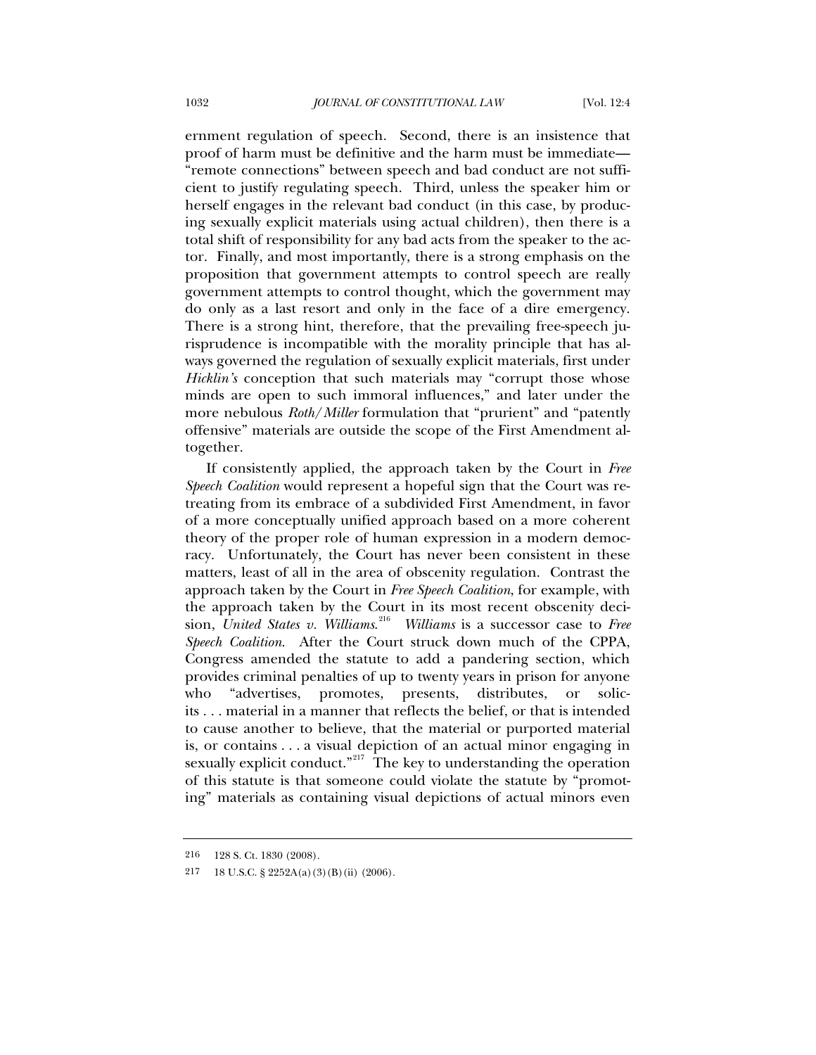ernment regulation of speech. Second, there is an insistence that proof of harm must be definitive and the harm must be immediate— "remote connections" between speech and bad conduct are not sufficient to justify regulating speech. Third, unless the speaker him or herself engages in the relevant bad conduct (in this case, by producing sexually explicit materials using actual children), then there is a total shift of responsibility for any bad acts from the speaker to the actor. Finally, and most importantly, there is a strong emphasis on the proposition that government attempts to control speech are really government attempts to control thought, which the government may do only as a last resort and only in the face of a dire emergency. There is a strong hint, therefore, that the prevailing free-speech jurisprudence is incompatible with the morality principle that has always governed the regulation of sexually explicit materials, first under *Hicklin's* conception that such materials may "corrupt those whose minds are open to such immoral influences," and later under the more nebulous *Roth*/*Miller* formulation that "prurient" and "patently offensive" materials are outside the scope of the First Amendment altogether.

If consistently applied, the approach taken by the Court in *Free Speech Coalition* would represent a hopeful sign that the Court was retreating from its embrace of a subdivided First Amendment, in favor of a more conceptually unified approach based on a more coherent theory of the proper role of human expression in a modern democracy. Unfortunately, the Court has never been consistent in these matters, least of all in the area of obscenity regulation. Contrast the approach taken by the Court in *Free Speech Coalition*, for example, with the approach taken by the Court in its most recent obscenity decision, *United States v. Williams*. [216](#page-61-0) *Williams* is a successor case to *Free Speech Coalition*. After the Court struck down much of the CPPA, Congress amended the statute to add a pandering section, which provides criminal penalties of up to twenty years in prison for anyone who "advertises, promotes, presents, distributes, or solicits . . . material in a manner that reflects the belief, or that is intended to cause another to believe, that the material or purported material is, or contains . . . a visual depiction of an actual minor engaging in sexually explicit conduct."<sup>[217](#page-61-1)</sup> The key to understanding the operation of this statute is that someone could violate the statute by "promoting" materials as containing visual depictions of actual minors even

<span id="page-61-1"></span><span id="page-61-0"></span><sup>216 128</sup> S. Ct. 1830 (2008).

<sup>217 18</sup> U.S.C. § 2252A(a)(3)(B)(ii) (2006).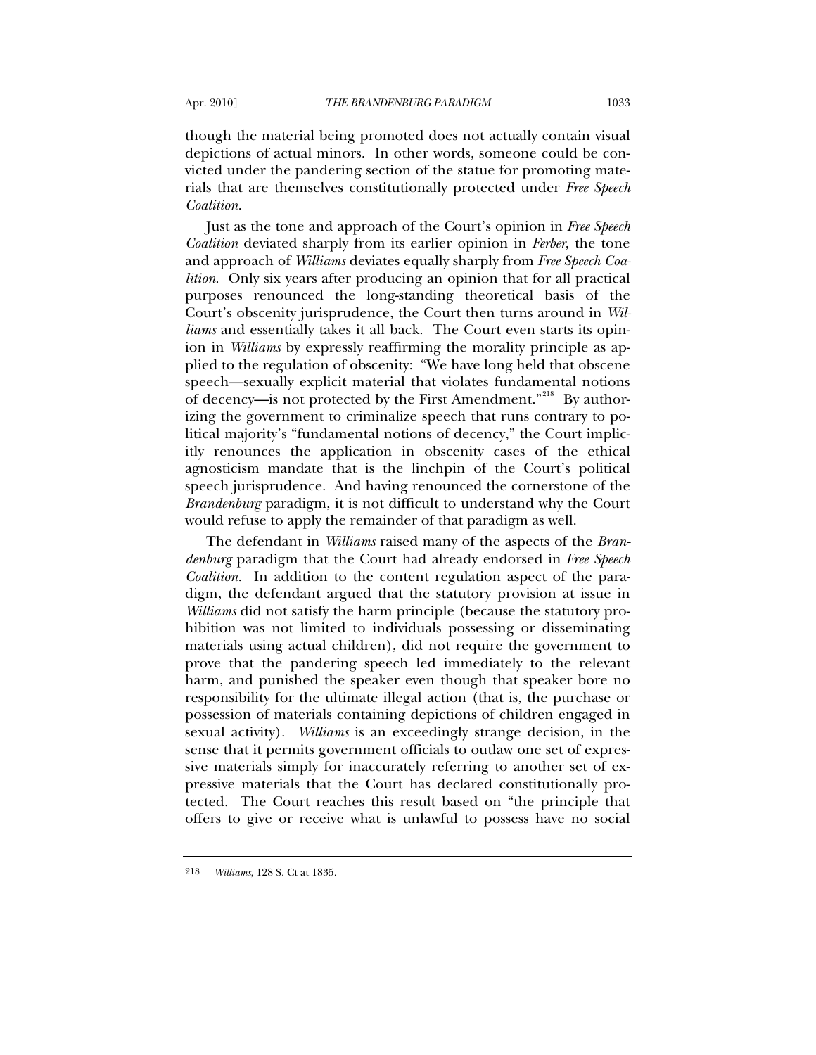though the material being promoted does not actually contain visual depictions of actual minors. In other words, someone could be convicted under the pandering section of the statue for promoting materials that are themselves constitutionally protected under *Free Speech Coalition*.

Just as the tone and approach of the Court's opinion in *Free Speech Coalition* deviated sharply from its earlier opinion in *Ferber*, the tone and approach of *Williams* deviates equally sharply from *Free Speech Coalition*. Only six years after producing an opinion that for all practical purposes renounced the long-standing theoretical basis of the Court's obscenity jurisprudence, the Court then turns around in *Williams* and essentially takes it all back. The Court even starts its opinion in *Williams* by expressly reaffirming the morality principle as applied to the regulation of obscenity: "We have long held that obscene speech—sexually explicit material that violates fundamental notions of decency—is not protected by the First Amendment."<sup>[218](#page-62-0)</sup> By authorizing the government to criminalize speech that runs contrary to political majority's "fundamental notions of decency," the Court implicitly renounces the application in obscenity cases of the ethical agnosticism mandate that is the linchpin of the Court's political speech jurisprudence. And having renounced the cornerstone of the *Brandenburg* paradigm, it is not difficult to understand why the Court would refuse to apply the remainder of that paradigm as well.

The defendant in *Williams* raised many of the aspects of the *Brandenburg* paradigm that the Court had already endorsed in *Free Speech Coalition*. In addition to the content regulation aspect of the paradigm, the defendant argued that the statutory provision at issue in *Williams* did not satisfy the harm principle (because the statutory prohibition was not limited to individuals possessing or disseminating materials using actual children), did not require the government to prove that the pandering speech led immediately to the relevant harm, and punished the speaker even though that speaker bore no responsibility for the ultimate illegal action (that is, the purchase or possession of materials containing depictions of children engaged in sexual activity). *Williams* is an exceedingly strange decision, in the sense that it permits government officials to outlaw one set of expressive materials simply for inaccurately referring to another set of expressive materials that the Court has declared constitutionally protected. The Court reaches this result based on "the principle that offers to give or receive what is unlawful to possess have no social

<span id="page-62-0"></span><sup>218</sup> *Williams*, 128 S. Ct at 1835.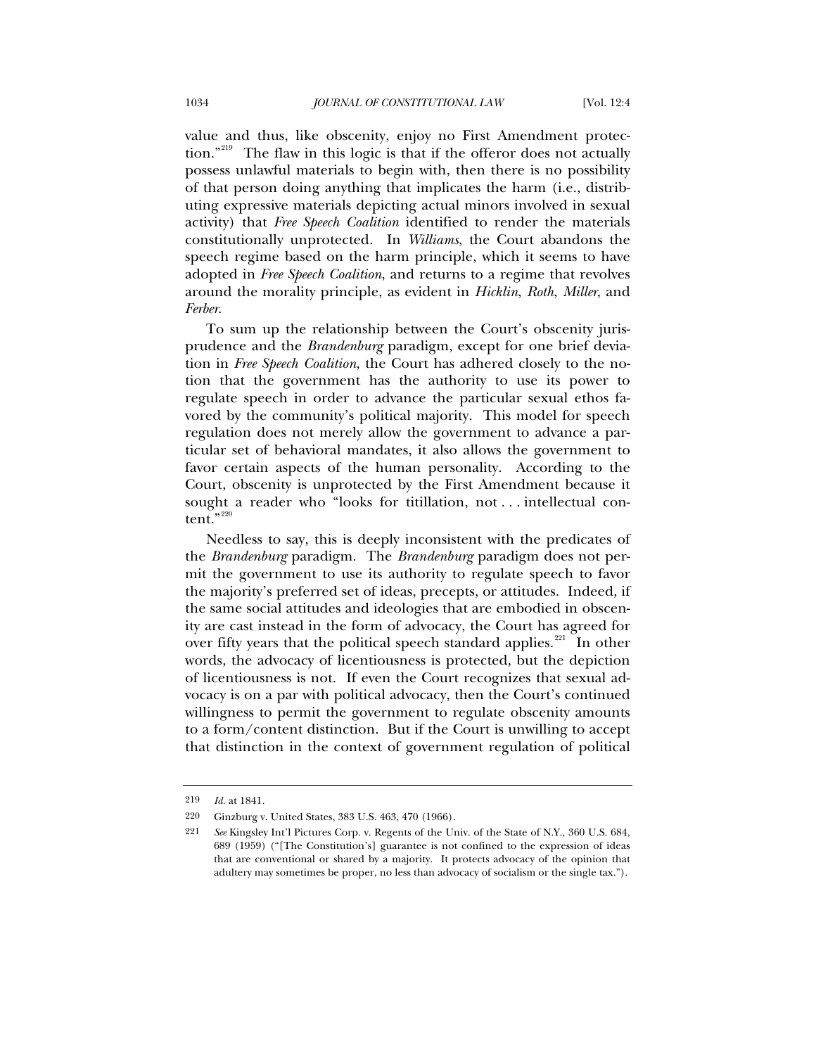value and thus, like obscenity, enjoy no First Amendment protec-tion."<sup>[219](#page-63-0)</sup> The flaw in this logic is that if the offeror does not actually possess unlawful materials to begin with, then there is no possibility of that person doing anything that implicates the harm (i.e., distributing expressive materials depicting actual minors involved in sexual activity) that *Free Speech Coalition* identified to render the materials constitutionally unprotected. In *Williams*, the Court abandons the speech regime based on the harm principle, which it seems to have adopted in *Free Speech Coalition*, and returns to a regime that revolves around the morality principle, as evident in *Hicklin*, *Roth*, *Miller*, and *Ferber*.

To sum up the relationship between the Court's obscenity jurisprudence and the *Brandenburg* paradigm, except for one brief deviation in *Free Speech Coalition*, the Court has adhered closely to the notion that the government has the authority to use its power to regulate speech in order to advance the particular sexual ethos favored by the community's political majority. This model for speech regulation does not merely allow the government to advance a particular set of behavioral mandates, it also allows the government to favor certain aspects of the human personality. According to the Court, obscenity is unprotected by the First Amendment because it sought a reader who "looks for titillation, not . . . intellectual content." $220$ 

Needless to say, this is deeply inconsistent with the predicates of the *Brandenburg* paradigm. The *Brandenburg* paradigm does not permit the government to use its authority to regulate speech to favor the majority's preferred set of ideas, precepts, or attitudes. Indeed, if the same social attitudes and ideologies that are embodied in obscenity are cast instead in the form of advocacy, the Court has agreed for over fifty years that the political speech standard applies.<sup>[221](#page-63-2)</sup> In other words, the advocacy of licentiousness is protected, but the depiction of licentiousness is not. If even the Court recognizes that sexual advocacy is on a par with political advocacy, then the Court's continued willingness to permit the government to regulate obscenity amounts to a form/content distinction. But if the Court is unwilling to accept that distinction in the context of government regulation of political

<span id="page-63-1"></span><span id="page-63-0"></span><sup>219</sup> *Id.* at 1841*.*

<sup>220</sup> Ginzburg v. United States, 383 U.S. 463, 470 (1966).

<span id="page-63-2"></span><sup>221</sup> *See* Kingsley Int'l Pictures Corp. v. Regents of the Univ. of the State of N.Y., 360 U.S. 684, 689 (1959) ("[The Constitution's] guarantee is not confined to the expression of ideas that are conventional or shared by a majority. It protects advocacy of the opinion that adultery may sometimes be proper, no less than advocacy of socialism or the single tax.").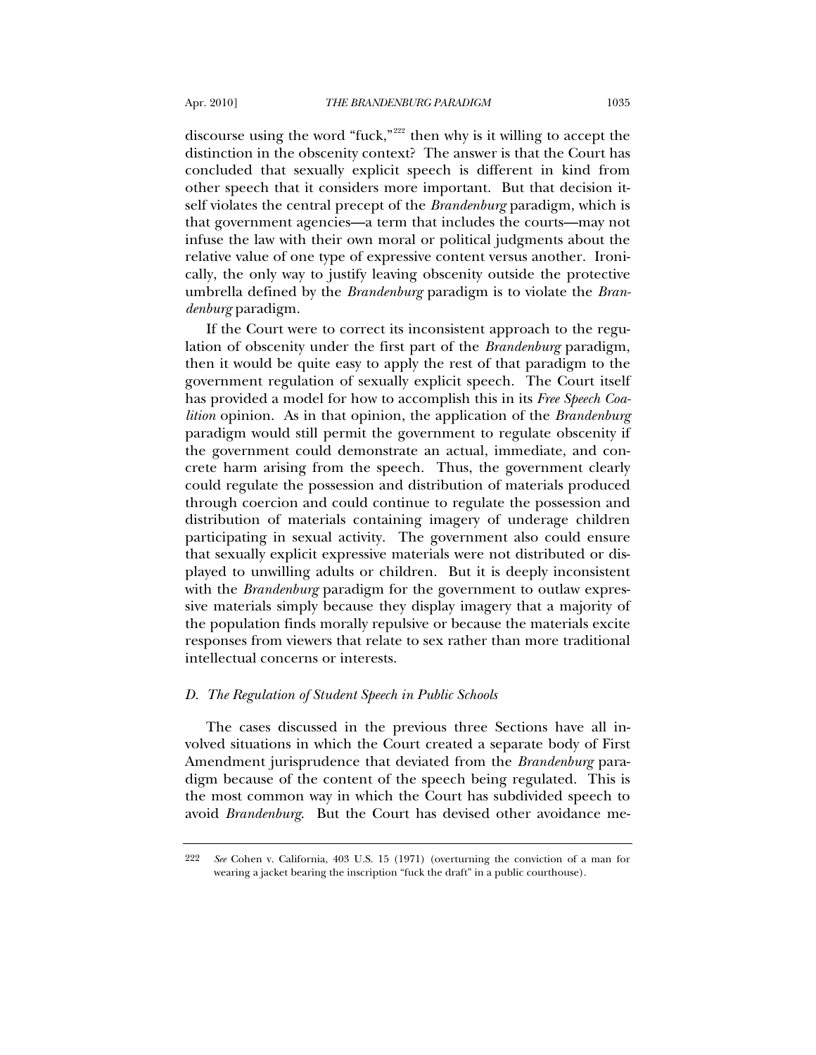discourse using the word "fuck,"<sup>[222](#page-64-0)</sup> then why is it willing to accept the distinction in the obscenity context? The answer is that the Court has concluded that sexually explicit speech is different in kind from other speech that it considers more important. But that decision itself violates the central precept of the *Brandenburg* paradigm, which is that government agencies—a term that includes the courts—may not infuse the law with their own moral or political judgments about the relative value of one type of expressive content versus another. Ironically, the only way to justify leaving obscenity outside the protective umbrella defined by the *Brandenburg* paradigm is to violate the *Brandenburg* paradigm.

If the Court were to correct its inconsistent approach to the regulation of obscenity under the first part of the *Brandenburg* paradigm, then it would be quite easy to apply the rest of that paradigm to the government regulation of sexually explicit speech. The Court itself has provided a model for how to accomplish this in its *Free Speech Coalition* opinion. As in that opinion, the application of the *Brandenburg* paradigm would still permit the government to regulate obscenity if the government could demonstrate an actual, immediate, and concrete harm arising from the speech. Thus, the government clearly could regulate the possession and distribution of materials produced through coercion and could continue to regulate the possession and distribution of materials containing imagery of underage children participating in sexual activity. The government also could ensure that sexually explicit expressive materials were not distributed or displayed to unwilling adults or children. But it is deeply inconsistent with the *Brandenburg* paradigm for the government to outlaw expressive materials simply because they display imagery that a majority of the population finds morally repulsive or because the materials excite responses from viewers that relate to sex rather than more traditional intellectual concerns or interests.

## *D. The Regulation of Student Speech in Public Schools*

The cases discussed in the previous three Sections have all involved situations in which the Court created a separate body of First Amendment jurisprudence that deviated from the *Brandenburg* paradigm because of the content of the speech being regulated. This is the most common way in which the Court has subdivided speech to avoid *Brandenburg*. But the Court has devised other avoidance me-

<span id="page-64-0"></span><sup>222</sup> *See* Cohen v. California, 403 U.S. 15 (1971) (overturning the conviction of a man for wearing a jacket bearing the inscription "fuck the draft" in a public courthouse).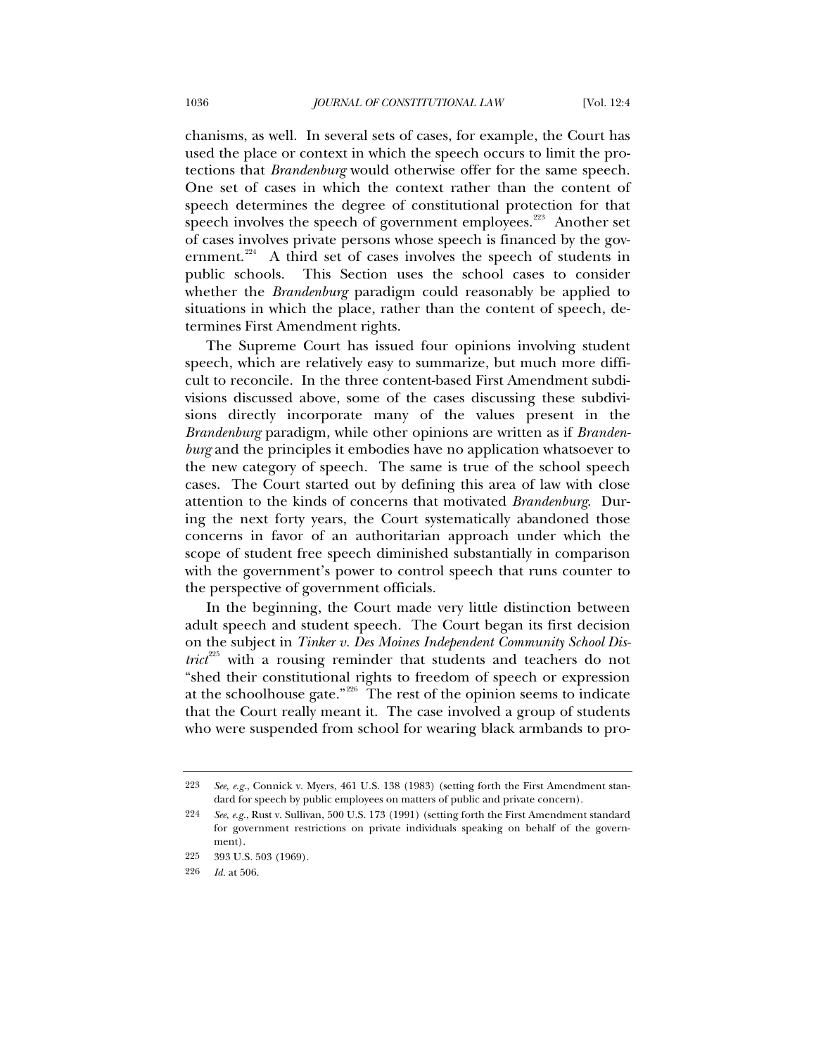chanisms, as well. In several sets of cases, for example, the Court has used the place or context in which the speech occurs to limit the protections that *Brandenburg* would otherwise offer for the same speech. One set of cases in which the context rather than the content of speech determines the degree of constitutional protection for that speech involves the speech of government employees.<sup>[223](#page-65-0)</sup> Another set of cases involves private persons whose speech is financed by the gov-ernment.<sup>[224](#page-65-1)</sup> A third set of cases involves the speech of students in public schools. This Section uses the school cases to consider whether the *Brandenburg* paradigm could reasonably be applied to situations in which the place, rather than the content of speech, determines First Amendment rights.

The Supreme Court has issued four opinions involving student speech, which are relatively easy to summarize, but much more difficult to reconcile. In the three content-based First Amendment subdivisions discussed above, some of the cases discussing these subdivisions directly incorporate many of the values present in the *Brandenburg* paradigm, while other opinions are written as if *Brandenburg* and the principles it embodies have no application whatsoever to the new category of speech. The same is true of the school speech cases. The Court started out by defining this area of law with close attention to the kinds of concerns that motivated *Brandenburg*. During the next forty years, the Court systematically abandoned those concerns in favor of an authoritarian approach under which the scope of student free speech diminished substantially in comparison with the government's power to control speech that runs counter to the perspective of government officials.

In the beginning, the Court made very little distinction between adult speech and student speech. The Court began its first decision on the subject in *Tinker v. Des Moines Independent Community School District*<sup>[225](#page-65-2)</sup> with a rousing reminder that students and teachers do not "shed their constitutional rights to freedom of speech or expression at the schoolhouse gate." $226$  The rest of the opinion seems to indicate that the Court really meant it. The case involved a group of students who were suspended from school for wearing black armbands to pro-

<span id="page-65-0"></span><sup>223</sup> *See*, *e.g.*, Connick v. Myers, 461 U.S. 138 (1983) (setting forth the First Amendment standard for speech by public employees on matters of public and private concern).

<span id="page-65-1"></span><sup>224</sup> *See*, *e.g.*, Rust v. Sullivan, 500 U.S. 173 (1991) (setting forth the First Amendment standard for government restrictions on private individuals speaking on behalf of the government).

<span id="page-65-2"></span><sup>225 393</sup> U.S. 503 (1969).

<span id="page-65-3"></span><sup>226</sup> *Id.* at 506.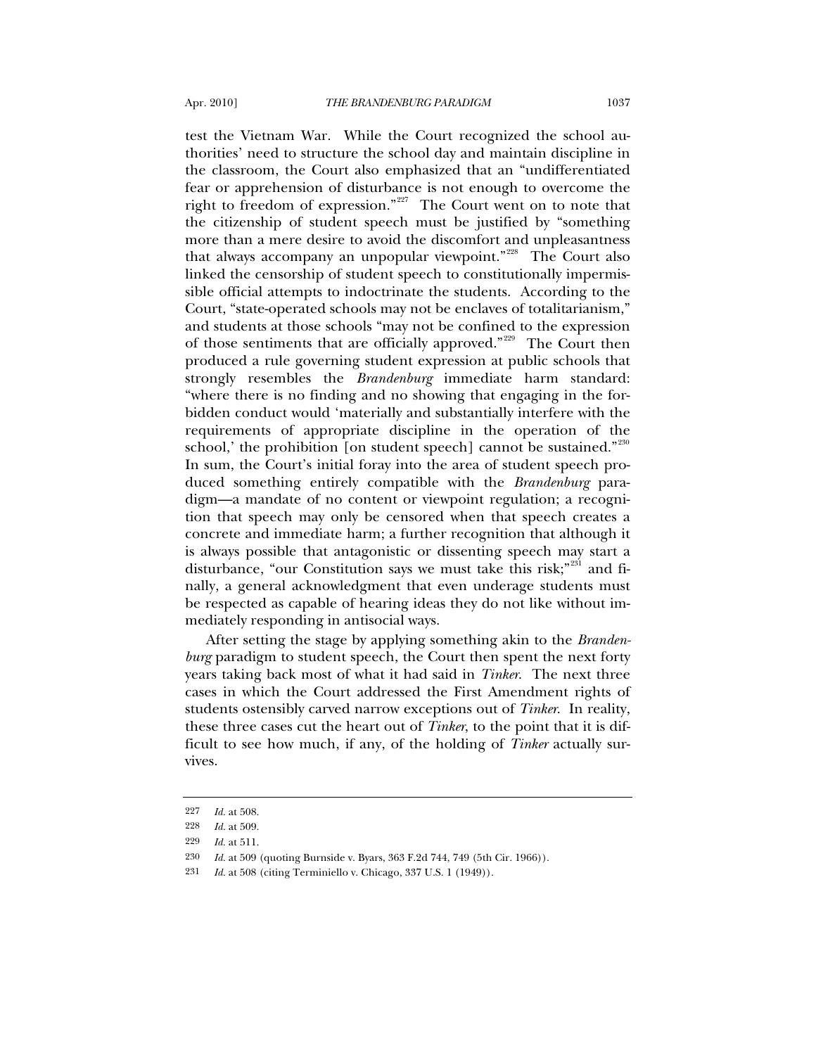test the Vietnam War. While the Court recognized the school authorities' need to structure the school day and maintain discipline in the classroom, the Court also emphasized that an "undifferentiated fear or apprehension of disturbance is not enough to overcome the right to freedom of expression."<sup>[227](#page-66-0)</sup> The Court went on to note that the citizenship of student speech must be justified by "something more than a mere desire to avoid the discomfort and unpleasantness that always accompany an unpopular viewpoint."<sup>[228](#page-66-1)</sup> The Court also linked the censorship of student speech to constitutionally impermissible official attempts to indoctrinate the students. According to the Court, "state-operated schools may not be enclaves of totalitarianism," and students at those schools "may not be confined to the expression of those sentiments that are officially approved."<sup>[229](#page-66-2)</sup> The Court then produced a rule governing student expression at public schools that strongly resembles the *Brandenburg* immediate harm standard: "where there is no finding and no showing that engaging in the forbidden conduct would 'materially and substantially interfere with the requirements of appropriate discipline in the operation of the school,' the prohibition [on student speech] cannot be sustained." $230$ In sum, the Court's initial foray into the area of student speech produced something entirely compatible with the *Brandenburg* paradigm—a mandate of no content or viewpoint regulation; a recognition that speech may only be censored when that speech creates a concrete and immediate harm; a further recognition that although it is always possible that antagonistic or dissenting speech may start a disturbance, "our Constitution says we must take this risk;"<sup>[231](#page-66-4)</sup> and finally, a general acknowledgment that even underage students must be respected as capable of hearing ideas they do not like without immediately responding in antisocial ways.

After setting the stage by applying something akin to the *Brandenburg* paradigm to student speech, the Court then spent the next forty years taking back most of what it had said in *Tinker*. The next three cases in which the Court addressed the First Amendment rights of students ostensibly carved narrow exceptions out of *Tinker*. In reality, these three cases cut the heart out of *Tinker*, to the point that it is difficult to see how much, if any, of the holding of *Tinker* actually survives.

<span id="page-66-0"></span><sup>227</sup> *Id.* at 508.

<sup>228</sup> *Id.* at 509.

<span id="page-66-2"></span><span id="page-66-1"></span><sup>229</sup> *Id.* at 511.

<span id="page-66-4"></span><span id="page-66-3"></span><sup>230</sup> *Id.* at 509 (quoting Burnside v. Byars, 363 F.2d 744, 749 (5th Cir. 1966)).

<sup>231</sup> *Id.* at 508 (citing Terminiello v. Chicago, 337 U.S. 1 (1949)).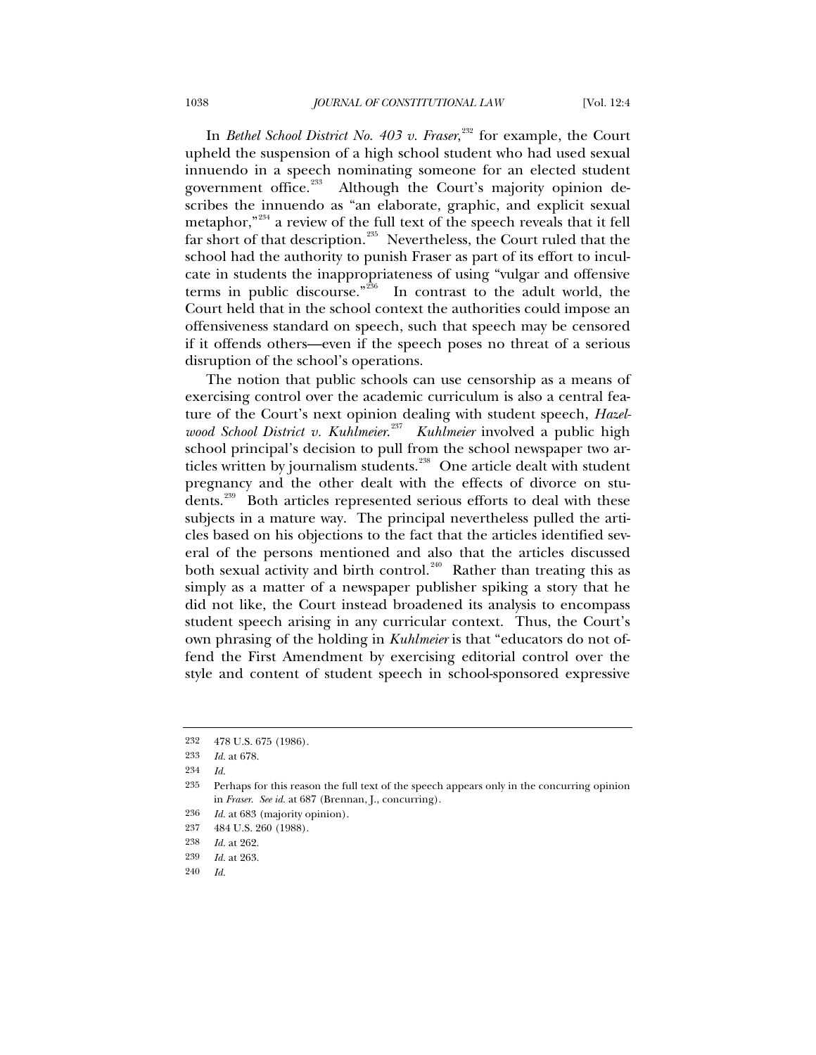In *Bethel School District No. 403 v. Fraser*,<sup>[232](#page-67-0)</sup> for example, the Court upheld the suspension of a high school student who had used sexual innuendo in a speech nominating someone for an elected student government office.<sup>[233](#page-67-1)</sup> Although the Court's majority opinion describes the innuendo as "an elaborate, graphic, and explicit sexual metaphor,"<sup>[234](#page-67-2)</sup> a review of the full text of the speech reveals that it fell far short of that description.<sup>[235](#page-67-3)</sup> Nevertheless, the Court ruled that the school had the authority to punish Fraser as part of its effort to inculcate in students the inappropriateness of using "vulgar and offensive terms in public discourse." $236$  In contrast to the adult world, the Court held that in the school context the authorities could impose an offensiveness standard on speech, such that speech may be censored if it offends others—even if the speech poses no threat of a serious disruption of the school's operations.

The notion that public schools can use censorship as a means of exercising control over the academic curriculum is also a central feature of the Court's next opinion dealing with student speech, *Hazelwood School District v. Kuhlmeier*. [237](#page-67-5) *Kuhlmeier* involved a public high school principal's decision to pull from the school newspaper two ar-ticles written by journalism students.<sup>[238](#page-67-6)</sup> One article dealt with student pregnancy and the other dealt with the effects of divorce on stu-dents.<sup>[239](#page-67-7)</sup> Both articles represented serious efforts to deal with these subjects in a mature way. The principal nevertheless pulled the articles based on his objections to the fact that the articles identified several of the persons mentioned and also that the articles discussed both sexual activity and birth control.<sup>[240](#page-67-8)</sup> Rather than treating this as simply as a matter of a newspaper publisher spiking a story that he did not like, the Court instead broadened its analysis to encompass student speech arising in any curricular context. Thus, the Court's own phrasing of the holding in *Kuhlmeier* is that "educators do not offend the First Amendment by exercising editorial control over the style and content of student speech in school-sponsored expressive

<span id="page-67-0"></span><sup>232 478</sup> U.S. 675 (1986).

<span id="page-67-1"></span><sup>233</sup> *Id.* at 678.

<span id="page-67-3"></span><span id="page-67-2"></span><sup>234</sup> *Id.*

<sup>235</sup> Perhaps for this reason the full text of the speech appears only in the concurring opinion in *Fraser*. *See id.* at 687 (Brennan, J., concurring).

<span id="page-67-4"></span><sup>236</sup> *Id.* at 683 (majority opinion).

<span id="page-67-5"></span><sup>237 484</sup> U.S. 260 (1988).

<span id="page-67-6"></span><sup>238</sup> *Id.* at 262.

<span id="page-67-8"></span><span id="page-67-7"></span><sup>239</sup> *Id.* at 263.

<sup>240</sup> *Id.*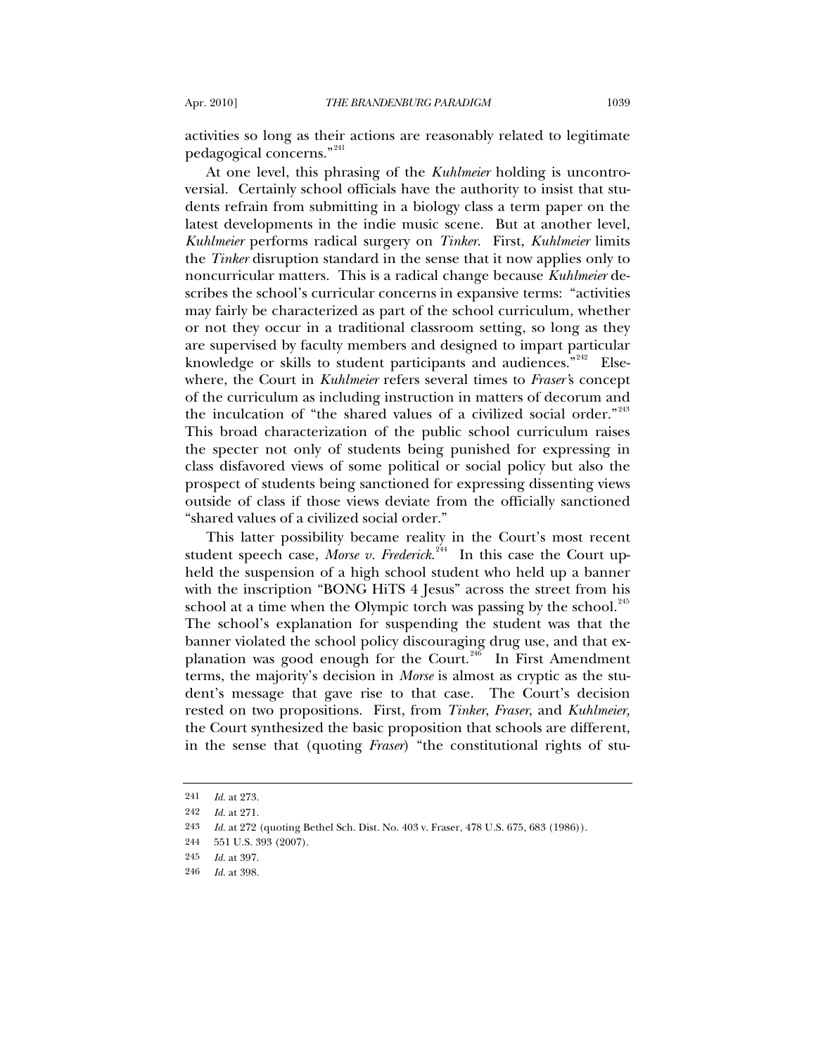activities so long as their actions are reasonably related to legitimate pedagogical concerns."[241](#page-68-0)

At one level, this phrasing of the *Kuhlmeier* holding is uncontroversial. Certainly school officials have the authority to insist that students refrain from submitting in a biology class a term paper on the latest developments in the indie music scene. But at another level, *Kuhlmeier* performs radical surgery on *Tinker*. First, *Kuhlmeier* limits the *Tinker* disruption standard in the sense that it now applies only to noncurricular matters. This is a radical change because *Kuhlmeier* describes the school's curricular concerns in expansive terms: "activities may fairly be characterized as part of the school curriculum, whether or not they occur in a traditional classroom setting, so long as they are supervised by faculty members and designed to impart particular knowledge or skills to student participants and audiences."<sup>[242](#page-68-1)</sup> Elsewhere, the Court in *Kuhlmeier* refers several times to *Fraser'*s concept of the curriculum as including instruction in matters of decorum and the inculcation of "the shared values of a civilized social order."<sup>[243](#page-68-2)</sup> This broad characterization of the public school curriculum raises the specter not only of students being punished for expressing in class disfavored views of some political or social policy but also the prospect of students being sanctioned for expressing dissenting views outside of class if those views deviate from the officially sanctioned "shared values of a civilized social order."

This latter possibility became reality in the Court's most recent student speech case, *Morse v. Frederick*. [244](#page-68-3) In this case the Court upheld the suspension of a high school student who held up a banner with the inscription "BONG HiTS 4 Jesus" across the street from his school at a time when the Olympic torch was passing by the school. $^{245}$  $^{245}$  $^{245}$ The school's explanation for suspending the student was that the banner violated the school policy discouraging drug use, and that ex-planation was good enough for the Court.<sup>[246](#page-68-5)</sup> In First Amendment terms, the majority's decision in *Morse* is almost as cryptic as the student's message that gave rise to that case. The Court's decision rested on two propositions. First, from *Tinker*, *Fraser*, and *Kuhlmeier,* the Court synthesized the basic proposition that schools are different, in the sense that (quoting *Fraser*) "the constitutional rights of stu-

<sup>241</sup> *Id.* at 273.

<span id="page-68-3"></span><span id="page-68-2"></span><span id="page-68-1"></span><span id="page-68-0"></span><sup>242</sup> *Id.* at 271.

<sup>243</sup> *Id.* at 272 (quoting Bethel Sch. Dist. No. 403 v. Fraser, 478 U.S. 675, 683 (1986)).

<sup>244 551</sup> U.S. 393 (2007).

<span id="page-68-4"></span><sup>245</sup> *Id.* at 397.

<span id="page-68-5"></span><sup>246</sup> *Id.* at 398.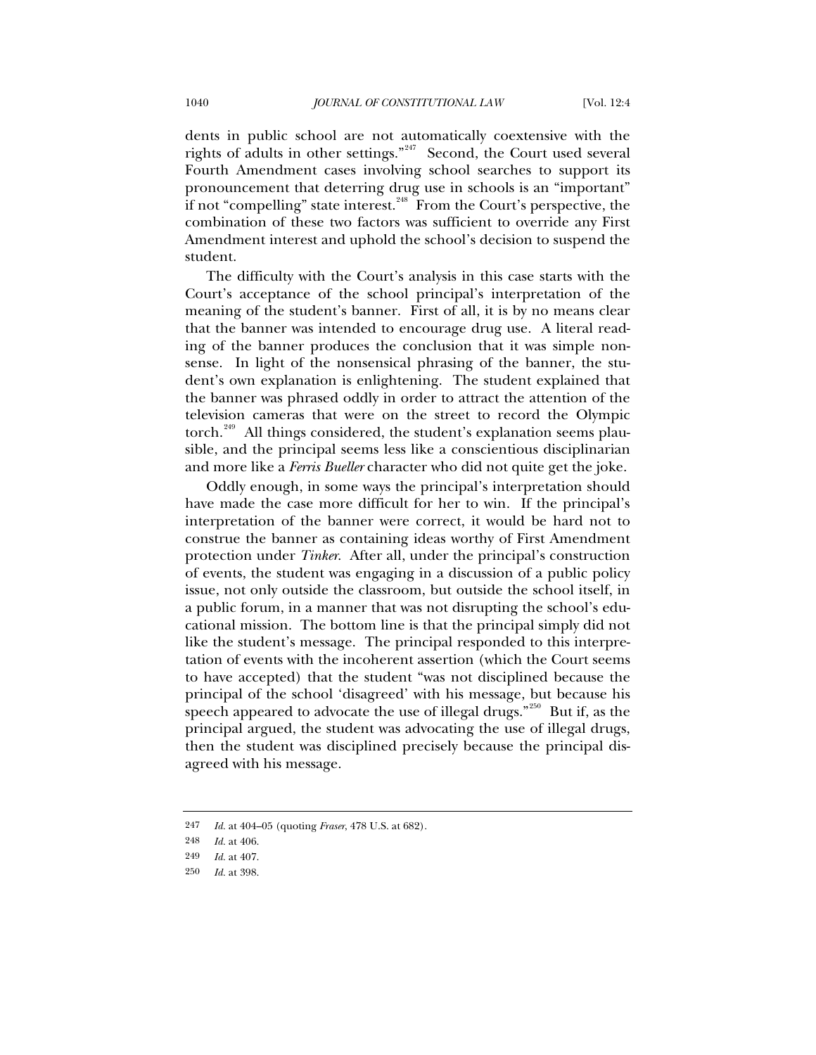dents in public school are not automatically coextensive with the rights of adults in other settings."<sup>[247](#page-69-0)</sup> Second, the Court used several Fourth Amendment cases involving school searches to support its pronouncement that deterring drug use in schools is an "important" if not "compelling" state interest. $248$  From the Court's perspective, the combination of these two factors was sufficient to override any First Amendment interest and uphold the school's decision to suspend the student.

The difficulty with the Court's analysis in this case starts with the Court's acceptance of the school principal's interpretation of the meaning of the student's banner. First of all, it is by no means clear that the banner was intended to encourage drug use. A literal reading of the banner produces the conclusion that it was simple nonsense. In light of the nonsensical phrasing of the banner, the student's own explanation is enlightening. The student explained that the banner was phrased oddly in order to attract the attention of the television cameras that were on the street to record the Olympic torch.<sup>[249](#page-69-2)</sup> All things considered, the student's explanation seems plausible, and the principal seems less like a conscientious disciplinarian and more like a *Ferris Bueller* character who did not quite get the joke.

Oddly enough, in some ways the principal's interpretation should have made the case more difficult for her to win. If the principal's interpretation of the banner were correct, it would be hard not to construe the banner as containing ideas worthy of First Amendment protection under *Tinker*. After all, under the principal's construction of events, the student was engaging in a discussion of a public policy issue, not only outside the classroom, but outside the school itself, in a public forum, in a manner that was not disrupting the school's educational mission. The bottom line is that the principal simply did not like the student's message. The principal responded to this interpretation of events with the incoherent assertion (which the Court seems to have accepted) that the student "was not disciplined because the principal of the school 'disagreed' with his message, but because his speech appeared to advocate the use of illegal drugs."<sup>[250](#page-69-3)</sup> But if, as the principal argued, the student was advocating the use of illegal drugs, then the student was disciplined precisely because the principal disagreed with his message.

<span id="page-69-0"></span><sup>247</sup> *Id.* at 404–05 (quoting *Fraser*, 478 U.S. at 682).

<span id="page-69-1"></span><sup>248</sup> *Id.* at 406.

<span id="page-69-3"></span><span id="page-69-2"></span><sup>249</sup> *Id.* at 407.

<sup>250</sup> *Id.* at 398.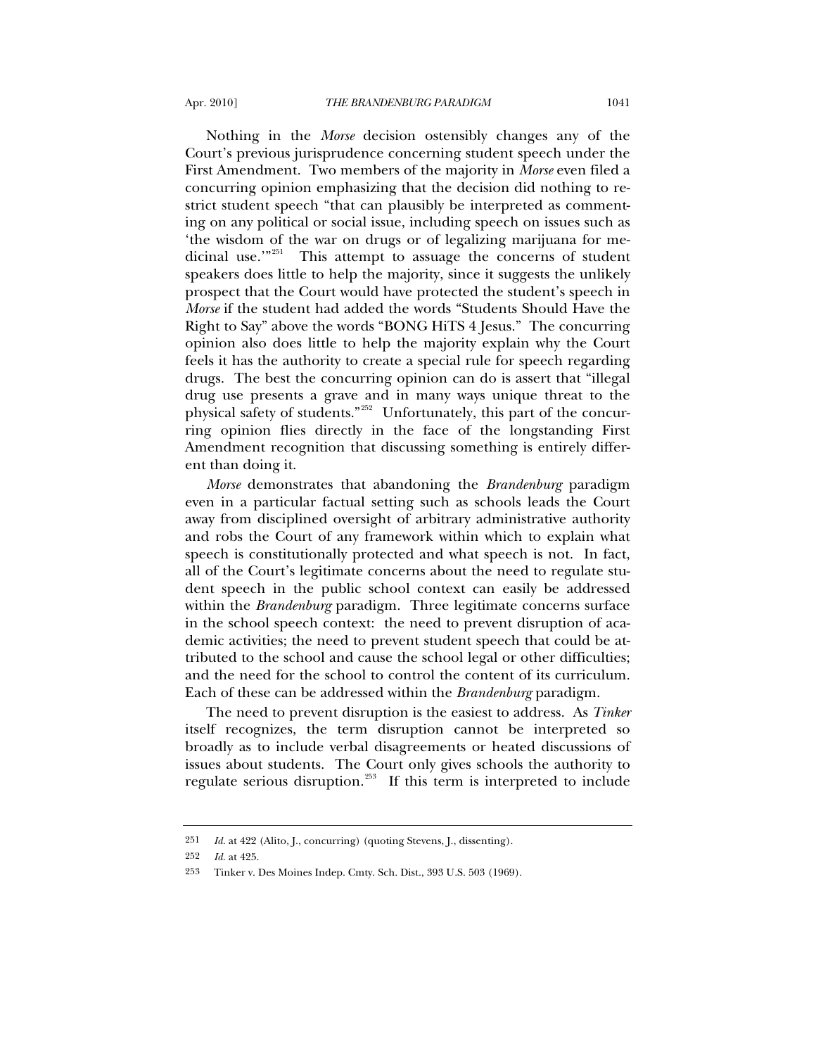Nothing in the *Morse* decision ostensibly changes any of the Court's previous jurisprudence concerning student speech under the First Amendment. Two members of the majority in *Morse* even filed a concurring opinion emphasizing that the decision did nothing to restrict student speech "that can plausibly be interpreted as commenting on any political or social issue, including speech on issues such as 'the wisdom of the war on drugs or of legalizing marijuana for me-dicinal use."<sup>[251](#page-70-0)</sup> This attempt to assuage the concerns of student speakers does little to help the majority, since it suggests the unlikely prospect that the Court would have protected the student's speech in *Morse* if the student had added the words "Students Should Have the Right to Say" above the words "BONG HiTS 4 Jesus." The concurring opinion also does little to help the majority explain why the Court feels it has the authority to create a special rule for speech regarding drugs. The best the concurring opinion can do is assert that "illegal drug use presents a grave and in many ways unique threat to the physical safety of students."[252](#page-70-1) Unfortunately, this part of the concurring opinion flies directly in the face of the longstanding First Amendment recognition that discussing something is entirely different than doing it.

*Morse* demonstrates that abandoning the *Brandenburg* paradigm even in a particular factual setting such as schools leads the Court away from disciplined oversight of arbitrary administrative authority and robs the Court of any framework within which to explain what speech is constitutionally protected and what speech is not. In fact, all of the Court's legitimate concerns about the need to regulate student speech in the public school context can easily be addressed within the *Brandenburg* paradigm. Three legitimate concerns surface in the school speech context: the need to prevent disruption of academic activities; the need to prevent student speech that could be attributed to the school and cause the school legal or other difficulties; and the need for the school to control the content of its curriculum. Each of these can be addressed within the *Brandenburg* paradigm.

The need to prevent disruption is the easiest to address. As *Tinker* itself recognizes, the term disruption cannot be interpreted so broadly as to include verbal disagreements or heated discussions of issues about students. The Court only gives schools the authority to regulate serious disruption. $^{253}$  $^{253}$  $^{253}$  If this term is interpreted to include

<span id="page-70-0"></span><sup>251</sup> *Id.* at 422 (Alito, J., concurring) (quoting Stevens, J., dissenting).

<span id="page-70-1"></span><sup>252</sup> *Id.* at 425.

<span id="page-70-2"></span><sup>253</sup> Tinker v. Des Moines Indep. Cmty. Sch. Dist., 393 U.S. 503 (1969).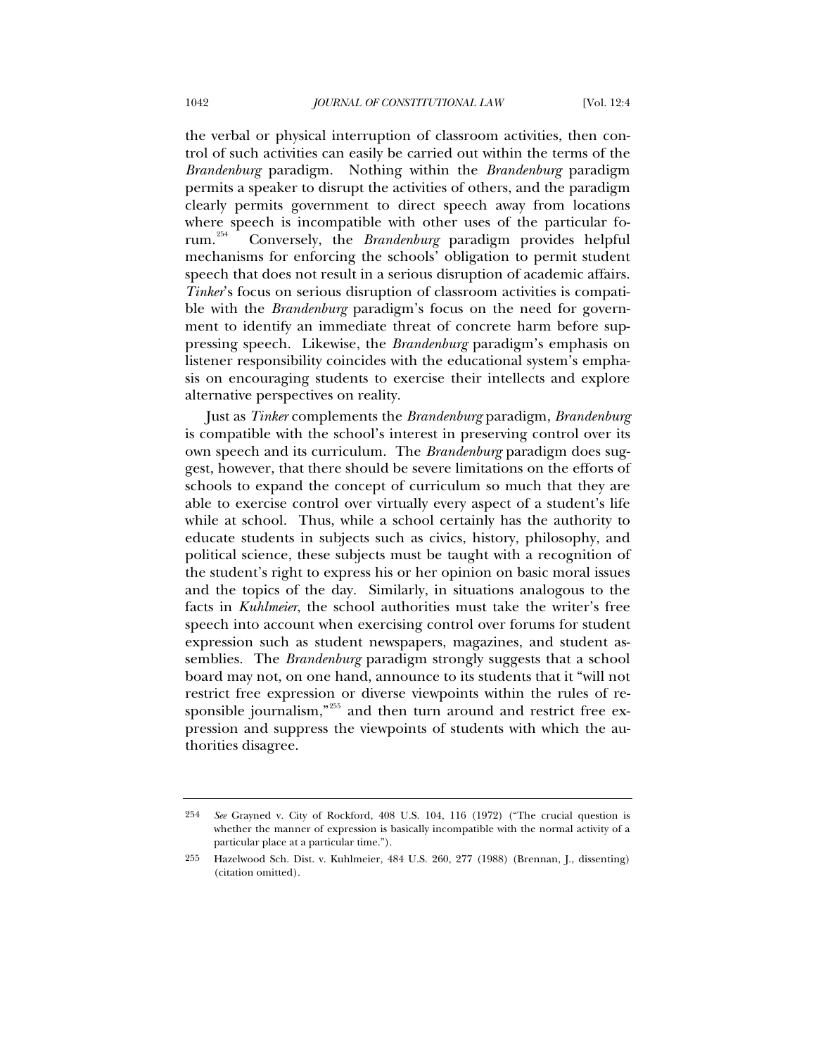the verbal or physical interruption of classroom activities, then control of such activities can easily be carried out within the terms of the *Brandenburg* paradigm. Nothing within the *Brandenburg* paradigm permits a speaker to disrupt the activities of others, and the paradigm clearly permits government to direct speech away from locations where speech is incompatible with other uses of the particular forum.[254](#page-71-0) Conversely, the *Brandenburg* paradigm provides helpful mechanisms for enforcing the schools' obligation to permit student speech that does not result in a serious disruption of academic affairs. *Tinker*'s focus on serious disruption of classroom activities is compatible with the *Brandenburg* paradigm's focus on the need for government to identify an immediate threat of concrete harm before suppressing speech. Likewise, the *Brandenburg* paradigm's emphasis on listener responsibility coincides with the educational system's emphasis on encouraging students to exercise their intellects and explore alternative perspectives on reality.

Just as *Tinker* complements the *Brandenburg* paradigm, *Brandenburg* is compatible with the school's interest in preserving control over its own speech and its curriculum. The *Brandenburg* paradigm does suggest, however, that there should be severe limitations on the efforts of schools to expand the concept of curriculum so much that they are able to exercise control over virtually every aspect of a student's life while at school. Thus, while a school certainly has the authority to educate students in subjects such as civics, history, philosophy, and political science, these subjects must be taught with a recognition of the student's right to express his or her opinion on basic moral issues and the topics of the day. Similarly, in situations analogous to the facts in *Kuhlmeier*, the school authorities must take the writer's free speech into account when exercising control over forums for student expression such as student newspapers, magazines, and student assemblies. The *Brandenburg* paradigm strongly suggests that a school board may not, on one hand, announce to its students that it "will not restrict free expression or diverse viewpoints within the rules of re-sponsible journalism,"<sup>[255](#page-71-1)</sup> and then turn around and restrict free expression and suppress the viewpoints of students with which the authorities disagree.

<span id="page-71-0"></span><sup>254</sup> *See* Grayned v. City of Rockford, 408 U.S. 104, 116 (1972) ("The crucial question is whether the manner of expression is basically incompatible with the normal activity of a particular place at a particular time.").

<span id="page-71-1"></span><sup>255</sup> Hazelwood Sch. Dist. v. Kuhlmeier, 484 U.S. 260, 277 (1988) (Brennan, J., dissenting) (citation omitted).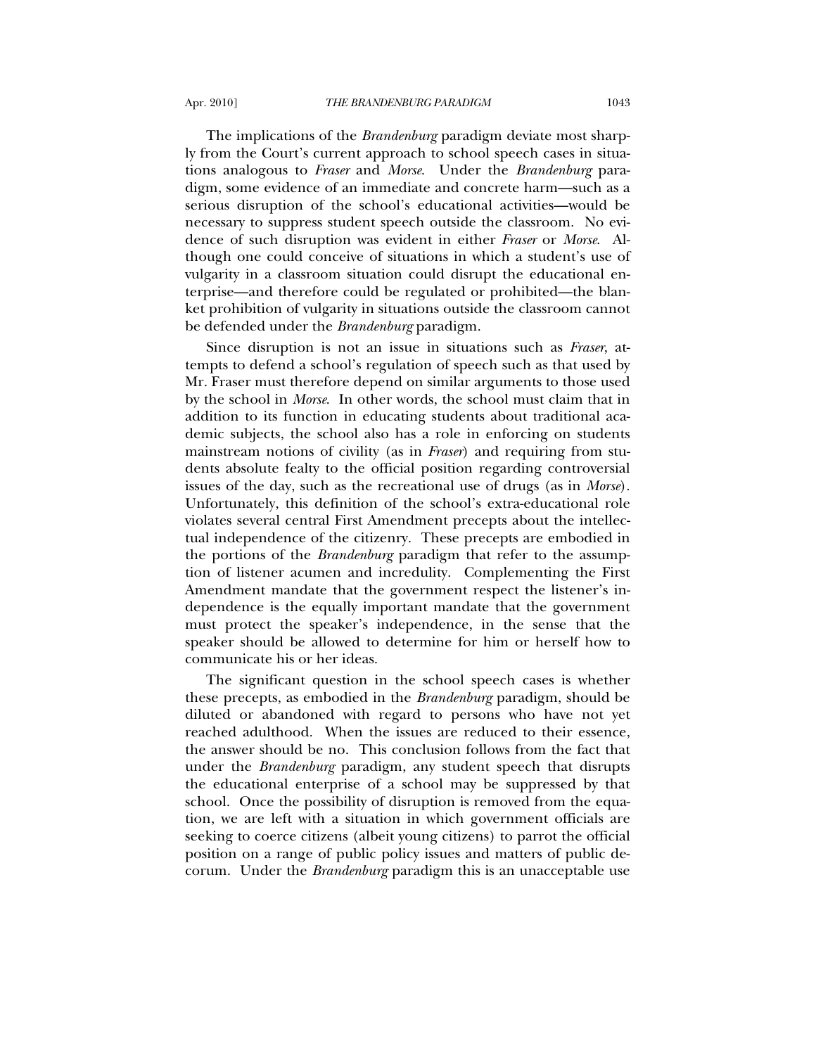The implications of the *Brandenburg* paradigm deviate most sharply from the Court's current approach to school speech cases in situations analogous to *Fraser* and *Morse*. Under the *Brandenburg* paradigm, some evidence of an immediate and concrete harm—such as a serious disruption of the school's educational activities—would be necessary to suppress student speech outside the classroom. No evidence of such disruption was evident in either *Fraser* or *Morse*. Although one could conceive of situations in which a student's use of vulgarity in a classroom situation could disrupt the educational enterprise—and therefore could be regulated or prohibited—the blanket prohibition of vulgarity in situations outside the classroom cannot be defended under the *Brandenburg* paradigm.

Since disruption is not an issue in situations such as *Fraser*, attempts to defend a school's regulation of speech such as that used by Mr. Fraser must therefore depend on similar arguments to those used by the school in *Morse*. In other words, the school must claim that in addition to its function in educating students about traditional academic subjects, the school also has a role in enforcing on students mainstream notions of civility (as in *Fraser*) and requiring from students absolute fealty to the official position regarding controversial issues of the day, such as the recreational use of drugs (as in *Morse*). Unfortunately, this definition of the school's extra-educational role violates several central First Amendment precepts about the intellectual independence of the citizenry. These precepts are embodied in the portions of the *Brandenburg* paradigm that refer to the assumption of listener acumen and incredulity. Complementing the First Amendment mandate that the government respect the listener's independence is the equally important mandate that the government must protect the speaker's independence, in the sense that the speaker should be allowed to determine for him or herself how to communicate his or her ideas.

The significant question in the school speech cases is whether these precepts, as embodied in the *Brandenburg* paradigm, should be diluted or abandoned with regard to persons who have not yet reached adulthood. When the issues are reduced to their essence, the answer should be no. This conclusion follows from the fact that under the *Brandenburg* paradigm, any student speech that disrupts the educational enterprise of a school may be suppressed by that school. Once the possibility of disruption is removed from the equation, we are left with a situation in which government officials are seeking to coerce citizens (albeit young citizens) to parrot the official position on a range of public policy issues and matters of public decorum. Under the *Brandenburg* paradigm this is an unacceptable use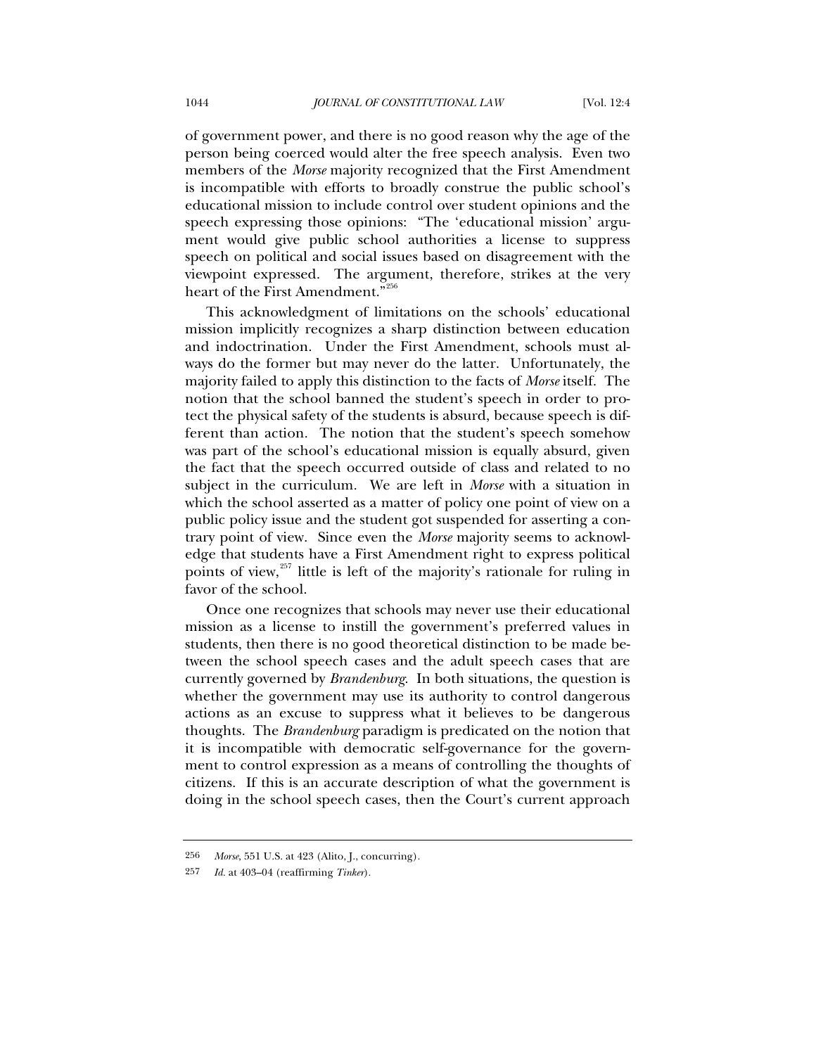of government power, and there is no good reason why the age of the person being coerced would alter the free speech analysis. Even two members of the *Morse* majority recognized that the First Amendment is incompatible with efforts to broadly construe the public school's educational mission to include control over student opinions and the speech expressing those opinions: "The 'educational mission' argument would give public school authorities a license to suppress speech on political and social issues based on disagreement with the viewpoint expressed. The argument, therefore, strikes at the very heart of the First Amendment."<sup>[256](#page-73-0)</sup>

This acknowledgment of limitations on the schools' educational mission implicitly recognizes a sharp distinction between education and indoctrination. Under the First Amendment, schools must always do the former but may never do the latter. Unfortunately, the majority failed to apply this distinction to the facts of *Morse* itself. The notion that the school banned the student's speech in order to protect the physical safety of the students is absurd, because speech is different than action. The notion that the student's speech somehow was part of the school's educational mission is equally absurd, given the fact that the speech occurred outside of class and related to no subject in the curriculum. We are left in *Morse* with a situation in which the school asserted as a matter of policy one point of view on a public policy issue and the student got suspended for asserting a contrary point of view. Since even the *Morse* majority seems to acknowledge that students have a First Amendment right to express political points of view,<sup>[257](#page-73-1)</sup> little is left of the majority's rationale for ruling in favor of the school.

Once one recognizes that schools may never use their educational mission as a license to instill the government's preferred values in students, then there is no good theoretical distinction to be made between the school speech cases and the adult speech cases that are currently governed by *Brandenburg*. In both situations, the question is whether the government may use its authority to control dangerous actions as an excuse to suppress what it believes to be dangerous thoughts. The *Brandenburg* paradigm is predicated on the notion that it is incompatible with democratic self-governance for the government to control expression as a means of controlling the thoughts of citizens. If this is an accurate description of what the government is doing in the school speech cases, then the Court's current approach

<span id="page-73-1"></span><span id="page-73-0"></span><sup>256</sup> *Morse*, 551 U.S. at 423 (Alito, J., concurring).

<sup>257</sup> *Id.* at 403–04 (reaffirming *Tinker*).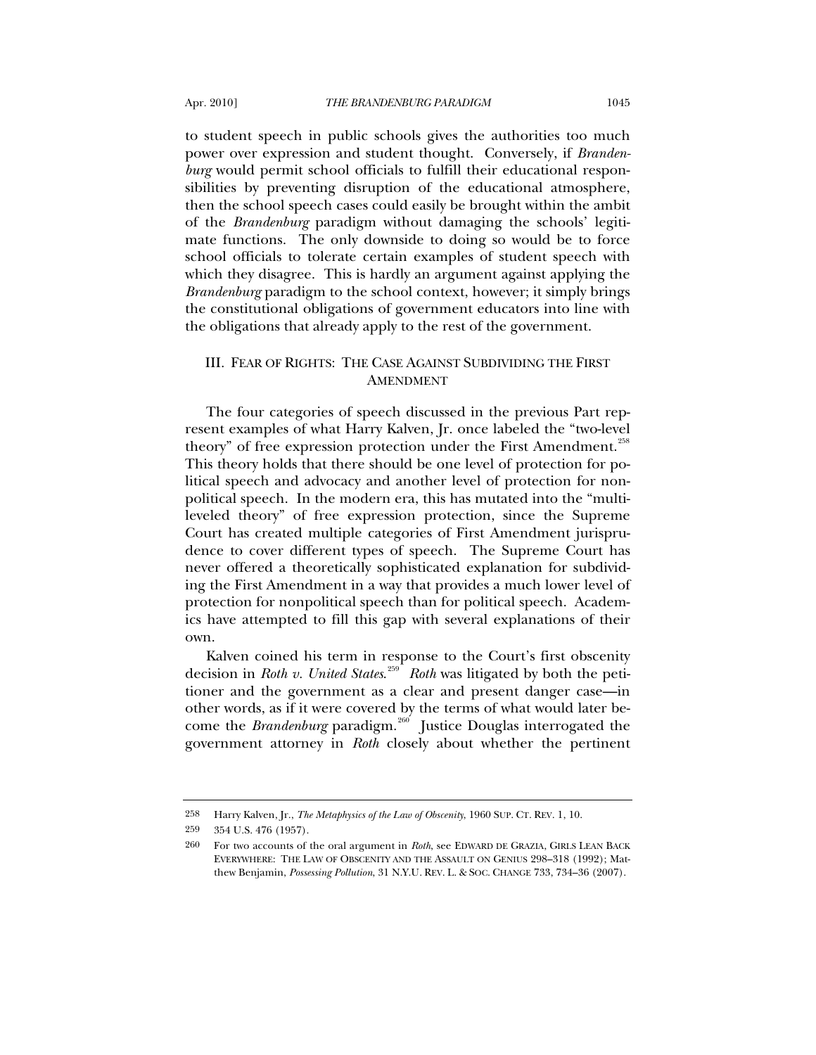to student speech in public schools gives the authorities too much power over expression and student thought. Conversely, if *Brandenburg* would permit school officials to fulfill their educational responsibilities by preventing disruption of the educational atmosphere, then the school speech cases could easily be brought within the ambit of the *Brandenburg* paradigm without damaging the schools' legitimate functions. The only downside to doing so would be to force school officials to tolerate certain examples of student speech with which they disagree. This is hardly an argument against applying the *Brandenburg* paradigm to the school context, however; it simply brings the constitutional obligations of government educators into line with the obligations that already apply to the rest of the government.

## III. FEAR OF RIGHTS: THE CASE AGAINST SUBDIVIDING THE FIRST AMENDMENT

The four categories of speech discussed in the previous Part represent examples of what Harry Kalven, Jr. once labeled the "two-level theory" of free expression protection under the First Amendment.<sup>[258](#page-74-0)</sup> This theory holds that there should be one level of protection for political speech and advocacy and another level of protection for nonpolitical speech. In the modern era, this has mutated into the "multileveled theory" of free expression protection, since the Supreme Court has created multiple categories of First Amendment jurisprudence to cover different types of speech. The Supreme Court has never offered a theoretically sophisticated explanation for subdividing the First Amendment in a way that provides a much lower level of protection for nonpolitical speech than for political speech. Academics have attempted to fill this gap with several explanations of their own.

Kalven coined his term in response to the Court's first obscenity decision in *Roth v. United States*. [259](#page-74-1) *Roth* was litigated by both the petitioner and the government as a clear and present danger case—in other words, as if it were covered by the terms of what would later become the *Brandenburg* paradigm.<sup>[260](#page-74-2)</sup> Justice Douglas interrogated the government attorney in *Roth* closely about whether the pertinent

<span id="page-74-0"></span><sup>258</sup> Harry Kalven, Jr., *The Metaphysics of the Law of Obscenity*, 1960 SUP. CT. REV. 1, 10.

<span id="page-74-1"></span><sup>259 354</sup> U.S. 476 (1957).

<span id="page-74-2"></span><sup>260</sup> For two accounts of the oral argument in *Roth*, see EDWARD DE GRAZIA, GIRLS LEAN BACK EVERYWHERE: THE LAW OF OBSCENITY AND THE ASSAULT ON GENIUS 298–318 (1992); Matthew Benjamin, *Possessing Pollution*, 31 N.Y.U. REV. L. & SOC. CHANGE 733, 734–36 (2007).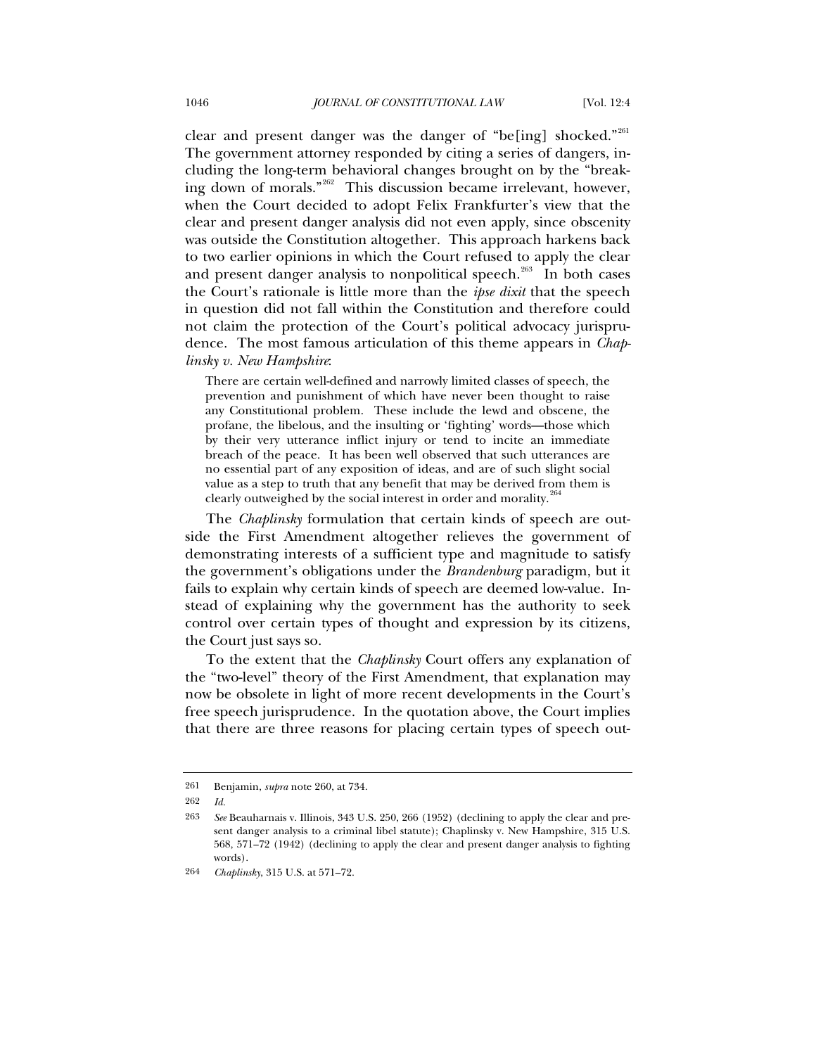clear and present danger was the danger of "be[ing] shocked."<sup>[261](#page-75-0)</sup> The government attorney responded by citing a series of dangers, including the long-term behavioral changes brought on by the "break-ing down of morals."<sup>[262](#page-75-1)</sup> This discussion became irrelevant, however, when the Court decided to adopt Felix Frankfurter's view that the clear and present danger analysis did not even apply, since obscenity was outside the Constitution altogether. This approach harkens back to two earlier opinions in which the Court refused to apply the clear and present danger analysis to nonpolitical speech.<sup>[263](#page-75-2)</sup> In both cases the Court's rationale is little more than the *ipse dixit* that the speech in question did not fall within the Constitution and therefore could not claim the protection of the Court's political advocacy jurisprudence. The most famous articulation of this theme appears in *Chaplinsky v. New Hampshire*:

There are certain well-defined and narrowly limited classes of speech, the prevention and punishment of which have never been thought to raise any Constitutional problem. These include the lewd and obscene, the profane, the libelous, and the insulting or 'fighting' words—those which by their very utterance inflict injury or tend to incite an immediate breach of the peace. It has been well observed that such utterances are no essential part of any exposition of ideas, and are of such slight social value as a step to truth that any benefit that may be derived from them is clearly outweighed by the social interest in order and morality.<sup>[264](#page-75-3)</sup>

The *Chaplinsky* formulation that certain kinds of speech are outside the First Amendment altogether relieves the government of demonstrating interests of a sufficient type and magnitude to satisfy the government's obligations under the *Brandenburg* paradigm, but it fails to explain why certain kinds of speech are deemed low-value. Instead of explaining why the government has the authority to seek control over certain types of thought and expression by its citizens, the Court just says so.

To the extent that the *Chaplinsky* Court offers any explanation of the "two-level" theory of the First Amendment, that explanation may now be obsolete in light of more recent developments in the Court's free speech jurisprudence. In the quotation above, the Court implies that there are three reasons for placing certain types of speech out-

<sup>261</sup> Benjamin, *supra* note 260, at 734.

<span id="page-75-1"></span><span id="page-75-0"></span><sup>262</sup> *Id.*

<span id="page-75-2"></span><sup>263</sup> *See* Beauharnais v. Illinois, 343 U.S. 250, 266 (1952) (declining to apply the clear and present danger analysis to a criminal libel statute); Chaplinsky v. New Hampshire, 315 U.S. 568, 571–72 (1942) (declining to apply the clear and present danger analysis to fighting words).

<span id="page-75-3"></span><sup>264</sup> *Chaplinsky*, 315 U.S. at 571–72.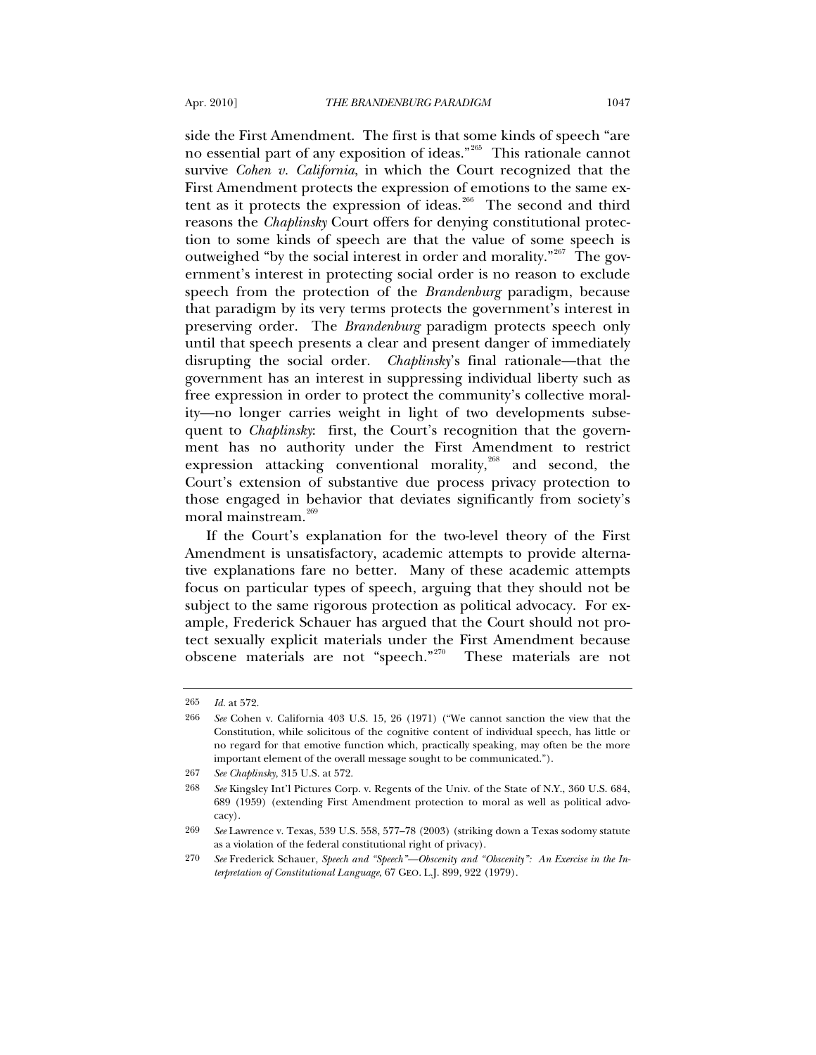side the First Amendment. The first is that some kinds of speech "are no essential part of any exposition of ideas."[265](#page-76-0) This rationale cannot survive *Cohen v. California*, in which the Court recognized that the First Amendment protects the expression of emotions to the same ex-tent as it protects the expression of ideas.<sup>[266](#page-76-1)</sup> The second and third reasons the *Chaplinsky* Court offers for denying constitutional protection to some kinds of speech are that the value of some speech is outweighed "by the social interest in order and morality."<sup>[267](#page-76-2)</sup> The government's interest in protecting social order is no reason to exclude speech from the protection of the *Brandenburg* paradigm, because that paradigm by its very terms protects the government's interest in preserving order. The *Brandenburg* paradigm protects speech only until that speech presents a clear and present danger of immediately disrupting the social order. *Chaplinsky*'s final rationale—that the government has an interest in suppressing individual liberty such as free expression in order to protect the community's collective morality—no longer carries weight in light of two developments subsequent to *Chaplinsky*: first, the Court's recognition that the government has no authority under the First Amendment to restrict expression attacking conventional morality, $268$  and second, the Court's extension of substantive due process privacy protection to those engaged in behavior that deviates significantly from society's moral mainstream.<sup>[269](#page-76-4)</sup>

If the Court's explanation for the two-level theory of the First Amendment is unsatisfactory, academic attempts to provide alternative explanations fare no better. Many of these academic attempts focus on particular types of speech, arguing that they should not be subject to the same rigorous protection as political advocacy. For example, Frederick Schauer has argued that the Court should not protect sexually explicit materials under the First Amendment because obscene materials are not "speech."[270](#page-76-5) These materials are not

<span id="page-76-0"></span><sup>265</sup> *Id.* at 572.

<span id="page-76-1"></span><sup>266</sup> *See* Cohen v. California 403 U.S. 15, 26 (1971) ("We cannot sanction the view that the Constitution, while solicitous of the cognitive content of individual speech, has little or no regard for that emotive function which, practically speaking, may often be the more important element of the overall message sought to be communicated.").

<sup>267</sup> *See Chaplinsky*, 315 U.S. at 572.

<span id="page-76-3"></span><span id="page-76-2"></span><sup>268</sup> *See* Kingsley Int'l Pictures Corp. v. Regents of the Univ. of the State of N.Y., 360 U.S. 684, 689 (1959) (extending First Amendment protection to moral as well as political advocacy).

<span id="page-76-4"></span><sup>269</sup> *See* Lawrence v. Texas, 539 U.S. 558, 577–78 (2003) (striking down a Texas sodomy statute as a violation of the federal constitutional right of privacy).

<span id="page-76-5"></span><sup>270</sup> *See* Frederick Schauer, *Speech and "Speech"—Obscenity and "Obscenity": An Exercise in the Interpretation of Constitutional Language*, 67 GEO. L.J. 899, 922 (1979).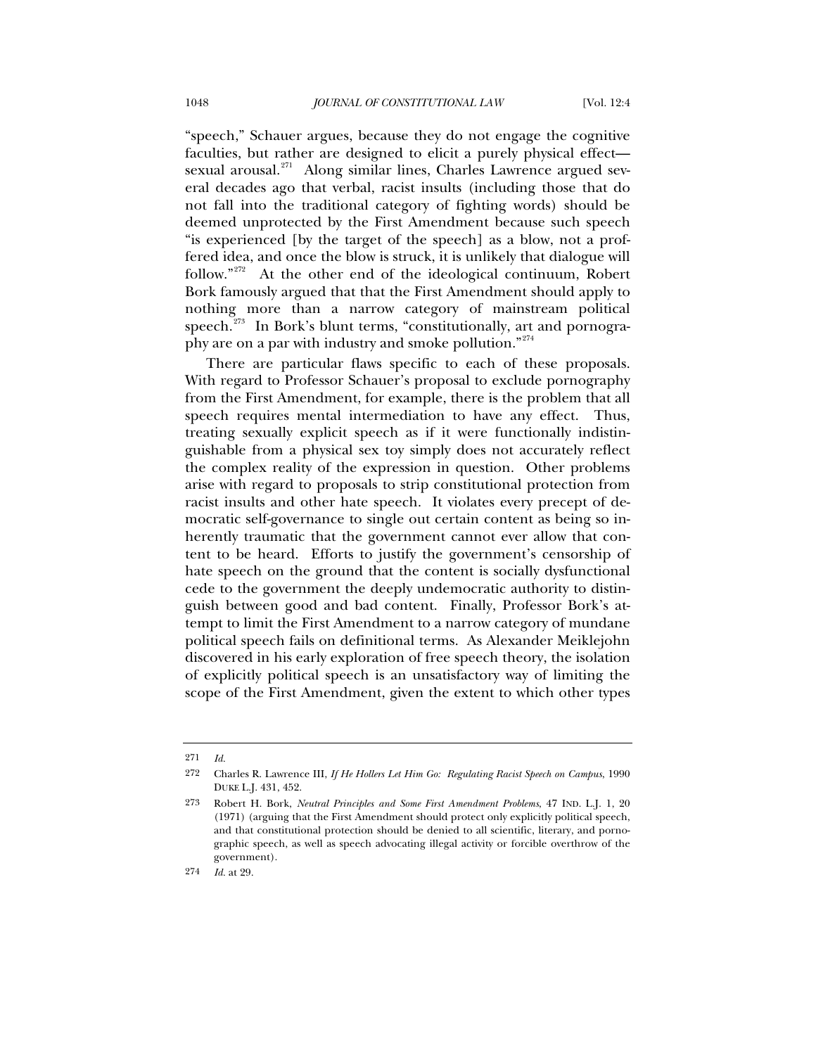"speech," Schauer argues, because they do not engage the cognitive faculties, but rather are designed to elicit a purely physical effect sexual arousal. $271$  Along similar lines, Charles Lawrence argued several decades ago that verbal, racist insults (including those that do not fall into the traditional category of fighting words) should be deemed unprotected by the First Amendment because such speech "is experienced [by the target of the speech] as a blow, not a proffered idea, and once the blow is struck, it is unlikely that dialogue will follow."<sup>[272](#page-77-1)</sup> At the other end of the ideological continuum, Robert Bork famously argued that that the First Amendment should apply to nothing more than a narrow category of mainstream political speech. $^{273}$  $^{273}$  $^{273}$  In Bork's blunt terms, "constitutionally, art and pornogra-phy are on a par with industry and smoke pollution."<sup>[274](#page-77-3)</sup>

There are particular flaws specific to each of these proposals. With regard to Professor Schauer's proposal to exclude pornography from the First Amendment, for example, there is the problem that all speech requires mental intermediation to have any effect. Thus, treating sexually explicit speech as if it were functionally indistinguishable from a physical sex toy simply does not accurately reflect the complex reality of the expression in question. Other problems arise with regard to proposals to strip constitutional protection from racist insults and other hate speech. It violates every precept of democratic self-governance to single out certain content as being so inherently traumatic that the government cannot ever allow that content to be heard. Efforts to justify the government's censorship of hate speech on the ground that the content is socially dysfunctional cede to the government the deeply undemocratic authority to distinguish between good and bad content. Finally, Professor Bork's attempt to limit the First Amendment to a narrow category of mundane political speech fails on definitional terms. As Alexander Meiklejohn discovered in his early exploration of free speech theory, the isolation of explicitly political speech is an unsatisfactory way of limiting the scope of the First Amendment, given the extent to which other types

<span id="page-77-1"></span><span id="page-77-0"></span><sup>271</sup> *Id.*

<sup>272</sup> Charles R. Lawrence III, *If He Hollers Let Him Go: Regulating Racist Speech on Campus*, 1990 DUKE L.J. 431, 452.

<span id="page-77-2"></span><sup>273</sup> Robert H. Bork, *Neutral Principles and Some First Amendment Problems*, 47 IND. L.J. 1, 20 (1971) (arguing that the First Amendment should protect only explicitly political speech, and that constitutional protection should be denied to all scientific, literary, and pornographic speech, as well as speech advocating illegal activity or forcible overthrow of the government).

<span id="page-77-3"></span><sup>274</sup> *Id.* at 29.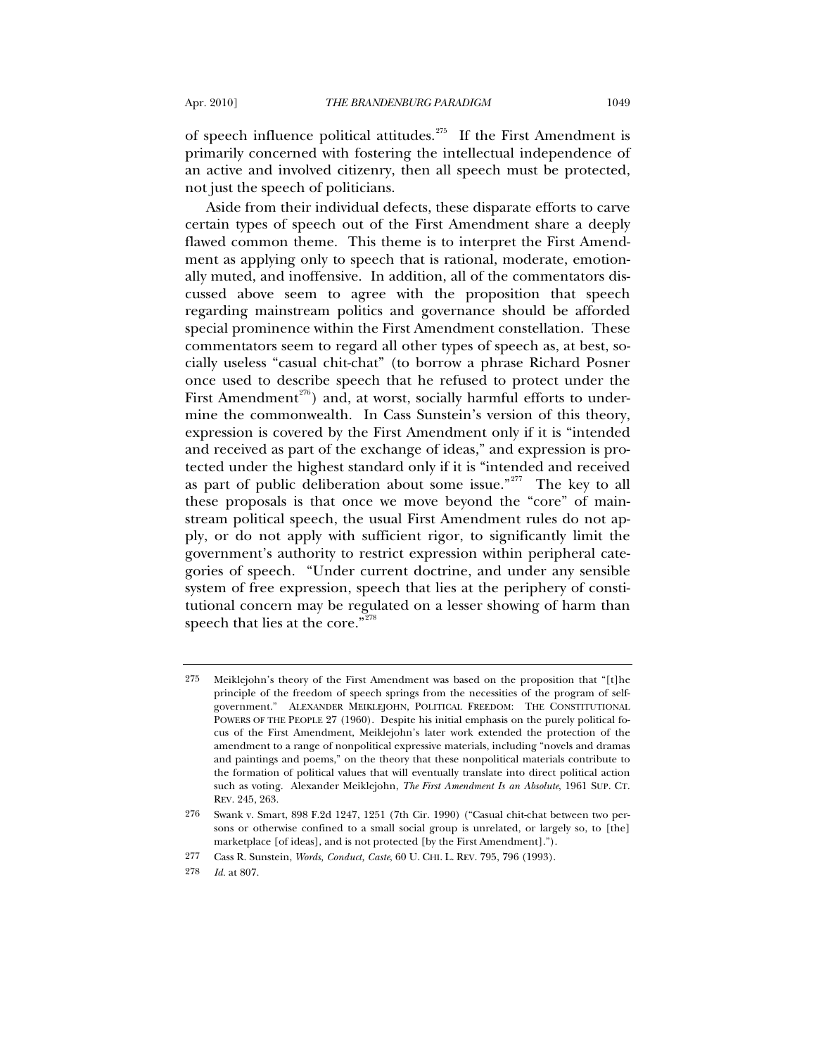of speech influence political attitudes.<sup>[275](#page-78-0)</sup> If the First Amendment is primarily concerned with fostering the intellectual independence of an active and involved citizenry, then all speech must be protected, not just the speech of politicians.

Aside from their individual defects, these disparate efforts to carve certain types of speech out of the First Amendment share a deeply flawed common theme. This theme is to interpret the First Amendment as applying only to speech that is rational, moderate, emotionally muted, and inoffensive. In addition, all of the commentators discussed above seem to agree with the proposition that speech regarding mainstream politics and governance should be afforded special prominence within the First Amendment constellation. These commentators seem to regard all other types of speech as, at best, socially useless "casual chit-chat" (to borrow a phrase Richard Posner once used to describe speech that he refused to protect under the First Amendment<sup>[276](#page-78-1)</sup>) and, at worst, socially harmful efforts to undermine the commonwealth. In Cass Sunstein's version of this theory, expression is covered by the First Amendment only if it is "intended and received as part of the exchange of ideas," and expression is protected under the highest standard only if it is "intended and received as part of public deliberation about some issue."<sup>[277](#page-78-2)</sup> The key to all these proposals is that once we move beyond the "core" of mainstream political speech, the usual First Amendment rules do not apply, or do not apply with sufficient rigor, to significantly limit the government's authority to restrict expression within peripheral categories of speech. "Under current doctrine, and under any sensible system of free expression, speech that lies at the periphery of constitutional concern may be regulated on a lesser showing of harm than speech that lies at the core."<sup>[278](#page-78-3)</sup>

<span id="page-78-0"></span><sup>275</sup> Meiklejohn's theory of the First Amendment was based on the proposition that "[t]he principle of the freedom of speech springs from the necessities of the program of selfgovernment." ALEXANDER MEIKLEJOHN, POLITICAL FREEDOM: THE CONSTITUTIONAL POWERS OF THE PEOPLE 27 (1960). Despite his initial emphasis on the purely political focus of the First Amendment, Meiklejohn's later work extended the protection of the amendment to a range of nonpolitical expressive materials, including "novels and dramas and paintings and poems," on the theory that these nonpolitical materials contribute to the formation of political values that will eventually translate into direct political action such as voting. Alexander Meiklejohn, *The First Amendment Is an Absolute*, 1961 SUP. CT. REV. 245, 263.

<span id="page-78-1"></span><sup>276</sup> Swank v. Smart, 898 F.2d 1247, 1251 (7th Cir. 1990) ("Casual chit-chat between two persons or otherwise confined to a small social group is unrelated, or largely so, to [the] marketplace [of ideas], and is not protected [by the First Amendment].").

<span id="page-78-2"></span><sup>277</sup> Cass R. Sunstein, *Words, Conduct, Caste*, 60 U. CHI. L. REV. 795, 796 (1993).

<span id="page-78-3"></span><sup>278</sup> *Id.* at 807.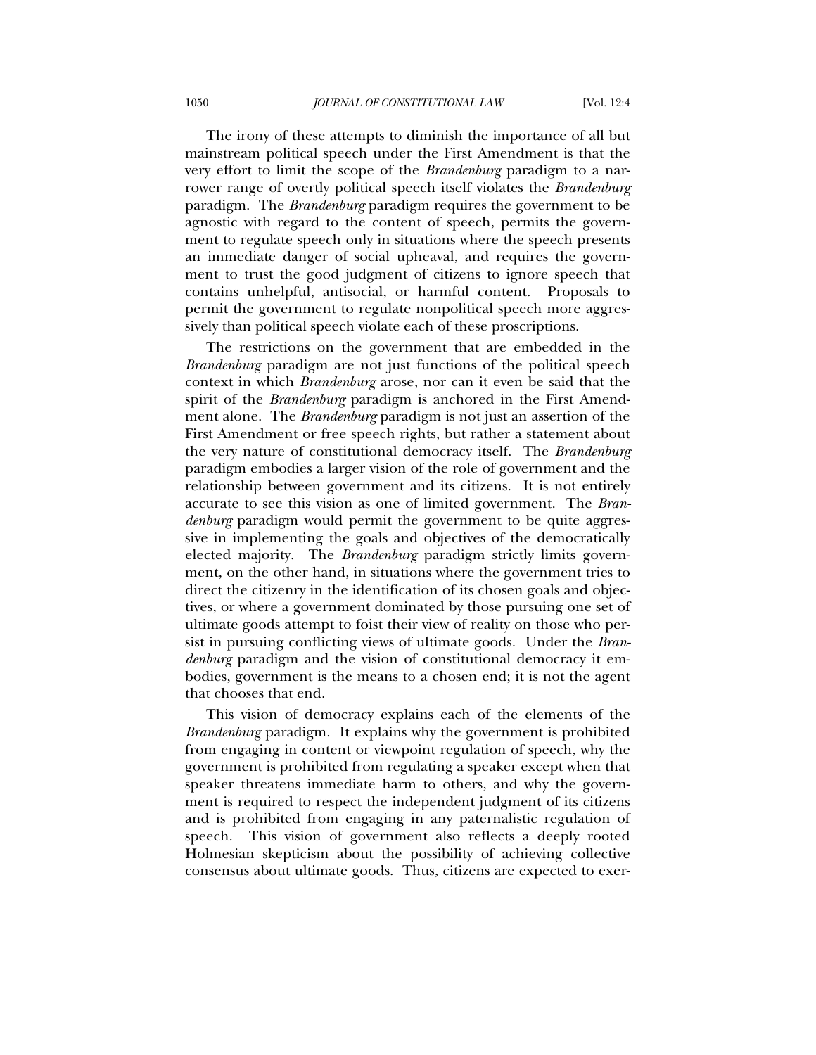The irony of these attempts to diminish the importance of all but mainstream political speech under the First Amendment is that the very effort to limit the scope of the *Brandenburg* paradigm to a narrower range of overtly political speech itself violates the *Brandenburg* paradigm. The *Brandenburg* paradigm requires the government to be agnostic with regard to the content of speech, permits the government to regulate speech only in situations where the speech presents an immediate danger of social upheaval, and requires the government to trust the good judgment of citizens to ignore speech that contains unhelpful, antisocial, or harmful content. Proposals to permit the government to regulate nonpolitical speech more aggressively than political speech violate each of these proscriptions.

The restrictions on the government that are embedded in the *Brandenburg* paradigm are not just functions of the political speech context in which *Brandenburg* arose, nor can it even be said that the spirit of the *Brandenburg* paradigm is anchored in the First Amendment alone. The *Brandenburg* paradigm is not just an assertion of the First Amendment or free speech rights, but rather a statement about the very nature of constitutional democracy itself. The *Brandenburg*  paradigm embodies a larger vision of the role of government and the relationship between government and its citizens. It is not entirely accurate to see this vision as one of limited government. The *Brandenburg* paradigm would permit the government to be quite aggressive in implementing the goals and objectives of the democratically elected majority. The *Brandenburg* paradigm strictly limits government, on the other hand, in situations where the government tries to direct the citizenry in the identification of its chosen goals and objectives, or where a government dominated by those pursuing one set of ultimate goods attempt to foist their view of reality on those who persist in pursuing conflicting views of ultimate goods. Under the *Brandenburg* paradigm and the vision of constitutional democracy it embodies, government is the means to a chosen end; it is not the agent that chooses that end.

This vision of democracy explains each of the elements of the *Brandenburg* paradigm. It explains why the government is prohibited from engaging in content or viewpoint regulation of speech, why the government is prohibited from regulating a speaker except when that speaker threatens immediate harm to others, and why the government is required to respect the independent judgment of its citizens and is prohibited from engaging in any paternalistic regulation of speech. This vision of government also reflects a deeply rooted Holmesian skepticism about the possibility of achieving collective consensus about ultimate goods. Thus, citizens are expected to exer-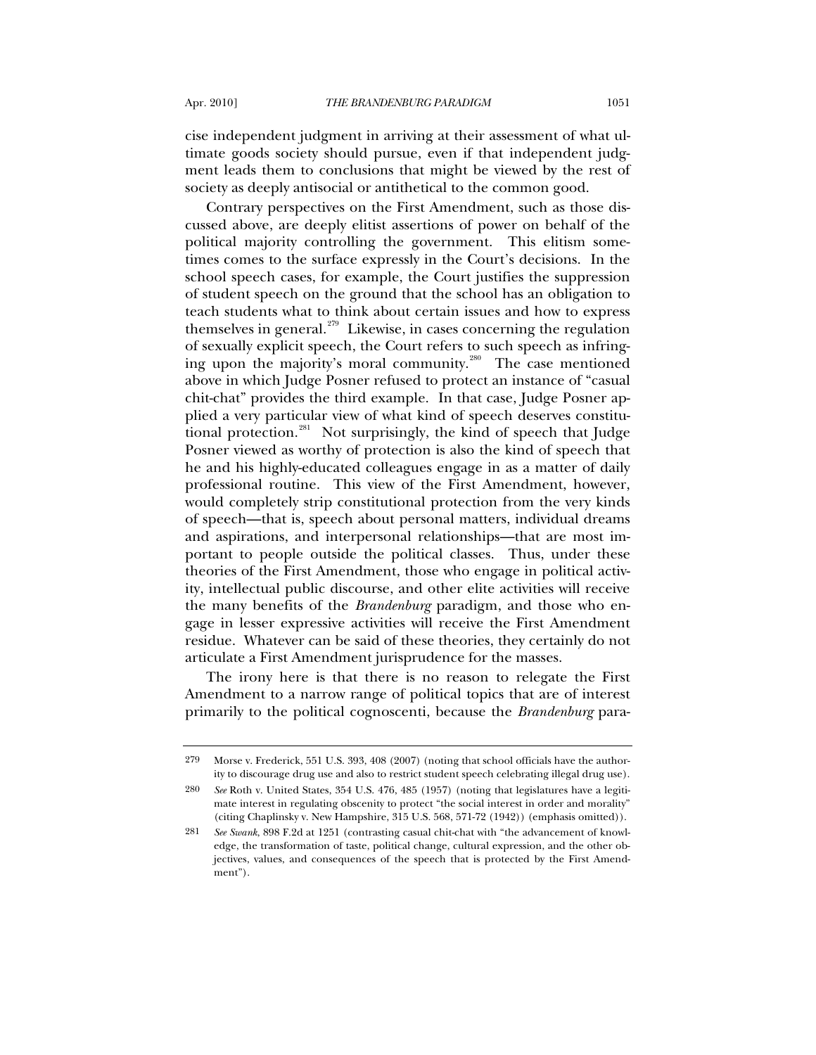cise independent judgment in arriving at their assessment of what ultimate goods society should pursue, even if that independent judgment leads them to conclusions that might be viewed by the rest of society as deeply antisocial or antithetical to the common good.

Contrary perspectives on the First Amendment, such as those discussed above, are deeply elitist assertions of power on behalf of the political majority controlling the government. This elitism sometimes comes to the surface expressly in the Court's decisions. In the school speech cases, for example, the Court justifies the suppression of student speech on the ground that the school has an obligation to teach students what to think about certain issues and how to express themselves in general.<sup>[279](#page-80-0)</sup> Likewise, in cases concerning the regulation of sexually explicit speech, the Court refers to such speech as infring-ing upon the majority's moral community.<sup>[280](#page-80-1)</sup> The case mentioned above in which Judge Posner refused to protect an instance of "casual chit-chat" provides the third example. In that case, Judge Posner applied a very particular view of what kind of speech deserves constitu-tional protection.<sup>[281](#page-80-2)</sup> Not surprisingly, the kind of speech that Judge Posner viewed as worthy of protection is also the kind of speech that he and his highly-educated colleagues engage in as a matter of daily professional routine. This view of the First Amendment, however, would completely strip constitutional protection from the very kinds of speech—that is, speech about personal matters, individual dreams and aspirations, and interpersonal relationships—that are most important to people outside the political classes. Thus, under these theories of the First Amendment, those who engage in political activity, intellectual public discourse, and other elite activities will receive the many benefits of the *Brandenburg* paradigm, and those who engage in lesser expressive activities will receive the First Amendment residue. Whatever can be said of these theories, they certainly do not articulate a First Amendment jurisprudence for the masses.

The irony here is that there is no reason to relegate the First Amendment to a narrow range of political topics that are of interest primarily to the political cognoscenti, because the *Brandenburg* para-

<span id="page-80-0"></span><sup>279</sup> Morse v. Frederick, 551 U.S. 393, 408 (2007) (noting that school officials have the authority to discourage drug use and also to restrict student speech celebrating illegal drug use).

<span id="page-80-1"></span><sup>280</sup> *See* Roth v. United States, 354 U.S. 476, 485 (1957) (noting that legislatures have a legitimate interest in regulating obscenity to protect "the social interest in order and morality" (citing Chaplinsky v. New Hampshire, 315 U.S. 568, 571-72 (1942)) (emphasis omitted)).

<span id="page-80-2"></span><sup>281</sup> *See Swank*, 898 F.2d at 1251 (contrasting casual chit-chat with "the advancement of knowledge, the transformation of taste, political change, cultural expression, and the other objectives, values, and consequences of the speech that is protected by the First Amendment").